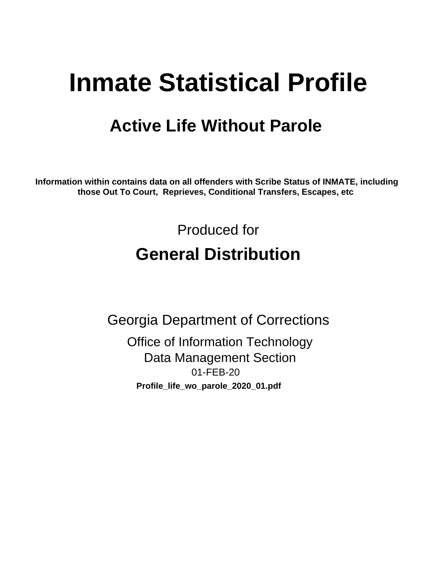# **Inmate Statistical Profile**

## **Active Life Without Parole**

Information within contains data on all offenders with Scribe Status of INMATE, including those Out To Court, Reprieves, Conditional Transfers, Escapes, etc

> Produced for **General Distribution**

**Georgia Department of Corrections Office of Information Technology Data Management Section** 01-FEB-20 Profile\_life\_wo\_parole\_2020\_01.pdf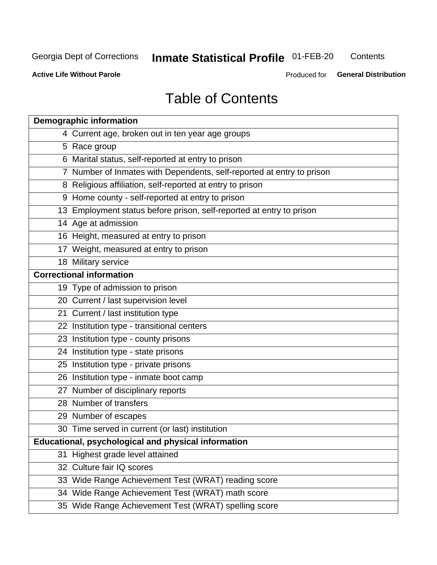## **Inmate Statistical Profile 01-FEB-20**

Contents

**Active Life Without Parole** 

Produced for General Distribution

## **Table of Contents**

|    | <b>Demographic information</b>                                        |
|----|-----------------------------------------------------------------------|
|    | 4 Current age, broken out in ten year age groups                      |
|    | 5 Race group                                                          |
|    | 6 Marital status, self-reported at entry to prison                    |
|    | 7 Number of Inmates with Dependents, self-reported at entry to prison |
|    | 8 Religious affiliation, self-reported at entry to prison             |
|    | 9 Home county - self-reported at entry to prison                      |
|    | 13 Employment status before prison, self-reported at entry to prison  |
|    | 14 Age at admission                                                   |
|    | 16 Height, measured at entry to prison                                |
|    | 17 Weight, measured at entry to prison                                |
|    | 18 Military service                                                   |
|    | <b>Correctional information</b>                                       |
|    | 19 Type of admission to prison                                        |
|    | 20 Current / last supervision level                                   |
|    | 21 Current / last institution type                                    |
|    | 22 Institution type - transitional centers                            |
|    | 23 Institution type - county prisons                                  |
|    | 24 Institution type - state prisons                                   |
|    | 25 Institution type - private prisons                                 |
|    | 26 Institution type - inmate boot camp                                |
|    | 27 Number of disciplinary reports                                     |
|    | 28 Number of transfers                                                |
|    | 29 Number of escapes                                                  |
|    | 30 Time served in current (or last) institution                       |
|    | Educational, psychological and physical information                   |
| 31 | Highest grade level attained                                          |
|    | 32 Culture fair IQ scores                                             |
|    | 33 Wide Range Achievement Test (WRAT) reading score                   |
|    | 34 Wide Range Achievement Test (WRAT) math score                      |
|    | 35 Wide Range Achievement Test (WRAT) spelling score                  |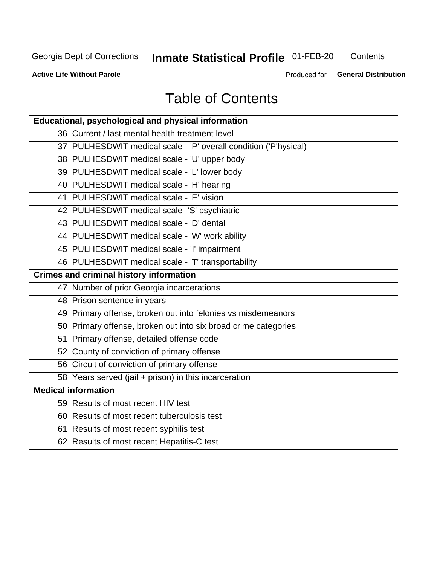## **Inmate Statistical Profile 01-FEB-20**

Contents

**Active Life Without Parole** 

Produced for General Distribution

## **Table of Contents**

| Educational, psychological and physical information              |
|------------------------------------------------------------------|
| 36 Current / last mental health treatment level                  |
| 37 PULHESDWIT medical scale - 'P' overall condition ('P'hysical) |
| 38 PULHESDWIT medical scale - 'U' upper body                     |
| 39 PULHESDWIT medical scale - 'L' lower body                     |
| 40 PULHESDWIT medical scale - 'H' hearing                        |
| 41 PULHESDWIT medical scale - 'E' vision                         |
| 42 PULHESDWIT medical scale -'S' psychiatric                     |
| 43 PULHESDWIT medical scale - 'D' dental                         |
| 44 PULHESDWIT medical scale - 'W' work ability                   |
| 45 PULHESDWIT medical scale - 'I' impairment                     |
| 46 PULHESDWIT medical scale - 'T' transportability               |
| <b>Crimes and criminal history information</b>                   |
| 47 Number of prior Georgia incarcerations                        |
| 48 Prison sentence in years                                      |
| 49 Primary offense, broken out into felonies vs misdemeanors     |
| 50 Primary offense, broken out into six broad crime categories   |
| 51 Primary offense, detailed offense code                        |
| 52 County of conviction of primary offense                       |
| 56 Circuit of conviction of primary offense                      |
| 58 Years served (jail + prison) in this incarceration            |
| <b>Medical information</b>                                       |
| 59 Results of most recent HIV test                               |
| 60 Results of most recent tuberculosis test                      |
| 61 Results of most recent syphilis test                          |
| 62 Results of most recent Hepatitis-C test                       |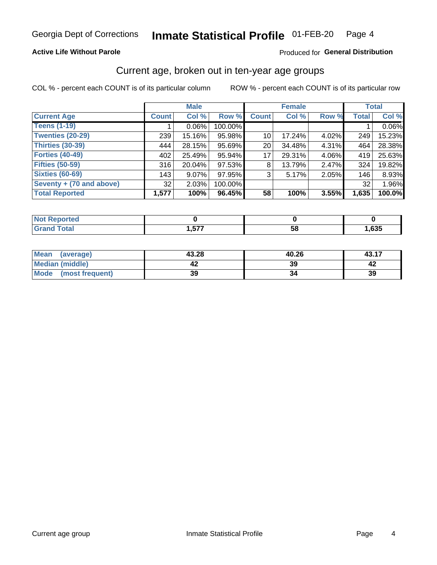### **Active Life Without Parole**

### Produced for General Distribution

### Current age, broken out in ten-year age groups

COL % - percent each COUNT is of its particular column

|                          | <b>Male</b>  |          |         |                 | <b>Female</b> |          |              | <b>Total</b> |
|--------------------------|--------------|----------|---------|-----------------|---------------|----------|--------------|--------------|
| <b>Current Age</b>       | <b>Count</b> | Col %    | Row %   | <b>Count</b>    | Col %         | Row %    | <b>Total</b> | Col %        |
| <b>Teens (1-19)</b>      |              | $0.06\%$ | 100.00% |                 |               |          |              | 0.06%        |
| <b>Twenties (20-29)</b>  | 239          | 15.16%   | 95.98%  | 10 <sup>1</sup> | 17.24%        | $4.02\%$ | 249          | 15.23%       |
| Thirties (30-39)         | 444          | 28.15%   | 95.69%  | 20 <sub>1</sub> | 34.48%        | 4.31%    | 464          | 28.38%       |
| <b>Forties (40-49)</b>   | 402          | 25.49%   | 95.94%  | 17              | 29.31%        | 4.06%    | 419          | 25.63%       |
| <b>Fifties (50-59)</b>   | 316          | 20.04%   | 97.53%  | 8               | 13.79%        | 2.47%    | 324          | 19.82%       |
| <b>Sixties (60-69)</b>   | 143          | $9.07\%$ | 97.95%  | 3               | 5.17%         | 2.05%    | 146          | 8.93%        |
| Seventy + (70 and above) | 32           | 2.03%    | 100.00% |                 |               |          | 32           | 1.96%        |
| <b>Total Reported</b>    | 1,577        | 100%     | 96.45%  | 58              | 100%          | 3.55%    | 1,635        | 100.0%       |

| - - -          |         |               |             |
|----------------|---------|---------------|-------------|
| 60.40<br>_____ | ---<br> | co<br>∼.<br>◡ | COF<br>,ხაე |

| <b>Mean</b><br>(average) | 43.28 | 40.26 | 43.17 |
|--------------------------|-------|-------|-------|
| Median (middle)          |       | 39    |       |
| Mode<br>(most frequent)  | 39    |       | 39    |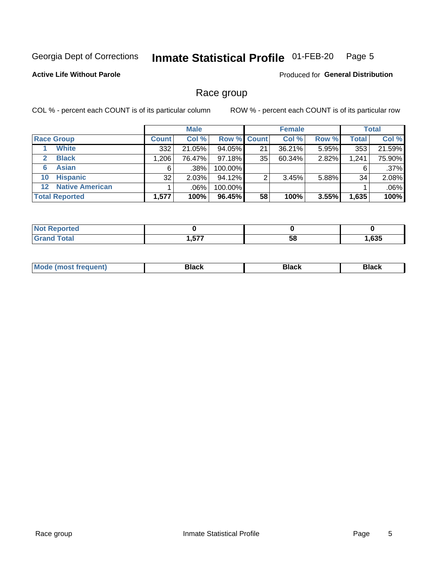#### **Inmate Statistical Profile 01-FEB-20** Page 5

### **Active Life Without Parole**

Produced for General Distribution

### Race group

COL % - percent each COUNT is of its particular column

|                              |                        | <b>Male</b>  |         |                    | <b>Female</b> |        |       | <b>Total</b> |         |
|------------------------------|------------------------|--------------|---------|--------------------|---------------|--------|-------|--------------|---------|
| <b>Race Group</b>            |                        | <b>Count</b> | Col %   | <b>Row % Count</b> |               | Col %  | Row % | <b>Total</b> | Col %   |
| <b>White</b>                 |                        | 332          | 21.05%  | 94.05%             | 21            | 36.21% | 5.95% | 353          | 21.59%  |
| <b>Black</b><br>$\mathbf{2}$ |                        | 1,206        | 76.47%  | 97.18%             | 35            | 60.34% | 2.82% | 1,241        | 75.90%  |
| <b>Asian</b><br>6            |                        | 6            | .38%    | 100.00%            |               |        |       | 6            | $.37\%$ |
| <b>Hispanic</b><br>10        |                        | 32           | 2.03%   | 94.12%             |               | 3.45%  | 5.88% | 34           | 2.08%   |
| $12 \,$                      | <b>Native American</b> |              | $.06\%$ | 100.00%            |               |        |       |              | .06%    |
| <b>Total Reported</b>        |                        | 1,577        | 100%    | 96.45%             | 58            | 100%   | 3.55% | 1,635        | 100%    |

| <b>rted</b>           |     |    |      |
|-----------------------|-----|----|------|
| $f \wedge f \wedge f$ | ヒママ | 58 | ,635 |

| M | - - - |  |
|---|-------|--|
|   |       |  |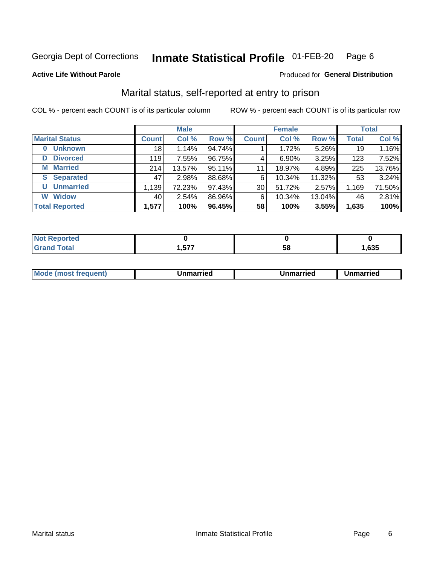#### Inmate Statistical Profile 01-FEB-20 Page 6

**Active Life Without Parole** 

### Produced for General Distribution

## Marital status, self-reported at entry to prison

COL % - percent each COUNT is of its particular column

|                            | <b>Male</b>  |        |        | <b>Female</b> |          |        | <b>Total</b> |        |
|----------------------------|--------------|--------|--------|---------------|----------|--------|--------------|--------|
| <b>Marital Status</b>      | <b>Count</b> | Col %  | Row %  | <b>Count</b>  | Col %    | Row %  | <b>Total</b> | Col %  |
| <b>Unknown</b><br>$\bf{0}$ | 18           | 1.14%  | 94.74% |               | 1.72%    | 5.26%  | 19           | 1.16%  |
| <b>Divorced</b><br>D       | 119          | 7.55%  | 96.75% | 4             | $6.90\%$ | 3.25%  | 123          | 7.52%  |
| <b>Married</b><br>М        | 214          | 13.57% | 95.11% | 11            | 18.97%   | 4.89%  | 225          | 13.76% |
| <b>S</b> Separated         | 47           | 2.98%  | 88.68% | 6             | 10.34%   | 11.32% | 53           | 3.24%  |
| <b>Unmarried</b><br>U      | 1,139        | 72.23% | 97.43% | 30            | 51.72%   | 2.57%  | 1,169        | 71.50% |
| <b>Widow</b><br>W          | 40           | 2.54%  | 86.96% | 6             | 10.34%   | 13.04% | 46           | 2.81%  |
| <b>Total Reported</b>      | 1,577        | 100%   | 96.45% | 58            | 100%     | 3.55%  | 1,635        | 100%   |

| prted<br>NOT |             |    |      |
|--------------|-------------|----|------|
|              | ドママ<br>,,,, | ວດ | ,635 |

|  | M | . | Unmarried | າmarried<br>_____ |
|--|---|---|-----------|-------------------|
|--|---|---|-----------|-------------------|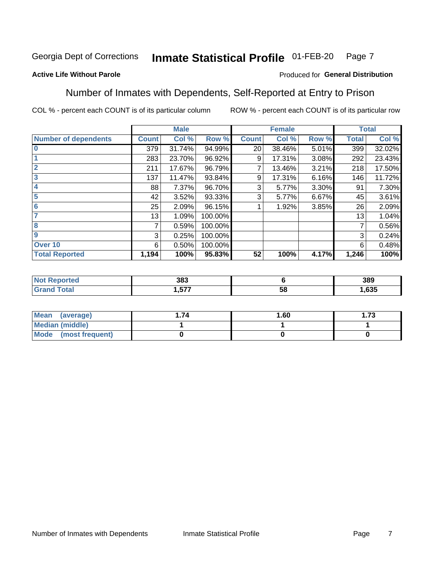#### Inmate Statistical Profile 01-FEB-20 Page 7

### **Active Life Without Parole**

### Produced for General Distribution

### Number of Inmates with Dependents, Self-Reported at Entry to Prison

COL % - percent each COUNT is of its particular column

|                             |                | <b>Male</b> |         |              | <b>Female</b> |          |              | <b>Total</b> |
|-----------------------------|----------------|-------------|---------|--------------|---------------|----------|--------------|--------------|
| <b>Number of dependents</b> | <b>Count</b>   | Col %       | Row %   | <b>Count</b> | Col %         | Row %    | <b>Total</b> | Col %        |
| $\bf{0}$                    | 379            | 31.74%      | 94.99%  | 20           | 38.46%        | 5.01%    | 399          | 32.02%       |
|                             | 283            | 23.70%      | 96.92%  | 9            | 17.31%        | 3.08%    | 292          | 23.43%       |
| $\overline{2}$              | 211            | 17.67%      | 96.79%  |              | 13.46%        | 3.21%    | 218          | 17.50%       |
| 3                           | 137            | 11.47%      | 93.84%  | 9            | 17.31%        | 6.16%    | 146          | 11.72%       |
| 4                           | 88             | 7.37%       | 96.70%  | 3            | 5.77%         | $3.30\%$ | 91           | 7.30%        |
| 5                           | 42             | 3.52%       | 93.33%  | 3            | 5.77%         | 6.67%    | 45           | 3.61%        |
| 6                           | 25             | 2.09%       | 96.15%  |              | 1.92%         | 3.85%    | 26           | 2.09%        |
| 7                           | 13             | 1.09%       | 100.00% |              |               |          | 13           | 1.04%        |
| 8                           | $\overline{7}$ | 0.59%       | 100.00% |              |               |          | 7            | 0.56%        |
| 9                           | 3              | 0.25%       | 100.00% |              |               |          | 3            | 0.24%        |
| Over 10                     | 6              | 0.50%       | 100.00% |              |               |          | 6            | 0.48%        |
| <b>Total Reported</b>       | 1,194          | 100%        | 95.83%  | 52           | 100%          | 4.17%    | 1,246        | 100%         |

|      | 383 |         | 389  |
|------|-----|---------|------|
| ____ | --- | .<br>uu | ,635 |

| <b>Mean</b><br>(average) | 1.60 | - 72<br>I. I J |
|--------------------------|------|----------------|
| Median (middle)          |      |                |
| Mode<br>(most frequent)  |      |                |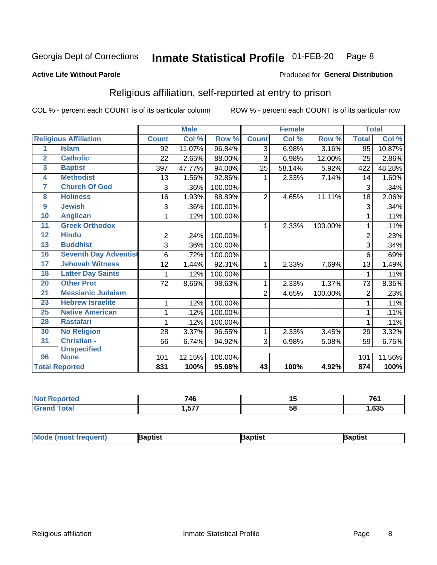#### Inmate Statistical Profile 01-FEB-20 Page 8

#### **Active Life Without Parole**

#### Produced for General Distribution

## Religious affiliation, self-reported at entry to prison

COL % - percent each COUNT is of its particular column

|                         |                              | <b>Male</b>    |        | <b>Female</b> |                |        | <b>Total</b> |                |        |
|-------------------------|------------------------------|----------------|--------|---------------|----------------|--------|--------------|----------------|--------|
|                         | <b>Religious Affiliation</b> | <b>Count</b>   | Col %  | Row %         | <b>Count</b>   | Col %  | Row %        | <b>Total</b>   | Col %  |
| 1                       | <b>Islam</b>                 | 92             | 11.07% | 96.84%        | $\overline{3}$ | 6.98%  | 3.16%        | 95             | 10.87% |
| $\overline{2}$          | <b>Catholic</b>              | 22             | 2.65%  | 88.00%        | 3              | 6.98%  | 12.00%       | 25             | 2.86%  |
| $\overline{\mathbf{3}}$ | <b>Baptist</b>               | 397            | 47.77% | 94.08%        | 25             | 58.14% | 5.92%        | 422            | 48.28% |
| $\overline{\mathbf{4}}$ | <b>Methodist</b>             | 13             | 1.56%  | 92.86%        | 1              | 2.33%  | 7.14%        | 14             | 1.60%  |
| 7                       | <b>Church Of God</b>         | 3              | .36%   | 100.00%       |                |        |              | 3              | .34%   |
| 8                       | <b>Holiness</b>              | 16             | 1.93%  | 88.89%        | $\overline{2}$ | 4.65%  | 11.11%       | 18             | 2.06%  |
| $\overline{9}$          | <b>Jewish</b>                | 3              | .36%   | 100.00%       |                |        |              | 3              | .34%   |
| 10                      | <b>Anglican</b>              | 1              | .12%   | 100.00%       |                |        |              |                | .11%   |
| 11                      | <b>Greek Orthodox</b>        |                |        |               | 1              | 2.33%  | 100.00%      |                | .11%   |
| 12                      | <b>Hindu</b>                 | $\overline{2}$ | .24%   | 100.00%       |                |        |              | $\overline{2}$ | .23%   |
| 13                      | <b>Buddhist</b>              | 3              | .36%   | 100.00%       |                |        |              | 3              | .34%   |
| 16                      | <b>Seventh Day Adventist</b> | 6              | .72%   | 100.00%       |                |        |              | 6              | .69%   |
| 17                      | <b>Jehovah Witness</b>       | 12             | 1.44%  | 92.31%        | 1              | 2.33%  | 7.69%        | 13             | 1.49%  |
| 18                      | <b>Latter Day Saints</b>     | 1              | .12%   | 100.00%       |                |        |              |                | .11%   |
| 20                      | <b>Other Prot</b>            | 72             | 8.66%  | 98.63%        | 1              | 2.33%  | 1.37%        | 73             | 8.35%  |
| $\overline{21}$         | <b>Messianic Judaism</b>     |                |        |               | $\overline{2}$ | 4.65%  | 100.00%      | $\overline{2}$ | .23%   |
| 23                      | <b>Hebrew Israelite</b>      | 1              | .12%   | 100.00%       |                |        |              |                | .11%   |
| 25                      | <b>Native American</b>       | 1              | .12%   | 100.00%       |                |        |              |                | .11%   |
| 28                      | <b>Rastafari</b>             | 1              | .12%   | 100.00%       |                |        |              |                | .11%   |
| 30                      | <b>No Religion</b>           | 28             | 3.37%  | 96.55%        | 1              | 2.33%  | 3.45%        | 29             | 3.32%  |
| 31                      | Christian -                  | 56             | 6.74%  | 94.92%        | 3              | 6.98%  | 5.08%        | 59             | 6.75%  |
|                         | <b>Unspecified</b>           |                |        |               |                |        |              |                |        |
| 96                      | <b>None</b>                  | 101            | 12.15% | 100.00%       |                |        |              | 101            | 11.56% |
|                         | <b>Total Reported</b>        | 831            | 100%   | 95.08%        | 43             | 100%   | 4.92%        | 874            | 100%   |

| re o | 710<br>70 | . .<br>יי | 704    |
|------|-----------|-----------|--------|
| _    | ヒフフ       | . .       | $\sim$ |
|      | --        | ◡         | ნათ    |

| Mode (most frequ<br>aptist<br>Nuent) | ˈaɒtist | ʿaptis |
|--------------------------------------|---------|--------|
|--------------------------------------|---------|--------|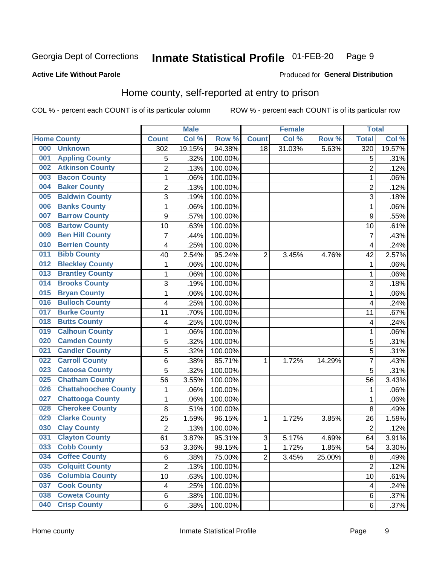#### Inmate Statistical Profile 01-FEB-20 Page 9

### **Active Life Without Parole**

#### Produced for General Distribution

## Home county, self-reported at entry to prison

COL % - percent each COUNT is of its particular column

|     |                             |                | <b>Male</b> |         |                | <b>Female</b> |        | <b>Total</b>            |        |
|-----|-----------------------------|----------------|-------------|---------|----------------|---------------|--------|-------------------------|--------|
|     | <b>Home County</b>          | <b>Count</b>   | Col %       | Row %   | <b>Count</b>   | Col %         | Row %  | <b>Total</b>            | Col %  |
| 000 | <b>Unknown</b>              | 302            | 19.15%      | 94.38%  | 18             | 31.03%        | 5.63%  | 320                     | 19.57% |
| 001 | <b>Appling County</b>       | 5              | .32%        | 100.00% |                |               |        | 5                       | .31%   |
| 002 | <b>Atkinson County</b>      | $\overline{2}$ | .13%        | 100.00% |                |               |        | $\overline{2}$          | .12%   |
| 003 | <b>Bacon County</b>         | $\mathbf 1$    | .06%        | 100.00% |                |               |        | 1                       | .06%   |
| 004 | <b>Baker County</b>         | $\overline{2}$ | .13%        | 100.00% |                |               |        | $\overline{2}$          | .12%   |
| 005 | <b>Baldwin County</b>       | 3              | .19%        | 100.00% |                |               |        | 3                       | .18%   |
| 006 | <b>Banks County</b>         | $\mathbf{1}$   | .06%        | 100.00% |                |               |        | 1                       | .06%   |
| 007 | <b>Barrow County</b>        | 9              | .57%        | 100.00% |                |               |        | 9                       | .55%   |
| 008 | <b>Bartow County</b>        | 10             | .63%        | 100.00% |                |               |        | 10                      | .61%   |
| 009 | <b>Ben Hill County</b>      | $\overline{7}$ | .44%        | 100.00% |                |               |        | 7                       | .43%   |
| 010 | <b>Berrien County</b>       | 4              | .25%        | 100.00% |                |               |        | $\overline{\mathbf{4}}$ | .24%   |
| 011 | <b>Bibb County</b>          | 40             | 2.54%       | 95.24%  | $\overline{2}$ | 3.45%         | 4.76%  | 42                      | 2.57%  |
| 012 | <b>Bleckley County</b>      | 1              | .06%        | 100.00% |                |               |        | 1                       | .06%   |
| 013 | <b>Brantley County</b>      | $\mathbf 1$    | .06%        | 100.00% |                |               |        | 1                       | .06%   |
| 014 | <b>Brooks County</b>        | 3              | .19%        | 100.00% |                |               |        | 3                       | .18%   |
| 015 | <b>Bryan County</b>         | $\mathbf{1}$   | .06%        | 100.00% |                |               |        | 1                       | .06%   |
| 016 | <b>Bulloch County</b>       | 4              | .25%        | 100.00% |                |               |        | $\overline{4}$          | .24%   |
| 017 | <b>Burke County</b>         | 11             | .70%        | 100.00% |                |               |        | 11                      | .67%   |
| 018 | <b>Butts County</b>         | 4              | .25%        | 100.00% |                |               |        | 4                       | .24%   |
| 019 | <b>Calhoun County</b>       | $\mathbf 1$    | .06%        | 100.00% |                |               |        | 1                       | .06%   |
| 020 | <b>Camden County</b>        | 5              | .32%        | 100.00% |                |               |        | 5                       | .31%   |
| 021 | <b>Candler County</b>       | 5              | .32%        | 100.00% |                |               |        | 5                       | .31%   |
| 022 | <b>Carroll County</b>       | 6              | .38%        | 85.71%  | 1              | 1.72%         | 14.29% | 7                       | .43%   |
| 023 | <b>Catoosa County</b>       | 5              | .32%        | 100.00% |                |               |        | 5                       | .31%   |
| 025 | <b>Chatham County</b>       | 56             | 3.55%       | 100.00% |                |               |        | 56                      | 3.43%  |
| 026 | <b>Chattahoochee County</b> | 1              | .06%        | 100.00% |                |               |        | 1                       | .06%   |
| 027 | <b>Chattooga County</b>     | $\mathbf 1$    | .06%        | 100.00% |                |               |        | 1                       | .06%   |
| 028 | <b>Cherokee County</b>      | 8              | .51%        | 100.00% |                |               |        | 8                       | .49%   |
| 029 | <b>Clarke County</b>        | 25             | 1.59%       | 96.15%  | 1              | 1.72%         | 3.85%  | 26                      | 1.59%  |
| 030 | <b>Clay County</b>          | $\overline{2}$ | .13%        | 100.00% |                |               |        | $\overline{2}$          | .12%   |
| 031 | <b>Clayton County</b>       | 61             | 3.87%       | 95.31%  | $\sqrt{3}$     | 5.17%         | 4.69%  | 64                      | 3.91%  |
| 033 | <b>Cobb County</b>          | 53             | 3.36%       | 98.15%  | 1              | 1.72%         | 1.85%  | 54                      | 3.30%  |
| 034 | <b>Coffee County</b>        | 6              | .38%        | 75.00%  | $\overline{2}$ | 3.45%         | 25.00% | 8                       | .49%   |
| 035 | <b>Colquitt County</b>      | $\overline{2}$ | .13%        | 100.00% |                |               |        | $\overline{2}$          | .12%   |
| 036 | <b>Columbia County</b>      | 10             | .63%        | 100.00% |                |               |        | 10                      | .61%   |
| 037 | <b>Cook County</b>          | 4              | .25%        | 100.00% |                |               |        | 4                       | .24%   |
| 038 | <b>Coweta County</b>        | 6              | .38%        | 100.00% |                |               |        | 6                       | .37%   |
| 040 | <b>Crisp County</b>         | 6              | .38%        | 100.00% |                |               |        | 6                       | .37%   |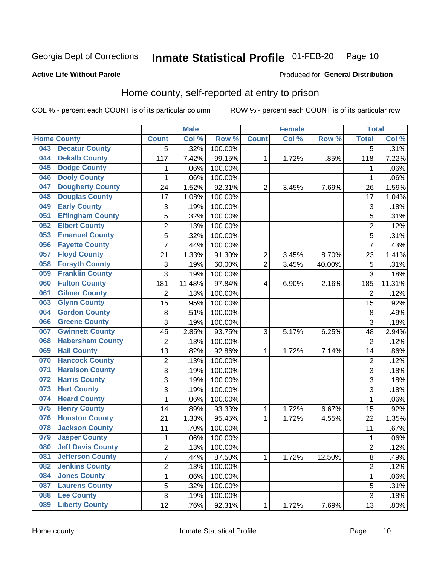#### **Inmate Statistical Profile 01-FEB-20** Page 10

**Active Life Without Parole** 

Produced for General Distribution

## Home county, self-reported at entry to prison

COL % - percent each COUNT is of its particular column

|     |                          |                | <b>Male</b> |         |                | <b>Female</b> |        | <b>Total</b>   |        |
|-----|--------------------------|----------------|-------------|---------|----------------|---------------|--------|----------------|--------|
|     | <b>Home County</b>       | <b>Count</b>   | Col %       | Row %   | <b>Count</b>   | Col %         | Row %  | <b>Total</b>   | Col %  |
| 043 | <b>Decatur County</b>    | 5              | .32%        | 100.00% |                |               |        | $\overline{5}$ | .31%   |
| 044 | <b>Dekalb County</b>     | 117            | 7.42%       | 99.15%  | 1              | 1.72%         | .85%   | 118            | 7.22%  |
| 045 | <b>Dodge County</b>      | 1              | .06%        | 100.00% |                |               |        | 1              | .06%   |
| 046 | <b>Dooly County</b>      | $\mathbf{1}$   | .06%        | 100.00% |                |               |        | 1              | .06%   |
| 047 | <b>Dougherty County</b>  | 24             | 1.52%       | 92.31%  | $\overline{2}$ | 3.45%         | 7.69%  | 26             | 1.59%  |
| 048 | <b>Douglas County</b>    | 17             | 1.08%       | 100.00% |                |               |        | 17             | 1.04%  |
| 049 | <b>Early County</b>      | 3              | .19%        | 100.00% |                |               |        | 3              | .18%   |
| 051 | <b>Effingham County</b>  | 5              | .32%        | 100.00% |                |               |        | 5              | .31%   |
| 052 | <b>Elbert County</b>     | $\overline{c}$ | .13%        | 100.00% |                |               |        | $\overline{2}$ | .12%   |
| 053 | <b>Emanuel County</b>    | 5              | .32%        | 100.00% |                |               |        | 5              | .31%   |
| 056 | <b>Fayette County</b>    | $\overline{7}$ | .44%        | 100.00% |                |               |        | $\overline{7}$ | .43%   |
| 057 | <b>Floyd County</b>      | 21             | 1.33%       | 91.30%  | $\overline{2}$ | 3.45%         | 8.70%  | 23             | 1.41%  |
| 058 | <b>Forsyth County</b>    | 3              | .19%        | 60.00%  | $\overline{2}$ | 3.45%         | 40.00% | 5              | .31%   |
| 059 | <b>Franklin County</b>   | 3              | .19%        | 100.00% |                |               |        | 3              | .18%   |
| 060 | <b>Fulton County</b>     | 181            | 11.48%      | 97.84%  | 4              | 6.90%         | 2.16%  | 185            | 11.31% |
| 061 | <b>Gilmer County</b>     | $\overline{2}$ | .13%        | 100.00% |                |               |        | $\overline{2}$ | .12%   |
| 063 | <b>Glynn County</b>      | 15             | .95%        | 100.00% |                |               |        | 15             | .92%   |
| 064 | <b>Gordon County</b>     | 8              | .51%        | 100.00% |                |               |        | 8              | .49%   |
| 066 | <b>Greene County</b>     | 3              | .19%        | 100.00% |                |               |        | 3              | .18%   |
| 067 | <b>Gwinnett County</b>   | 45             | 2.85%       | 93.75%  | 3              | 5.17%         | 6.25%  | 48             | 2.94%  |
| 068 | <b>Habersham County</b>  | $\overline{2}$ | .13%        | 100.00% |                |               |        | $\overline{2}$ | .12%   |
| 069 | <b>Hall County</b>       | 13             | .82%        | 92.86%  | 1              | 1.72%         | 7.14%  | 14             | .86%   |
| 070 | <b>Hancock County</b>    | $\mathbf 2$    | .13%        | 100.00% |                |               |        | $\overline{2}$ | .12%   |
| 071 | <b>Haralson County</b>   | 3              | .19%        | 100.00% |                |               |        | 3              | .18%   |
| 072 | <b>Harris County</b>     | 3              | .19%        | 100.00% |                |               |        | 3              | .18%   |
| 073 | <b>Hart County</b>       | 3              | .19%        | 100.00% |                |               |        | 3              | .18%   |
| 074 | <b>Heard County</b>      | 1              | .06%        | 100.00% |                |               |        | 1              | .06%   |
| 075 | <b>Henry County</b>      | 14             | .89%        | 93.33%  | 1              | 1.72%         | 6.67%  | 15             | .92%   |
| 076 | <b>Houston County</b>    | 21             | 1.33%       | 95.45%  | 1              | 1.72%         | 4.55%  | 22             | 1.35%  |
| 078 | <b>Jackson County</b>    | 11             | .70%        | 100.00% |                |               |        | 11             | .67%   |
| 079 | <b>Jasper County</b>     | $\mathbf{1}$   | .06%        | 100.00% |                |               |        | 1              | .06%   |
| 080 | <b>Jeff Davis County</b> | 2              | .13%        | 100.00% |                |               |        | $\overline{c}$ | .12%   |
| 081 | <b>Jefferson County</b>  | $\overline{7}$ | .44%        | 87.50%  | 1              | 1.72%         | 12.50% | 8              | .49%   |
| 082 | <b>Jenkins County</b>    | $\overline{2}$ | .13%        | 100.00% |                |               |        | $\overline{2}$ | .12%   |
| 084 | <b>Jones County</b>      | $\mathbf{1}$   | .06%        | 100.00% |                |               |        | 1              | .06%   |
| 087 | <b>Laurens County</b>    | 5              | .32%        | 100.00% |                |               |        | 5              | .31%   |
| 088 | <b>Lee County</b>        | 3              | .19%        | 100.00% |                |               |        | $\overline{3}$ | .18%   |
| 089 | <b>Liberty County</b>    | 12             | .76%        | 92.31%  | 1              | 1.72%         | 7.69%  | 13             | .80%   |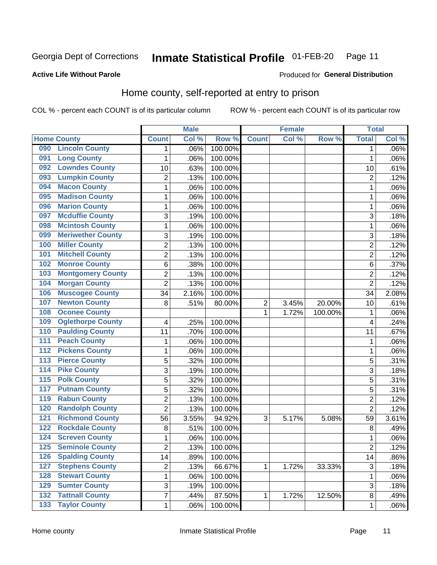#### **Inmate Statistical Profile 01-FEB-20** Page 11

Produced for General Distribution

### **Active Life Without Parole**

### Home county, self-reported at entry to prison

COL % - percent each COUNT is of its particular column

|                  |                          |                | <b>Male</b> |         |                | <b>Female</b> |         | <b>Total</b>            |       |
|------------------|--------------------------|----------------|-------------|---------|----------------|---------------|---------|-------------------------|-------|
|                  | <b>Home County</b>       | <b>Count</b>   | Col %       | Row %   | <b>Count</b>   | Col%          | Row %   | <b>Total</b>            | Col % |
| 090              | <b>Lincoln County</b>    | 1              | .06%        | 100.00% |                |               |         | 1                       | .06%  |
| 091              | <b>Long County</b>       | 1              | .06%        | 100.00% |                |               |         | 1                       | .06%  |
| 092              | <b>Lowndes County</b>    | 10             | .63%        | 100.00% |                |               |         | 10                      | .61%  |
| 093              | <b>Lumpkin County</b>    | 2              | .13%        | 100.00% |                |               |         | $\overline{2}$          | .12%  |
| 094              | <b>Macon County</b>      | $\mathbf{1}$   | .06%        | 100.00% |                |               |         | 1                       | .06%  |
| 095              | <b>Madison County</b>    | $\mathbf 1$    | .06%        | 100.00% |                |               |         | 1                       | .06%  |
| 096              | <b>Marion County</b>     | 1              | .06%        | 100.00% |                |               |         | 1                       | .06%  |
| 097              | <b>Mcduffie County</b>   | 3              | .19%        | 100.00% |                |               |         | 3                       | .18%  |
| 098              | <b>Mcintosh County</b>   | $\mathbf 1$    | .06%        | 100.00% |                |               |         | 1                       | .06%  |
| 099              | <b>Meriwether County</b> | 3              | .19%        | 100.00% |                |               |         | 3                       | .18%  |
| 100              | <b>Miller County</b>     | $\overline{2}$ | .13%        | 100.00% |                |               |         | $\overline{2}$          | .12%  |
| 101              | <b>Mitchell County</b>   | $\overline{c}$ | .13%        | 100.00% |                |               |         | $\overline{2}$          | .12%  |
| 102              | <b>Monroe County</b>     | 6              | .38%        | 100.00% |                |               |         | 6                       | .37%  |
| 103              | <b>Montgomery County</b> | $\overline{c}$ | .13%        | 100.00% |                |               |         | $\overline{2}$          | .12%  |
| 104              | <b>Morgan County</b>     | $\overline{2}$ | .13%        | 100.00% |                |               |         | $\overline{2}$          | .12%  |
| 106              | <b>Muscogee County</b>   | 34             | 2.16%       | 100.00% |                |               |         | 34                      | 2.08% |
| 107              | <b>Newton County</b>     | 8              | .51%        | 80.00%  | $\overline{2}$ | 3.45%         | 20.00%  | 10                      | .61%  |
| 108              | <b>Oconee County</b>     |                |             |         | 1              | 1.72%         | 100.00% | 1                       | .06%  |
| 109              | <b>Oglethorpe County</b> | 4              | .25%        | 100.00% |                |               |         | $\overline{\mathbf{4}}$ | .24%  |
| 110              | <b>Paulding County</b>   | 11             | .70%        | 100.00% |                |               |         | 11                      | .67%  |
| 111              | <b>Peach County</b>      | 1              | .06%        | 100.00% |                |               |         | 1                       | .06%  |
| $\overline{112}$ | <b>Pickens County</b>    | $\mathbf 1$    | .06%        | 100.00% |                |               |         | 1                       | .06%  |
| 113              | <b>Pierce County</b>     | 5              | .32%        | 100.00% |                |               |         | 5                       | .31%  |
| 114              | <b>Pike County</b>       | 3              | .19%        | 100.00% |                |               |         | 3                       | .18%  |
| $\overline{115}$ | <b>Polk County</b>       | 5              | .32%        | 100.00% |                |               |         | 5                       | .31%  |
| 117              | <b>Putnam County</b>     | 5              | .32%        | 100.00% |                |               |         | 5                       | .31%  |
| 119              | <b>Rabun County</b>      | $\overline{c}$ | .13%        | 100.00% |                |               |         | $\overline{2}$          | .12%  |
| 120              | <b>Randolph County</b>   | $\overline{2}$ | .13%        | 100.00% |                |               |         | $\overline{2}$          | .12%  |
| $121$            | <b>Richmond County</b>   | 56             | 3.55%       | 94.92%  | 3              | 5.17%         | 5.08%   | 59                      | 3.61% |
| 122              | <b>Rockdale County</b>   | 8              | .51%        | 100.00% |                |               |         | 8                       | .49%  |
| 124              | <b>Screven County</b>    | 1              | .06%        | 100.00% |                |               |         | 1                       | .06%  |
| 125              | <b>Seminole County</b>   | 2              | .13%        | 100.00% |                |               |         | $\overline{c}$          | .12%  |
| 126              | <b>Spalding County</b>   | 14             | .89%        | 100.00% |                |               |         | 14                      | .86%  |
| 127              | <b>Stephens County</b>   | $\overline{2}$ | .13%        | 66.67%  | 1              | 1.72%         | 33.33%  | $\sqrt{3}$              | .18%  |
| 128              | <b>Stewart County</b>    | $\mathbf 1$    | .06%        | 100.00% |                |               |         | 1                       | .06%  |
| 129              | <b>Sumter County</b>     | 3              | .19%        | 100.00% |                |               |         | 3                       | .18%  |
| 132              | <b>Tattnall County</b>   | $\overline{7}$ | .44%        | 87.50%  | 1              | 1.72%         | 12.50%  | 8                       | .49%  |
| 133              | <b>Taylor County</b>     | $\mathbf{1}$   | .06%        | 100.00% |                |               |         | 1                       | .06%  |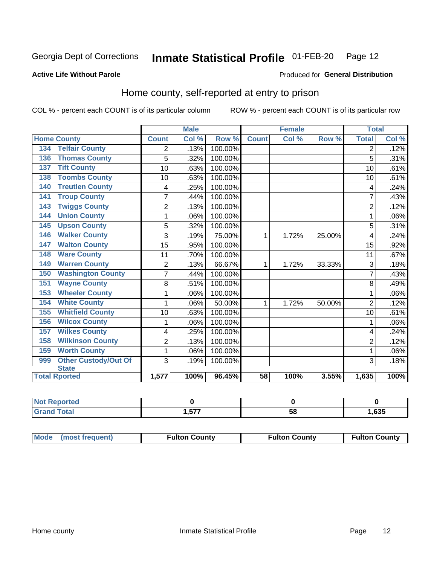#### Inmate Statistical Profile 01-FEB-20 Page 12

### **Active Life Without Parole**

#### Produced for General Distribution

## Home county, self-reported at entry to prison

COL % - percent each COUNT is of its particular column

|                                    |                | <b>Male</b> |         | <b>Female</b> |       |        | <b>Total</b>   |       |
|------------------------------------|----------------|-------------|---------|---------------|-------|--------|----------------|-------|
| <b>Home County</b>                 | <b>Count</b>   | Col %       | Row %   | <b>Count</b>  | Col % | Row %  | <b>Total</b>   | Col % |
| <b>Telfair County</b><br>134       | 2              | .13%        | 100.00% |               |       |        | 2              | .12%  |
| <b>Thomas County</b><br>136        | 5              | .32%        | 100.00% |               |       |        | 5              | .31%  |
| <b>Tift County</b><br>137          | 10             | .63%        | 100.00% |               |       |        | 10             | .61%  |
| <b>Toombs County</b><br>138        | 10             | .63%        | 100.00% |               |       |        | 10             | .61%  |
| <b>Treutlen County</b><br>140      | 4              | .25%        | 100.00% |               |       |        | 4              | .24%  |
| <b>Troup County</b><br>141         | $\overline{7}$ | .44%        | 100.00% |               |       |        | 7              | .43%  |
| <b>Twiggs County</b><br>143        | $\overline{c}$ | .13%        | 100.00% |               |       |        | $\overline{2}$ | .12%  |
| <b>Union County</b><br>144         | 1              | .06%        | 100.00% |               |       |        |                | .06%  |
| <b>Upson County</b><br>145         | 5              | .32%        | 100.00% |               |       |        | 5              | .31%  |
| <b>Walker County</b><br>146        | 3              | .19%        | 75.00%  | 1             | 1.72% | 25.00% | 4              | .24%  |
| <b>Walton County</b><br>147        | 15             | .95%        | 100.00% |               |       |        | 15             | .92%  |
| <b>Ware County</b><br>148          | 11             | .70%        | 100.00% |               |       |        | 11             | .67%  |
| <b>Warren County</b><br>149        | $\overline{2}$ | .13%        | 66.67%  | 1             | 1.72% | 33.33% | 3              | .18%  |
| <b>Washington County</b><br>150    | 7              | .44%        | 100.00% |               |       |        |                | .43%  |
| <b>Wayne County</b><br>151         | 8              | .51%        | 100.00% |               |       |        | 8              | .49%  |
| <b>Wheeler County</b><br>153       | 1              | .06%        | 100.00% |               |       |        | 1              | .06%  |
| <b>White County</b><br>154         | 1              | .06%        | 50.00%  | 1             | 1.72% | 50.00% | $\overline{2}$ | .12%  |
| <b>Whitfield County</b><br>155     | 10             | .63%        | 100.00% |               |       |        | 10             | .61%  |
| <b>Wilcox County</b><br>156        | 1              | .06%        | 100.00% |               |       |        |                | .06%  |
| <b>Wilkes County</b><br>157        | 4              | .25%        | 100.00% |               |       |        | 4              | .24%  |
| <b>Wilkinson County</b><br>158     | $\overline{2}$ | .13%        | 100.00% |               |       |        | $\overline{2}$ | .12%  |
| <b>Worth County</b><br>159         | 1              | .06%        | 100.00% |               |       |        | 1              | .06%  |
| <b>Other Custody/Out Of</b><br>999 | 3              | .19%        | 100.00% |               |       |        | 3              | .18%  |
| <b>State</b>                       |                |             |         |               |       |        |                |       |
| <b>Total Rported</b>               | 1,577          | 100%        | 96.45%  | 58            | 100%  | 3.55%  | 1,635          | 100%  |

| <b>NOT</b><br><b>Reported</b> |             |    |      |
|-------------------------------|-------------|----|------|
| <b>otal</b>                   | 777<br>.,v. | ວດ | ,635 |

| Mode (most frequent) | <b>Fulton County</b> | <b>Fulton County</b> | <b>Fulton County</b> |
|----------------------|----------------------|----------------------|----------------------|
|----------------------|----------------------|----------------------|----------------------|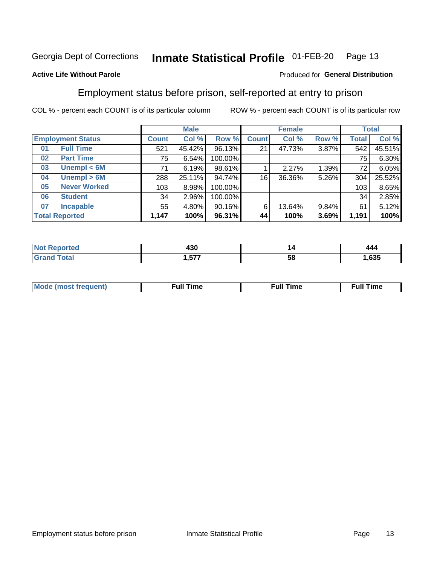#### Inmate Statistical Profile 01-FEB-20 Page 13

#### **Active Life Without Parole**

### Produced for General Distribution

## Employment status before prison, self-reported at entry to prison

COL % - percent each COUNT is of its particular column

|                           |              | <b>Male</b> |         |              | <b>Female</b> |       |       | <b>Total</b> |
|---------------------------|--------------|-------------|---------|--------------|---------------|-------|-------|--------------|
| <b>Employment Status</b>  | <b>Count</b> | Col %       | Row %   | <b>Count</b> | Col %         | Row % | Total | Col %        |
| <b>Full Time</b><br>01    | 521          | 45.42%      | 96.13%  | 21           | 47.73%        | 3.87% | 542   | 45.51%       |
| <b>Part Time</b><br>02    | 75           | 6.54%       | 100.00% |              |               |       | 75    | 6.30%        |
| Unempl $<$ 6M<br>03       | 71           | 6.19%       | 98.61%  |              | 2.27%         | 1.39% | 72    | 6.05%        |
| Unempl > 6M<br>04         | 288          | 25.11%      | 94.74%  | 16           | 36.36%        | 5.26% | 304   | 25.52%       |
| <b>Never Worked</b><br>05 | 103          | 8.98%       | 100.00% |              |               |       | 103   | 8.65%        |
| <b>Student</b><br>06      | 34           | 2.96%       | 100.00% |              |               |       | 34    | 2.85%        |
| <b>Incapable</b><br>07    | 55           | 4.80%       | 90.16%  | 6            | 13.64%        | 9.84% | 61    | 5.12%        |
| <b>Total Reported</b>     | 1,147        | 100%        | 96.31%  | 44           | 100%          | 3.69% | 1,191 | 100%         |

| . הו<br>4JU<br>__ | ız | ---  |
|-------------------|----|------|
| ----<br>.57       | ວເ | .635 |

| Mc | ∴ull | ----<br>ıme<br>w |
|----|------|------------------|
|    |      |                  |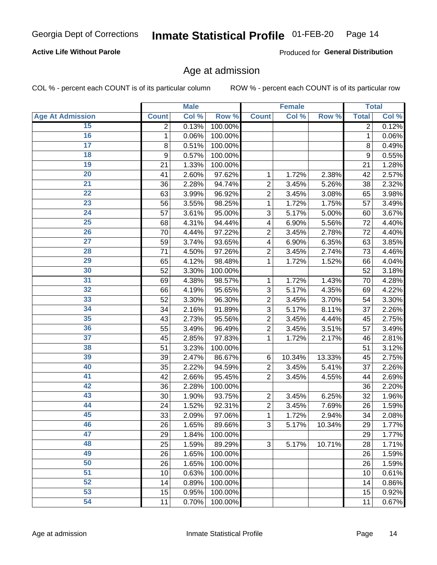### **Active Life Without Parole**

Produced for General Distribution

### Age at admission

COL % - percent each COUNT is of its particular column

|                         |              | <b>Male</b> |         |                | <b>Female</b> |        |              | <b>Total</b> |
|-------------------------|--------------|-------------|---------|----------------|---------------|--------|--------------|--------------|
| <b>Age At Admission</b> | <b>Count</b> | Col %       | Row %   | <b>Count</b>   | Col %         | Row %  | <b>Total</b> | Col %        |
| 15                      | 2            | 0.13%       | 100.00% |                |               |        | 2            | 0.12%        |
| 16                      | 1            | 0.06%       | 100.00% |                |               |        | 1            | 0.06%        |
| $\overline{17}$         | 8            | 0.51%       | 100.00% |                |               |        | 8            | 0.49%        |
| 18                      | 9            | 0.57%       | 100.00% |                |               |        | 9            | 0.55%        |
| 19                      | 21           | 1.33%       | 100.00% |                |               |        | 21           | 1.28%        |
| $\overline{20}$         | 41           | 2.60%       | 97.62%  | 1              | 1.72%         | 2.38%  | 42           | 2.57%        |
| 21                      | 36           | 2.28%       | 94.74%  | $\overline{2}$ | 3.45%         | 5.26%  | 38           | 2.32%        |
| 22                      | 63           | 3.99%       | 96.92%  | $\overline{2}$ | 3.45%         | 3.08%  | 65           | 3.98%        |
| 23                      | 56           | 3.55%       | 98.25%  | 1              | 1.72%         | 1.75%  | 57           | 3.49%        |
| 24                      | 57           | 3.61%       | 95.00%  | 3              | 5.17%         | 5.00%  | 60           | 3.67%        |
| $\overline{25}$         | 68           | 4.31%       | 94.44%  | 4              | 6.90%         | 5.56%  | 72           | 4.40%        |
| 26                      | 70           | 4.44%       | 97.22%  | $\overline{2}$ | 3.45%         | 2.78%  | 72           | 4.40%        |
| $\overline{27}$         | 59           | 3.74%       | 93.65%  | 4              | 6.90%         | 6.35%  | 63           | 3.85%        |
| 28                      | 71           | 4.50%       | 97.26%  | $\overline{2}$ | 3.45%         | 2.74%  | 73           | 4.46%        |
| 29                      | 65           | 4.12%       | 98.48%  | 1              | 1.72%         | 1.52%  | 66           | 4.04%        |
| 30                      | 52           | 3.30%       | 100.00% |                |               |        | 52           | 3.18%        |
| 31                      | 69           | 4.38%       | 98.57%  | 1              | 1.72%         | 1.43%  | 70           | 4.28%        |
| 32                      | 66           | 4.19%       | 95.65%  | 3              | 5.17%         | 4.35%  | 69           | 4.22%        |
| 33                      | 52           | 3.30%       | 96.30%  | $\overline{2}$ | 3.45%         | 3.70%  | 54           | 3.30%        |
| 34                      | 34           | 2.16%       | 91.89%  | 3              | 5.17%         | 8.11%  | 37           | 2.26%        |
| 35                      | 43           | 2.73%       | 95.56%  | $\overline{2}$ | 3.45%         | 4.44%  | 45           | 2.75%        |
| 36                      | 55           | 3.49%       | 96.49%  | $\overline{2}$ | 3.45%         | 3.51%  | 57           | 3.49%        |
| $\overline{37}$         | 45           | 2.85%       | 97.83%  | 1              | 1.72%         | 2.17%  | 46           | 2.81%        |
| 38                      | 51           | 3.23%       | 100.00% |                |               |        | 51           | 3.12%        |
| 39                      | 39           | 2.47%       | 86.67%  | 6              | 10.34%        | 13.33% | 45           | 2.75%        |
| 40                      | 35           | 2.22%       | 94.59%  | $\overline{2}$ | 3.45%         | 5.41%  | 37           | 2.26%        |
| 41                      | 42           | 2.66%       | 95.45%  | $\overline{2}$ | 3.45%         | 4.55%  | 44           | 2.69%        |
| 42                      | 36           | 2.28%       | 100.00% |                |               |        | 36           | 2.20%        |
| 43                      | 30           | 1.90%       | 93.75%  | $\overline{2}$ | 3.45%         | 6.25%  | 32           | 1.96%        |
| 44                      | 24           | 1.52%       | 92.31%  | $\overline{2}$ | 3.45%         | 7.69%  | 26           | 1.59%        |
| 45                      | 33           | 2.09%       | 97.06%  | 1              | 1.72%         | 2.94%  | 34           | 2.08%        |
| 46                      | 26           | 1.65%       | 89.66%  | 3              | 5.17%         | 10.34% | 29           | 1.77%        |
| 47                      | 29           | 1.84%       | 100.00% |                |               |        | 29           | 1.77%        |
| 48                      | 25           | 1.59%       | 89.29%  | 3              | 5.17%         | 10.71% | 28           | 1.71%        |
| 49                      | 26           | 1.65%       | 100.00% |                |               |        | 26           | 1.59%        |
| 50                      | 26           | 1.65%       | 100.00% |                |               |        | 26           | 1.59%        |
| $\overline{51}$         | 10           | 0.63%       | 100.00% |                |               |        | 10           | 0.61%        |
| 52                      | 14           | 0.89%       | 100.00% |                |               |        | 14           | 0.86%        |
| 53                      | 15           | 0.95%       | 100.00% |                |               |        | 15           | 0.92%        |
| 54                      | 11           | 0.70%       | 100.00% |                |               |        | 11           | 0.67%        |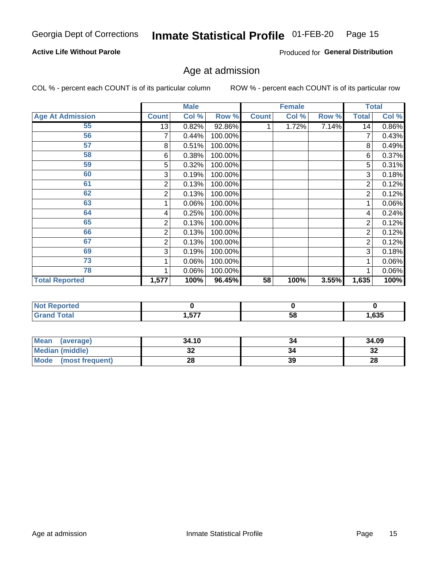### **Active Life Without Parole**

Produced for General Distribution

## Age at admission

COL % - percent each COUNT is of its particular column

|                         |              | <b>Male</b> |         |              | <b>Female</b> |       |                | <b>Total</b> |
|-------------------------|--------------|-------------|---------|--------------|---------------|-------|----------------|--------------|
| <b>Age At Admission</b> | <b>Count</b> | Col %       | Row %   | <b>Count</b> | Col %         | Row % | <b>Total</b>   | Col %        |
| 55                      | 13           | 0.82%       | 92.86%  |              | 1.72%         | 7.14% | 14             | 0.86%        |
| 56                      | 7            | 0.44%       | 100.00% |              |               |       | 7              | 0.43%        |
| 57                      | 8            | 0.51%       | 100.00% |              |               |       | 8              | 0.49%        |
| 58                      | 6            | 0.38%       | 100.00% |              |               |       | 6              | 0.37%        |
| 59                      | 5            | 0.32%       | 100.00% |              |               |       | 5              | 0.31%        |
| 60                      | 3            | 0.19%       | 100.00% |              |               |       | 3              | 0.18%        |
| 61                      | 2            | 0.13%       | 100.00% |              |               |       | 2              | 0.12%        |
| 62                      | 2            | 0.13%       | 100.00% |              |               |       | $\overline{2}$ | 0.12%        |
| 63                      |              | 0.06%       | 100.00% |              |               |       | 1              | 0.06%        |
| 64                      | 4            | 0.25%       | 100.00% |              |               |       | 4              | 0.24%        |
| 65                      | 2            | 0.13%       | 100.00% |              |               |       | 2              | 0.12%        |
| 66                      | 2            | 0.13%       | 100.00% |              |               |       | 2              | 0.12%        |
| 67                      | 2            | 0.13%       | 100.00% |              |               |       | 2              | 0.12%        |
| 69                      | 3            | 0.19%       | 100.00% |              |               |       | 3              | 0.18%        |
| 73                      |              | 0.06%       | 100.00% |              |               |       |                | 0.06%        |
| 78                      |              | 0.06%       | 100.00% |              |               |       |                | 0.06%        |
| <b>Total Reported</b>   | 1,577        | 100%        | 96.45%  | 58           | 100%          | 3.55% | 1,635          | 100%         |

| <u>teu</u>        |     |    |        |
|-------------------|-----|----|--------|
| Code <sup>r</sup> | ドママ | 70 | $\sim$ |
|                   |     | uc | ნან    |

| Mean (average)         | 34.10 |    | 34.09     |
|------------------------|-------|----|-----------|
| <b>Median (middle)</b> | ◡▵    |    | o c<br>⊾ت |
| Mode (most frequent)   | იი    | 39 | 28        |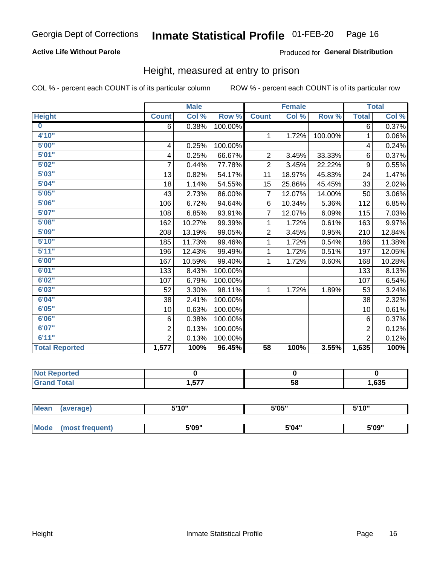### **Active Life Without Parole**

### Produced for General Distribution

### Height, measured at entry to prison

COL % - percent each COUNT is of its particular column

|                       |                | <b>Male</b> |         |                | <b>Female</b> |         |                | <b>Total</b> |
|-----------------------|----------------|-------------|---------|----------------|---------------|---------|----------------|--------------|
| <b>Height</b>         | <b>Count</b>   | Col %       | Row %   | <b>Count</b>   | Col %         | Row %   | <b>Total</b>   | Col %        |
| $\bf{0}$              | 6              | 0.38%       | 100.00% |                |               |         | 6              | 0.37%        |
| 4'10"                 |                |             |         | $\mathbf{1}$   | 1.72%         | 100.00% | 1              | 0.06%        |
| 5'00''                | 4              | 0.25%       | 100.00% |                |               |         | 4              | 0.24%        |
| 5'01"                 | 4              | 0.25%       | 66.67%  | $\overline{2}$ | 3.45%         | 33.33%  | 6              | 0.37%        |
| 5'02"                 | $\overline{7}$ | 0.44%       | 77.78%  | $\overline{2}$ | 3.45%         | 22.22%  | 9              | 0.55%        |
| 5'03''                | 13             | 0.82%       | 54.17%  | 11             | 18.97%        | 45.83%  | 24             | 1.47%        |
| 5'04"                 | 18             | 1.14%       | 54.55%  | 15             | 25.86%        | 45.45%  | 33             | 2.02%        |
| 5'05"                 | 43             | 2.73%       | 86.00%  | 7              | 12.07%        | 14.00%  | 50             | 3.06%        |
| 5'06''                | 106            | 6.72%       | 94.64%  | 6              | 10.34%        | 5.36%   | 112            | 6.85%        |
| 5'07''                | 108            | 6.85%       | 93.91%  | 7              | 12.07%        | 6.09%   | 115            | 7.03%        |
| 5'08''                | 162            | 10.27%      | 99.39%  | 1              | 1.72%         | 0.61%   | 163            | 9.97%        |
| 5'09''                | 208            | 13.19%      | 99.05%  | $\overline{c}$ | 3.45%         | 0.95%   | 210            | 12.84%       |
| 5'10''                | 185            | 11.73%      | 99.46%  | 1              | 1.72%         | 0.54%   | 186            | 11.38%       |
| 5'11"                 | 196            | 12.43%      | 99.49%  | 1              | 1.72%         | 0.51%   | 197            | 12.05%       |
| 6'00''                | 167            | 10.59%      | 99.40%  | 1              | 1.72%         | 0.60%   | 168            | 10.28%       |
| 6'01''                | 133            | 8.43%       | 100.00% |                |               |         | 133            | 8.13%        |
| 6'02"                 | 107            | 6.79%       | 100.00% |                |               |         | 107            | 6.54%        |
| 6'03''                | 52             | 3.30%       | 98.11%  | $\mathbf{1}$   | 1.72%         | 1.89%   | 53             | 3.24%        |
| 6'04"                 | 38             | 2.41%       | 100.00% |                |               |         | 38             | 2.32%        |
| 6'05"                 | 10             | 0.63%       | 100.00% |                |               |         | 10             | 0.61%        |
| 6'06"                 | 6              | 0.38%       | 100.00% |                |               |         | 6              | 0.37%        |
| 6'07''                | $\overline{2}$ | 0.13%       | 100.00% |                |               |         | $\overline{2}$ | 0.12%        |
| 6'11''                | $\overline{2}$ | 0.13%       | 100.00% |                |               |         | $\overline{2}$ | 0.12%        |
| <b>Total Reported</b> | 1,577          | 100%        | 96.45%  | 58             | 100%          | 3.55%   | 1,635          | 100%         |

| ortea<br>. |      |    |      |
|------------|------|----|------|
| _____      | .577 | 58 | ,635 |

| <b>Mean</b> | (average)       | 5'10" | 5'05" | 5'10" |
|-------------|-----------------|-------|-------|-------|
|             |                 |       |       |       |
| Mode        | (most frequent) | 5'09" | 5'04" | 5'09" |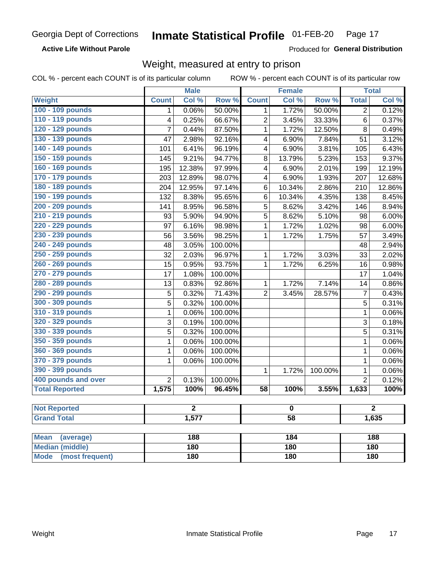### **Active Life Without Parole**

Produced for General Distribution

### Weight, measured at entry to prison

COL % - percent each COUNT is of its particular column

|                                |                          | <b>Male</b> |                  |                 | <b>Female</b> |         |                | <b>Total</b> |  |
|--------------------------------|--------------------------|-------------|------------------|-----------------|---------------|---------|----------------|--------------|--|
| <b>Weight</b>                  | <b>Count</b>             | Col %       | Row <sup>%</sup> | <b>Count</b>    | Col %         | Row %   | <b>Total</b>   | Col %        |  |
| 100 - 109 pounds               | 1                        | 0.06%       | 50.00%           | 1               | 1.72%         | 50.00%  | 2              | 0.12%        |  |
| 110 - 119 pounds               | 4                        | 0.25%       | 66.67%           | $\overline{2}$  | 3.45%         | 33.33%  | 6              | 0.37%        |  |
| 120 - 129 pounds               | $\overline{7}$           | 0.44%       | 87.50%           | 1               | 1.72%         | 12.50%  | 8              | 0.49%        |  |
| 130 - 139 pounds               | 47                       | 2.98%       | 92.16%           | 4               | 6.90%         | 7.84%   | 51             | 3.12%        |  |
| 140 - 149 pounds               | 101                      | 6.41%       | 96.19%           | 4               | 6.90%         | 3.81%   | 105            | 6.43%        |  |
| 150 - 159 pounds               | 145                      | 9.21%       | 94.77%           | 8               | 13.79%        | 5.23%   | 153            | 9.37%        |  |
| 160 - 169 pounds               | 195                      | 12.38%      | 97.99%           | 4               | 6.90%         | 2.01%   | 199            | 12.19%       |  |
| 170 - 179 pounds               | 203                      | 12.89%      | 98.07%           | 4               | 6.90%         | 1.93%   | 207            | 12.68%       |  |
| 180 - 189 pounds               | 204                      | 12.95%      | 97.14%           | 6               | 10.34%        | 2.86%   | 210            | 12.86%       |  |
| 190 - 199 pounds               | 132                      | 8.38%       | 95.65%           | 6               | 10.34%        | 4.35%   | 138            | 8.45%        |  |
| 200 - 209 pounds               | 141                      | 8.95%       | 96.58%           | 5               | 8.62%         | 3.42%   | 146            | 8.94%        |  |
| 210 - 219 pounds               | 93                       | 5.90%       | 94.90%           | 5               | 8.62%         | 5.10%   | 98             | 6.00%        |  |
| 220 - 229 pounds               | 97                       | 6.16%       | 98.98%           | 1               | 1.72%         | 1.02%   | 98             | 6.00%        |  |
| 230 - 239 pounds               | 56                       | 3.56%       | 98.25%           | 1               | 1.72%         | 1.75%   | 57             | 3.49%        |  |
| 240 - 249 pounds               | 48                       | 3.05%       | 100.00%          |                 |               |         | 48             | 2.94%        |  |
| 250 - 259 pounds               | 32                       | 2.03%       | 96.97%           | 1               | 1.72%         | 3.03%   | 33             | 2.02%        |  |
| 260 - 269 pounds               | 15                       | 0.95%       | 93.75%           | 1               | 1.72%         | 6.25%   | 16             | 0.98%        |  |
| 270 - 279 pounds               | 17                       | 1.08%       | 100.00%          |                 |               |         | 17             | 1.04%        |  |
| 280 - 289 pounds               | 13                       | 0.83%       | 92.86%           | 1               | 1.72%         | 7.14%   | 14             | 0.86%        |  |
| 290 - 299 pounds               | 5                        | 0.32%       | 71.43%           | $\overline{2}$  | 3.45%         | 28.57%  | $\overline{7}$ | 0.43%        |  |
| 300 - 309 pounds               | 5                        | 0.32%       | 100.00%          |                 |               |         | 5              | 0.31%        |  |
| 310 - 319 pounds               | 1                        | 0.06%       | 100.00%          |                 |               |         | $\mathbf 1$    | 0.06%        |  |
| 320 - 329 pounds               | 3                        | 0.19%       | 100.00%          |                 |               |         | 3              | 0.18%        |  |
| 330 - 339 pounds               | 5                        | 0.32%       | 100.00%          |                 |               |         | 5              | 0.31%        |  |
| 350 - 359 pounds               | 1                        | 0.06%       | 100.00%          |                 |               |         | 1              | 0.06%        |  |
| 360 - 369 pounds               | 1                        | 0.06%       | 100.00%          |                 |               |         | $\mathbf 1$    | 0.06%        |  |
| 370 - 379 pounds               | 1                        | 0.06%       | 100.00%          |                 |               |         | 1              | 0.06%        |  |
| 390 - 399 pounds               |                          |             |                  | 1               | 1.72%         | 100.00% | 1              | 0.06%        |  |
| 400 pounds and over            | $\overline{2}$           | 0.13%       | 100.00%          |                 |               |         | $\overline{2}$ | 0.12%        |  |
| <b>Total Reported</b>          | 1,575                    | 100%        | 96.45%           | $\overline{58}$ | 100%          | 3.55%   | 1,633          | 100%         |  |
| <b>Not Reported</b>            |                          | 2           |                  |                 | o             |         |                | 2            |  |
| <b>Grand Total</b>             | 1,577<br>$\overline{58}$ |             |                  |                 | 1,635         |         |                |              |  |
|                                |                          |             |                  |                 |               |         |                |              |  |
| <b>Mean</b><br>(average)       |                          | 188         |                  |                 | 184           |         |                | 188          |  |
| <b>Median (middle)</b>         |                          | 180         |                  |                 | 180           |         |                | 180          |  |
| <b>Mode</b><br>(most frequent) |                          | 180         |                  | 180             |               |         | <b>180</b>     |              |  |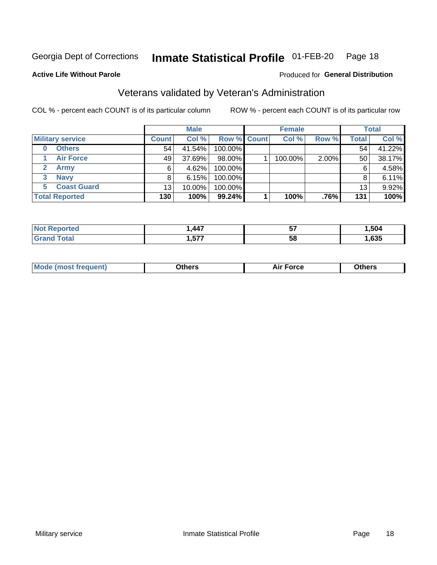#### Inmate Statistical Profile 01-FEB-20 Page 18

Produced for General Distribution

#### **Active Life Without Parole**

## Veterans validated by Veteran's Administration

COL % - percent each COUNT is of its particular column

|                          |                 | <b>Male</b> |                    | <b>Female</b> |       |       | <b>Total</b> |
|--------------------------|-----------------|-------------|--------------------|---------------|-------|-------|--------------|
| <b>Military service</b>  | <b>Count</b>    | Col %       | <b>Row % Count</b> | Col %         | Row % | Total | Col %        |
| <b>Others</b><br>0       | 54              | 41.54%      | 100.00%            |               |       | 54    | 41.22%       |
| <b>Air Force</b>         | 49              | 37.69%      | 98.00%             | 100.00%       | 2.00% | 50    | 38.17%       |
| <b>Army</b>              | 6               | 4.62%       | 100.00%            |               |       | 6     | 4.58%        |
| <b>Navy</b><br>3         |                 | 6.15%       | 100.00%            |               |       | 8     | 6.11%        |
| <b>Coast Guard</b><br>5. | 13 <sub>1</sub> | 10.00%      | 100.00%            |               |       | 13    | 9.92%        |
| <b>Total Reported</b>    | 130             | 100%        | 99.24%             | 100%          | .76%  | 131   | 100%         |

| neo     | $AA^-$     | --<br>v, | .504 |
|---------|------------|----------|------|
| $f = f$ | ---<br>,., | 58       | ,635 |

| <b>Moo.</b> |
|-------------|
|-------------|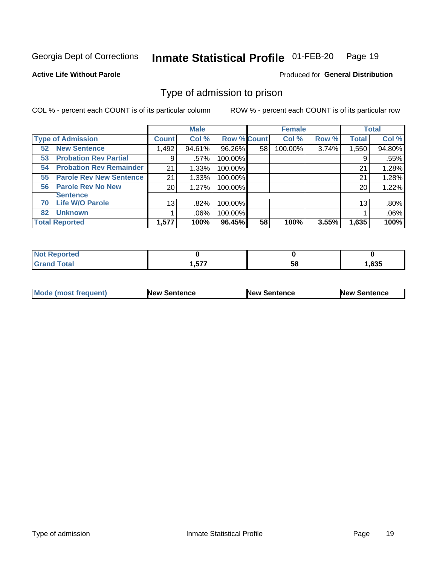#### Inmate Statistical Profile 01-FEB-20 Page 19

**Active Life Without Parole** 

Produced for General Distribution

### Type of admission to prison

COL % - percent each COUNT is of its particular column

|                                      |                 | <b>Male</b> |                    |    | <b>Female</b> |       |              | <b>Total</b> |
|--------------------------------------|-----------------|-------------|--------------------|----|---------------|-------|--------------|--------------|
| <b>Type of Admission</b>             | <b>Count</b>    | Col %       | <b>Row % Count</b> |    | Col %         | Row % | <b>Total</b> | Col %        |
| <b>New Sentence</b><br>52            | 1,492           | 94.61%      | 96.26%             | 58 | 100.00%       | 3.74% | 1,550        | 94.80%       |
| <b>Probation Rev Partial</b><br>53   | 9               | .57%        | 100.00%            |    |               |       | 9            | .55%         |
| <b>Probation Rev Remainder</b><br>54 | 21              | 1.33%       | 100.00%            |    |               |       | 21           | 1.28%        |
| <b>Parole Rev New Sentence</b><br>55 | 21              | 1.33%       | 100.00%            |    |               |       | 21           | 1.28%        |
| <b>Parole Rev No New</b><br>56       | 20              | 1.27%       | 100.00%            |    |               |       | 20           | 1.22%        |
| <b>Sentence</b>                      |                 |             |                    |    |               |       |              |              |
| <b>Life W/O Parole</b><br>70         | 13 <sub>1</sub> | .82%        | 100.00%            |    |               |       | 13           | .80%         |
| <b>Unknown</b><br>82                 |                 | $.06\%$     | 100.00%            |    |               |       |              | .06%         |
| <b>Total Reported</b>                | 1,577           | 100%        | 96.45%             | 58 | 100%          | 3.55% | 1,635        | 100%         |

| <b>Not Reported</b> |       |     |       |
|---------------------|-------|-----|-------|
| <b>Total</b>        | ドップ   | E C | 1,635 |
| 'Grand              | 1.577 | วง  |       |

| <b>Mode (most frequent)</b> | <b>New Sentence</b> | <b>New Sentence</b> | <b>New Sentence</b> |
|-----------------------------|---------------------|---------------------|---------------------|
|                             |                     |                     |                     |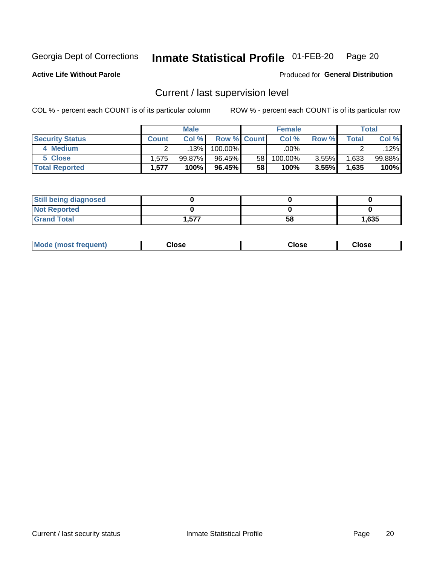## Inmate Statistical Profile 01-FEB-20 Page 20

**Active Life Without Parole** 

Produced for General Distribution

## Current / last supervision level

COL % - percent each COUNT is of its particular column

|                        |                | <b>Male</b> |                    |    | <b>Female</b> |       |       | Total  |
|------------------------|----------------|-------------|--------------------|----|---------------|-------|-------|--------|
| <b>Security Status</b> | <b>Count</b> l | Col%        | <b>Row % Count</b> |    | Col %         | Row % | Total | Col %  |
| 4 Medium               |                | 13%         | 100.00%            |    | .00%          |       |       | .12%l  |
| 5 Close                | .575           | 99.87%      | 96.45%             | 58 | 100.00%       | 3.55% | .633  | 99.88% |
| <b>Total Reported</b>  | 1,577          | 100%        | 96.45%             | 58 | 100%          | 3.55% | 1,635 | 100%   |

| <b>Still being diagnosed</b> |       |    |       |
|------------------------------|-------|----|-------|
| <b>Not Reported</b>          |       |    |       |
| <b>Grand Total</b>           | .,577 | 58 | 1,635 |

| <b>Mode (most frequent)</b> | Close | ∵lose | Close |
|-----------------------------|-------|-------|-------|
|                             |       |       |       |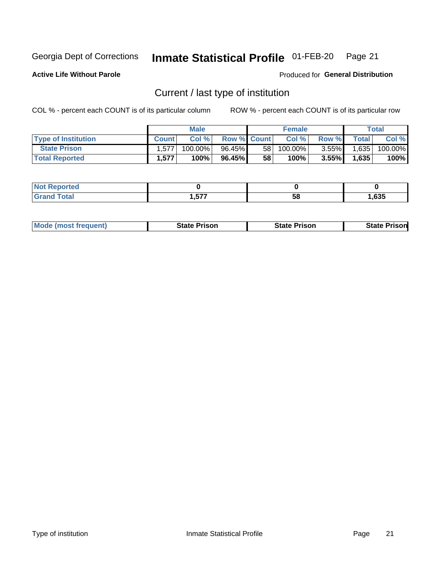#### Inmate Statistical Profile 01-FEB-20 Page 21

**Active Life Without Parole** 

Produced for General Distribution

## Current / last type of institution

COL % - percent each COUNT is of its particular column

|                            |              | <b>Male</b> |                    |                 | <b>Female</b> |          |              | Total   |
|----------------------------|--------------|-------------|--------------------|-----------------|---------------|----------|--------------|---------|
| <b>Type of Institution</b> | <b>Count</b> | Col %       | <b>Row % Count</b> |                 | Col %         | Row %    | <b>Total</b> | Col %   |
| <b>State Prison</b>        | 1,577        | 100.00%     | 96.45%             | 58 <sub>1</sub> | 100.00%       | $3.55\%$ | 1,635        | 100.00% |
| <b>Total Reported</b>      | 1,577        | 100%        | 96.45%             | 58              | 100%          | $3.55\%$ | 1,635        | 100%    |

| τeα<br>. |          |    |      |
|----------|----------|----|------|
|          | ヒフフ<br>. | ວເ | ,635 |

| <b>Mode (most frequent)</b> | State Prison | <b>State Prison</b> | State<br>⊦ Prisonl |
|-----------------------------|--------------|---------------------|--------------------|
|                             |              |                     |                    |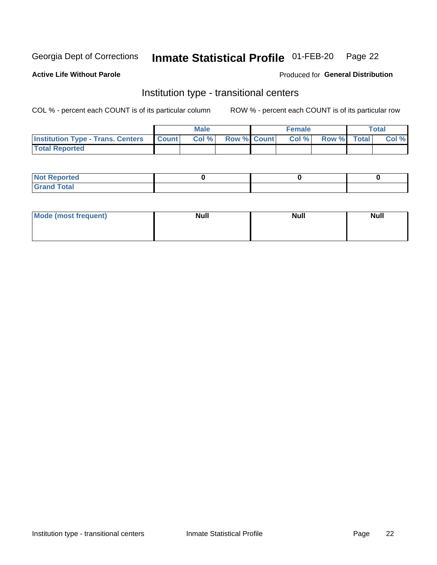#### Inmate Statistical Profile 01-FEB-20 Page 22

**Active Life Without Parole** 

#### Produced for General Distribution

## Institution type - transitional centers

COL % - percent each COUNT is of its particular column

|                                          |              | <b>Male</b> |                    | <b>Female</b> |             | <b>Total</b> |
|------------------------------------------|--------------|-------------|--------------------|---------------|-------------|--------------|
| <b>Institution Type - Trans. Centers</b> | <b>Count</b> | CoI%        | <b>Row % Count</b> | Col %         | Row % Total | Col %        |
| <b>Total Reported</b>                    |              |             |                    |               |             |              |

| <b>Not Reported</b>            |  |  |
|--------------------------------|--|--|
| <b>Total</b><br><b>COMMENT</b> |  |  |

| Mode (most frequent) | <b>Null</b> | <b>Null</b> | <b>Null</b> |
|----------------------|-------------|-------------|-------------|
|                      |             |             |             |
|                      |             |             |             |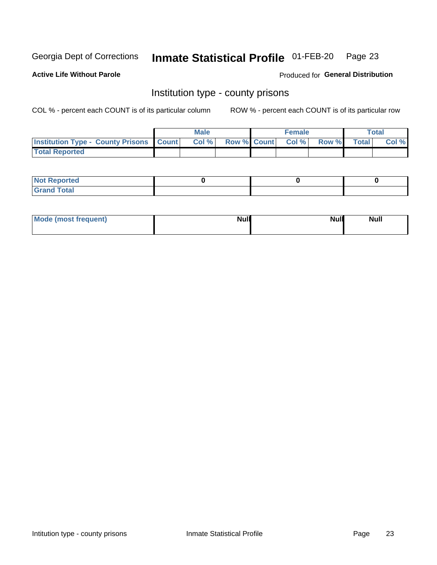## Inmate Statistical Profile 01-FEB-20 Page 23

**Active Life Without Parole** 

**Produced for General Distribution** 

### Institution type - county prisons

COL % - percent each COUNT is of its particular column

|                                                    | <b>Male</b> |       |  | <b>Female</b> |                          |             | <b>Total</b> |       |
|----------------------------------------------------|-------------|-------|--|---------------|--------------------------|-------------|--------------|-------|
| <b>Institution Type - County Prisons   Count  </b> |             | Col % |  |               | <b>Row % Count Col %</b> | Row % Total |              | Col % |
| <b>Total Reported</b>                              |             |       |  |               |                          |             |              |       |

| <b>Not Reported</b>   |  |  |
|-----------------------|--|--|
| <b>Total</b><br>Granc |  |  |

| Mode (most frequent) | <b>Null</b> | <b>Null</b><br><b>Null</b> |
|----------------------|-------------|----------------------------|
|                      |             |                            |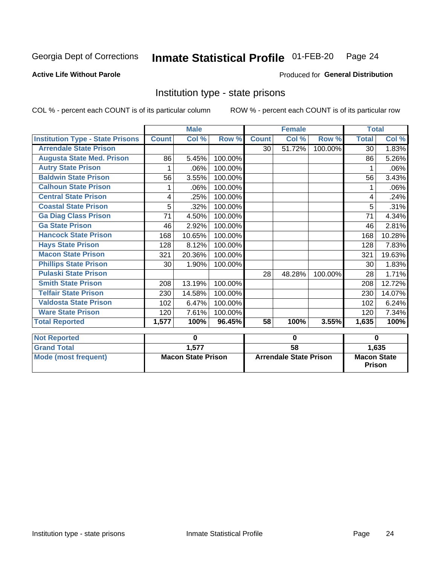## Inmate Statistical Profile 01-FEB-20 Page 24

### **Active Life Without Parole**

#### Produced for General Distribution

### Institution type - state prisons

COL % - percent each COUNT is of its particular column ROW % - percent each COUNT is of its particular row

|                                         | <b>Male</b>               |        |         | <b>Female</b>                 |        |         | <b>Total</b>                        |          |
|-----------------------------------------|---------------------------|--------|---------|-------------------------------|--------|---------|-------------------------------------|----------|
| <b>Institution Type - State Prisons</b> | <b>Count</b>              | Col %  | Row %   | <b>Count</b>                  | Col %  | Row %   | <b>Total</b>                        | Col %    |
| <b>Arrendale State Prison</b>           |                           |        |         | 30 <sup>1</sup>               | 51.72% | 100.00% | 30                                  | 1.83%    |
| <b>Augusta State Med. Prison</b>        | 86                        | 5.45%  | 100.00% |                               |        |         | 86                                  | 5.26%    |
| <b>Autry State Prison</b>               |                           | .06%   | 100.00% |                               |        |         |                                     | .06%     |
| <b>Baldwin State Prison</b>             | 56                        | 3.55%  | 100.00% |                               |        |         | 56                                  | 3.43%    |
| <b>Calhoun State Prison</b>             | 1                         | .06%   | 100.00% |                               |        |         | 1                                   | .06%     |
| <b>Central State Prison</b>             | 4                         | .25%   | 100.00% |                               |        |         | 4                                   | .24%     |
| <b>Coastal State Prison</b>             | 5                         | .32%   | 100.00% |                               |        |         | 5                                   | .31%     |
| <b>Ga Diag Class Prison</b>             | 71                        | 4.50%  | 100.00% |                               |        |         | 71                                  | 4.34%    |
| <b>Ga State Prison</b>                  | 46                        | 2.92%  | 100.00% |                               |        |         | 46                                  | 2.81%    |
| <b>Hancock State Prison</b>             | 168                       | 10.65% | 100.00% |                               |        |         | 168                                 | 10.28%   |
| <b>Hays State Prison</b>                | 128                       | 8.12%  | 100.00% |                               |        |         | 128                                 | 7.83%    |
| <b>Macon State Prison</b>               | 321                       | 20.36% | 100.00% |                               |        |         | 321                                 | 19.63%   |
| <b>Phillips State Prison</b>            | 30                        | 1.90%  | 100.00% |                               |        |         | 30                                  | 1.83%    |
| <b>Pulaski State Prison</b>             |                           |        |         | 28                            | 48.28% | 100.00% | 28                                  | 1.71%    |
| <b>Smith State Prison</b>               | 208                       | 13.19% | 100.00% |                               |        |         | 208                                 | 12.72%   |
| <b>Telfair State Prison</b>             | 230                       | 14.58% | 100.00% |                               |        |         | 230                                 | 14.07%   |
| <b>Valdosta State Prison</b>            | 102                       | 6.47%  | 100.00% |                               |        |         | 102                                 | 6.24%    |
| <b>Ware State Prison</b>                | 120                       | 7.61%  | 100.00% |                               |        |         | 120                                 | 7.34%    |
| <b>Total Reported</b>                   | 1,577                     | 100%   | 96.45%  | 58                            | 100%   | 3.55%   | 1,635                               | 100%     |
| <b>Not Reported</b>                     |                           | 0      |         | 0                             |        |         |                                     | $\bf{0}$ |
| <b>Grand Total</b>                      |                           | 1,577  |         | 58                            |        |         |                                     | 1,635    |
| <b>Mode (most frequent)</b>             | <b>Macon State Prison</b> |        |         | <b>Arrendale State Prison</b> |        |         | <b>Macon State</b><br><b>Prison</b> |          |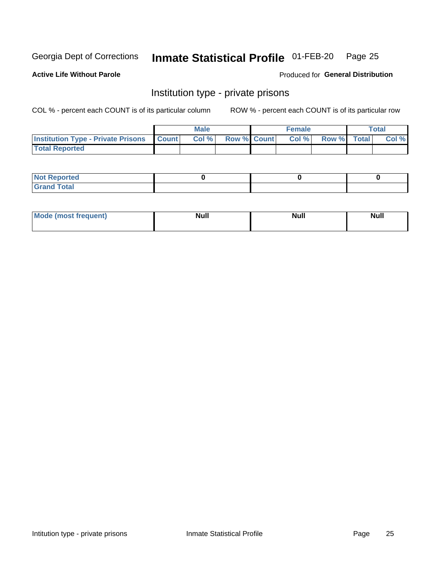## Inmate Statistical Profile 01-FEB-20 Page 25

**Active Life Without Parole** 

Produced for General Distribution

## Institution type - private prisons

COL % - percent each COUNT is of its particular column

|                                                 | <b>Male</b> |      |                    | <b>Female</b> |       |             | Total |       |
|-------------------------------------------------|-------------|------|--------------------|---------------|-------|-------------|-------|-------|
| <b>Institution Type - Private Prisons Count</b> |             | Col% | <b>Row % Count</b> |               | Col % | Row % Total |       | Col % |
| <b>Total Reported</b>                           |             |      |                    |               |       |             |       |       |

| <b>Reported</b><br><b>NOT</b><br>$\sim$            |  |  |
|----------------------------------------------------|--|--|
| $f$ $f \circ f \circ f$<br>$C = 1$<br><b>TULAI</b> |  |  |

| <b>Mo</b><br>frequent) | <b>Null</b> | <b>Null</b> | . . I *<br><b>IVUII</b> |
|------------------------|-------------|-------------|-------------------------|
|                        |             |             |                         |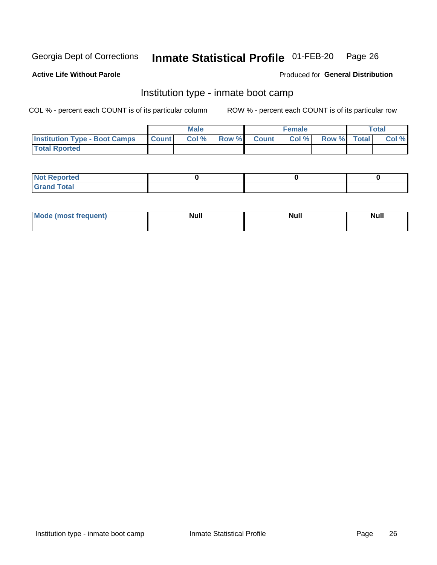#### Inmate Statistical Profile 01-FEB-20 Page 26

### **Active Life Without Parole**

#### Produced for General Distribution

## Institution type - inmate boot camp

COL % - percent each COUNT is of its particular column

|                                      | <b>Male</b>     |       |              | <b>Female</b> |       |             | <b>Total</b> |       |
|--------------------------------------|-----------------|-------|--------------|---------------|-------|-------------|--------------|-------|
| <b>Institution Type - Boot Camps</b> | <b>I</b> Count⊥ | Col % | <b>Row %</b> | <b>Count</b>  | Col % | Row % Total |              | Col % |
| <b>Total Rported</b>                 |                 |       |              |               |       |             |              |       |

| <b>Not Reported</b>            |  |  |
|--------------------------------|--|--|
| <b>Total</b><br>C <sub>r</sub> |  |  |

| Mod<br>uamo | Nul.<br>$- - - - - -$ | <b>Null</b> | <br>uu.<br>------ |
|-------------|-----------------------|-------------|-------------------|
|             |                       |             |                   |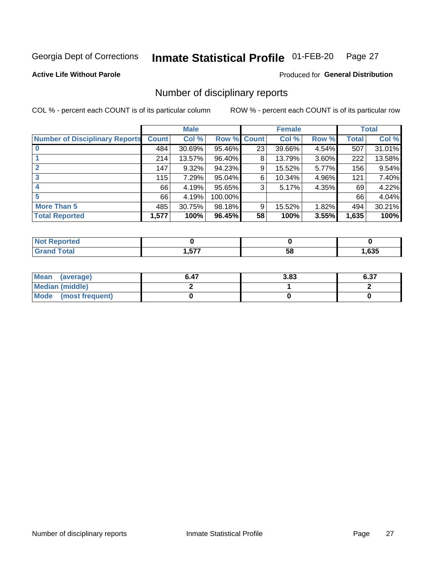#### Inmate Statistical Profile 01-FEB-20 Page 27

**Active Life Without Parole** 

Produced for General Distribution

### Number of disciplinary reports

COL % - percent each COUNT is of its particular column

|                                       | <b>Male</b>  |        |             |    | <b>Female</b> | <b>Total</b> |       |        |
|---------------------------------------|--------------|--------|-------------|----|---------------|--------------|-------|--------|
| <b>Number of Disciplinary Reports</b> | <b>Count</b> | Col %  | Row % Count |    | Col %         | Row %        | Total | Col %  |
|                                       | 484          | 30.69% | 95.46%      | 23 | 39.66%        | 4.54%        | 507   | 31.01% |
|                                       | 214          | 13.57% | 96.40%      | 8  | 13.79%        | 3.60%        | 222   | 13.58% |
|                                       | 147          | 9.32%  | 94.23%      | 9  | 15.52%        | 5.77%        | 156   | 9.54%  |
| 3                                     | 115          | 7.29%  | 95.04%      | 6  | 10.34%        | 4.96%        | 121   | 7.40%  |
|                                       | 66           | 4.19%  | 95.65%      | 3  | 5.17%         | 4.35%        | 69    | 4.22%  |
| 5                                     | 66           | 4.19%  | 100.00%     |    |               |              | 66    | 4.04%  |
| <b>More Than 5</b>                    | 485          | 30.75% | 98.18%      | 9  | 15.52%        | 1.82%        | 494   | 30.21% |
| <b>Total Reported</b>                 | 1,577        | 100%   | 96.45%      | 58 | 100%          | 3.55%        | 1,635 | 100%   |

| NG           |          |    |      |
|--------------|----------|----|------|
| <b>Total</b> | ドブフ<br>. | Эō | ,635 |

| Mean (average)       | 6.47 | 3.83 | 6.37 |
|----------------------|------|------|------|
| Median (middle)      |      |      |      |
| Mode (most frequent) |      |      |      |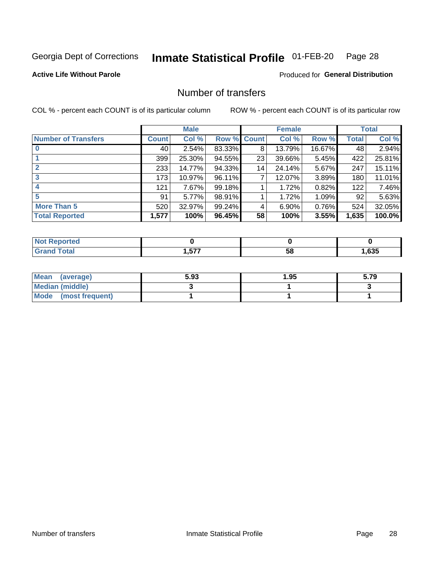#### Inmate Statistical Profile 01-FEB-20 Page 28

**Active Life Without Parole** 

**Produced for General Distribution** 

## Number of transfers

COL % - percent each COUNT is of its particular column

|                            | <b>Male</b>  |        | <b>Female</b>      |    |        | <b>Total</b> |              |        |
|----------------------------|--------------|--------|--------------------|----|--------|--------------|--------------|--------|
| <b>Number of Transfers</b> | <b>Count</b> | Col %  | <b>Row % Count</b> |    | Col %  | Row %        | <b>Total</b> | Col %  |
|                            | 40           | 2.54%  | 83.33%             | 8  | 13.79% | 16.67%       | 48           | 2.94%  |
|                            | 399          | 25.30% | 94.55%             | 23 | 39.66% | 5.45%        | 422          | 25.81% |
| $\mathbf{2}$               | 233          | 14.77% | 94.33%             | 14 | 24.14% | 5.67%        | 247          | 15.11% |
| 3                          | 173          | 10.97% | 96.11%             | 7  | 12.07% | 3.89%        | 180          | 11.01% |
|                            | 121          | 7.67%  | 99.18%             |    | 1.72%  | 0.82%        | 122          | 7.46%  |
| 5                          | 91           | 5.77%  | 98.91%             |    | 1.72%  | 1.09%        | 92           | 5.63%  |
| <b>More Than 5</b>         | 520          | 32.97% | 99.24%             | 4  | 6.90%  | 0.76%        | 524          | 32.05% |
| <b>Total Reported</b>      | 1,577        | 100%   | 96.45%             | 58 | 100%   | 3.55%        | 1,635        | 100.0% |

| NG           |          |    |      |
|--------------|----------|----|------|
| <b>Total</b> | ドブフ<br>. | Эō | ,635 |

| Mean (average)       | 5.93 | 1.95 | 5.79 |
|----------------------|------|------|------|
| Median (middle)      |      |      |      |
| Mode (most frequent) |      |      |      |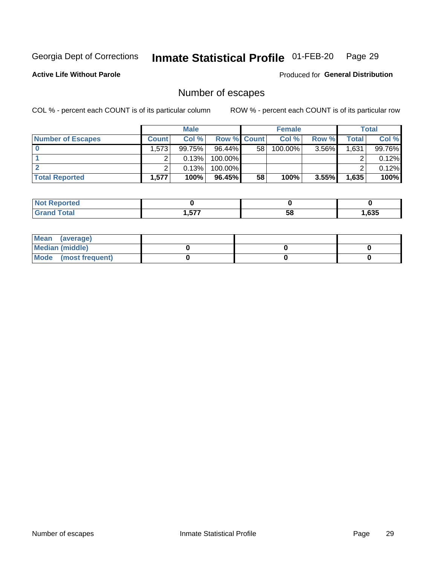#### Inmate Statistical Profile 01-FEB-20 Page 29

**Active Life Without Parole** 

Produced for General Distribution

## Number of escapes

COL % - percent each COUNT is of its particular column

|                          | <b>Male</b> |        |                    | <b>Female</b> |         |          | <b>Total</b> |        |
|--------------------------|-------------|--------|--------------------|---------------|---------|----------|--------------|--------|
| <b>Number of Escapes</b> | Count l     | Col %  | <b>Row % Count</b> |               | Col %   | Row %    | Total        | Col %  |
|                          | ا 573. ا    | 99.75% | $96.44\%$          | 58            | 100.00% | $3.56\%$ | 1,631        | 99.76% |
|                          |             | 0.13%  | 100.00%            |               |         |          |              | 0.12%  |
|                          |             | 0.13%  | 100.00%            |               |         |          |              | 0.12%  |
| <b>Total Reported</b>    | 1,577       | 100%   | 96.45%             | 58            | 100%    | 3.55%    | 1,635        | 100%   |

| <b>Not Reported</b> |               |    |      |
|---------------------|---------------|----|------|
| <b>Grand Total</b>  | ドップ<br>ו וט.ו | 58 | ,635 |

| Mean (average)       |  |  |
|----------------------|--|--|
| Median (middle)      |  |  |
| Mode (most frequent) |  |  |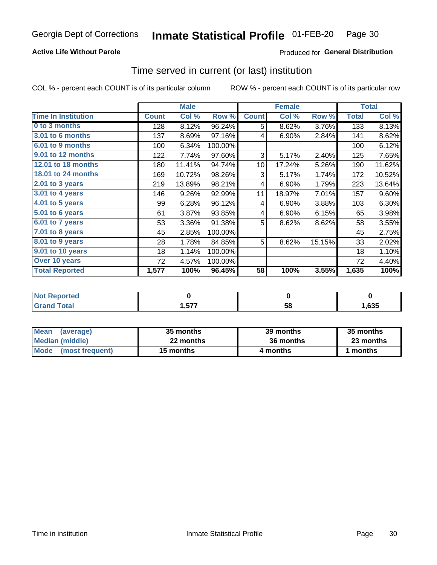### **Active Life Without Parole**

### Produced for General Distribution

### Time served in current (or last) institution

COL % - percent each COUNT is of its particular column

|                            |              | <b>Male</b> |         |              | <b>Female</b> | <b>Total</b> |              |        |
|----------------------------|--------------|-------------|---------|--------------|---------------|--------------|--------------|--------|
| <b>Time In Institution</b> | <b>Count</b> | Col %       | Row %   | <b>Count</b> | Col %         | Row %        | <b>Total</b> | Col %  |
| 0 to 3 months              | 128          | 8.12%       | 96.24%  | 5            | 8.62%         | 3.76%        | 133          | 8.13%  |
| <b>3.01 to 6 months</b>    | 137          | 8.69%       | 97.16%  | 4            | 6.90%         | 2.84%        | 141          | 8.62%  |
| 6.01 to 9 months           | 100          | 6.34%       | 100.00% |              |               |              | 100          | 6.12%  |
| 9.01 to 12 months          | 122          | 7.74%       | 97.60%  | 3            | 5.17%         | 2.40%        | 125          | 7.65%  |
| <b>12.01 to 18 months</b>  | 180          | 11.41%      | 94.74%  | 10           | 17.24%        | 5.26%        | 190          | 11.62% |
| <b>18.01 to 24 months</b>  | 169          | 10.72%      | 98.26%  | 3            | 5.17%         | 1.74%        | 172          | 10.52% |
| $2.01$ to 3 years          | 219          | 13.89%      | 98.21%  | 4            | 6.90%         | 1.79%        | 223          | 13.64% |
| 3.01 to 4 years            | 146          | 9.26%       | 92.99%  | 11           | 18.97%        | 7.01%        | 157          | 9.60%  |
| $4.01$ to 5 years          | 99           | 6.28%       | 96.12%  | 4            | 6.90%         | 3.88%        | 103          | 6.30%  |
| 5.01 to 6 years            | 61           | 3.87%       | 93.85%  | 4            | 6.90%         | 6.15%        | 65           | 3.98%  |
| 6.01 to 7 years            | 53           | 3.36%       | 91.38%  | 5            | 8.62%         | 8.62%        | 58           | 3.55%  |
| 7.01 to 8 years            | 45           | 2.85%       | 100.00% |              |               |              | 45           | 2.75%  |
| 8.01 to 9 years            | 28           | 1.78%       | 84.85%  | 5            | 8.62%         | 15.15%       | 33           | 2.02%  |
| 9.01 to 10 years           | 18           | 1.14%       | 100.00% |              |               |              | 18           | 1.10%  |
| Over 10 years              | 72           | 4.57%       | 100.00% |              |               |              | 72           | 4.40%  |
| <b>Total Reported</b>      | 1,577        | 100%        | 96.45%  | 58           | 100%          | 3.55%        | 1,635        | 100%   |

| Reported<br><b>NOT</b> |            |    |      |
|------------------------|------------|----|------|
| <i>i</i> otal          | ---<br>. ⊾ | vu | ,635 |

| <b>Mean</b><br>(average) | 35 months | 39 months | 35 months |
|--------------------------|-----------|-----------|-----------|
| Median (middle)          | 22 months | 36 months | 23 months |
| Mode (most frequent)     | 15 months | 4 months  | ∣ months  |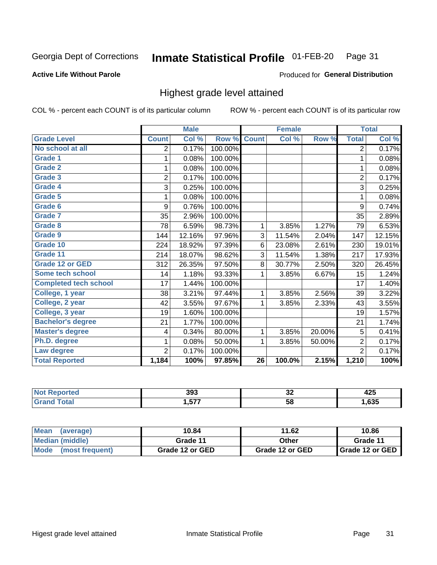#### Inmate Statistical Profile 01-FEB-20 Page 31

#### **Active Life Without Parole**

#### Produced for General Distribution

### Highest grade level attained

COL % - percent each COUNT is of its particular column

|                              |                | <b>Male</b> |         |                 | <b>Female</b> |        |                | <b>Total</b> |
|------------------------------|----------------|-------------|---------|-----------------|---------------|--------|----------------|--------------|
| <b>Grade Level</b>           | <b>Count</b>   | Col %       | Row %   | <b>Count</b>    | Col %         | Row %  | <b>Total</b>   | Col %        |
| No school at all             | 2              | 0.17%       | 100.00% |                 |               |        | $\overline{2}$ | 0.17%        |
| <b>Grade 1</b>               | 1              | 0.08%       | 100.00% |                 |               |        | 1              | 0.08%        |
| <b>Grade 2</b>               | 1              | 0.08%       | 100.00% |                 |               |        | 1              | 0.08%        |
| <b>Grade 3</b>               | $\overline{2}$ | 0.17%       | 100.00% |                 |               |        | $\overline{2}$ | 0.17%        |
| Grade 4                      | 3              | 0.25%       | 100.00% |                 |               |        | 3              | 0.25%        |
| Grade 5                      | 1              | 0.08%       | 100.00% |                 |               |        | 1              | 0.08%        |
| Grade 6                      | 9              | 0.76%       | 100.00% |                 |               |        | 9              | 0.74%        |
| Grade 7                      | 35             | 2.96%       | 100.00% |                 |               |        | 35             | 2.89%        |
| <b>Grade 8</b>               | 78             | 6.59%       | 98.73%  | 1               | 3.85%         | 1.27%  | 79             | 6.53%        |
| Grade 9                      | 144            | 12.16%      | 97.96%  | 3               | 11.54%        | 2.04%  | 147            | 12.15%       |
| Grade 10                     | 224            | 18.92%      | 97.39%  | 6               | 23.08%        | 2.61%  | 230            | 19.01%       |
| Grade 11                     | 214            | 18.07%      | 98.62%  | 3               | 11.54%        | 1.38%  | 217            | 17.93%       |
| <b>Grade 12 or GED</b>       | 312            | 26.35%      | 97.50%  | 8               | 30.77%        | 2.50%  | 320            | 26.45%       |
| Some tech school             | 14             | 1.18%       | 93.33%  | 1               | 3.85%         | 6.67%  | 15             | 1.24%        |
| <b>Completed tech school</b> | 17             | 1.44%       | 100.00% |                 |               |        | 17             | 1.40%        |
| College, 1 year              | 38             | 3.21%       | 97.44%  | 1               | 3.85%         | 2.56%  | 39             | 3.22%        |
| College, 2 year              | 42             | 3.55%       | 97.67%  | 1               | 3.85%         | 2.33%  | 43             | 3.55%        |
| College, 3 year              | 19             | 1.60%       | 100.00% |                 |               |        | 19             | 1.57%        |
| <b>Bachelor's degree</b>     | 21             | 1.77%       | 100.00% |                 |               |        | 21             | 1.74%        |
| <b>Master's degree</b>       | 4              | 0.34%       | 80.00%  | 1               | 3.85%         | 20.00% | 5              | 0.41%        |
| Ph.D. degree                 | 1              | 0.08%       | 50.00%  | 1               | 3.85%         | 50.00% | $\overline{2}$ | 0.17%        |
| Law degree                   | $\overline{2}$ | 0.17%       | 100.00% |                 |               |        | $\overline{2}$ | 0.17%        |
| <b>Total Reported</b>        | 1,184          | 100%        | 97.85%  | $\overline{26}$ | 100.0%        | 2.15%  | 1,210          | 100%         |

| rtec | 393          | ^^  | .    |
|------|--------------|-----|------|
| NO   |              | ◡▵  | ᅐᄯ   |
| υιαι | ドップ<br>1.G J | -58 | ,635 |

| <b>Mean</b><br>(average) | 10.84           | 11.62           | 10.86           |  |
|--------------------------|-----------------|-----------------|-----------------|--|
| <b>Median (middle)</b>   | Grade 11        | Other           | Grade 11        |  |
| Mode<br>(most frequent)  | Grade 12 or GED | Grade 12 or GED | Grade 12 or GED |  |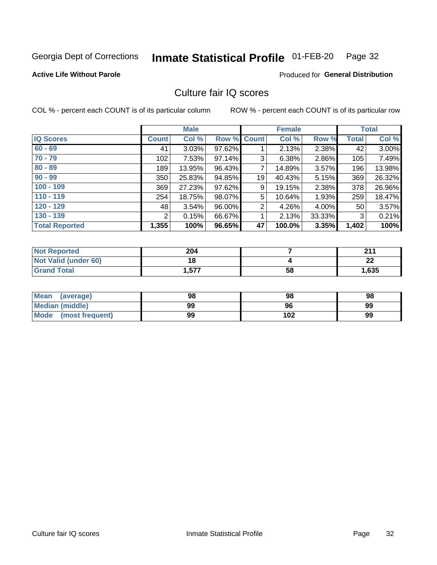#### Inmate Statistical Profile 01-FEB-20 Page 32

#### **Active Life Without Parole**

### **Produced for General Distribution**

## Culture fair IQ scores

COL % - percent each COUNT is of its particular column

|                       |              | <b>Male</b> |                    |                | <b>Female</b> |          |              | <b>Total</b> |
|-----------------------|--------------|-------------|--------------------|----------------|---------------|----------|--------------|--------------|
| <b>IQ Scores</b>      | <b>Count</b> | Col %       | <b>Row % Count</b> |                | Col %         | Row %    | <b>Total</b> | Col %        |
| $60 - 69$             | 41           | 3.03%       | 97.62%             |                | 2.13%         | 2.38%    | 42           | 3.00%        |
| $70 - 79$             | 102          | 7.53%       | 97.14%             | 3              | 6.38%         | 2.86%    | 105          | 7.49%        |
| $80 - 89$             | 189          | 13.95%      | 96.43%             | 7              | 14.89%        | 3.57%    | 196          | 13.98%       |
| $90 - 99$             | 350          | 25.83%      | 94.85%             | 19             | 40.43%        | 5.15%    | 369          | 26.32%       |
| $100 - 109$           | 369          | 27.23%      | 97.62%             | 9              | 19.15%        | 2.38%    | 378          | 26.96%       |
| $110 - 119$           | 254          | 18.75%      | 98.07%             | 5              | 10.64%        | 1.93%    | 259          | 18.47%       |
| $120 - 129$           | 48           | 3.54%       | 96.00%             | $\overline{2}$ | 4.26%         | $4.00\%$ | 50           | 3.57%        |
| $130 - 139$           | 2            | 0.15%       | 66.67%             | 1              | 2.13%         | 33.33%   | 3            | 0.21%        |
| <b>Total Reported</b> | 1,355        | 100%        | 96.65%             | 47             | 100.0%        | 3.35%    | 1,402        | 100%         |

| <b>Not Reported</b>  | 204   |    | 244     |
|----------------------|-------|----|---------|
| Not Valid (under 60) | 18    |    | ົ<br>LL |
| <b>Grand Total</b>   | 577.، | 58 | 1,635   |

| Mean<br>(average)       | 98 | 98  | 98 |
|-------------------------|----|-----|----|
| <b>Median (middle)</b>  | 99 | 96  | 99 |
| Mode<br>(most frequent) | 99 | 102 | 99 |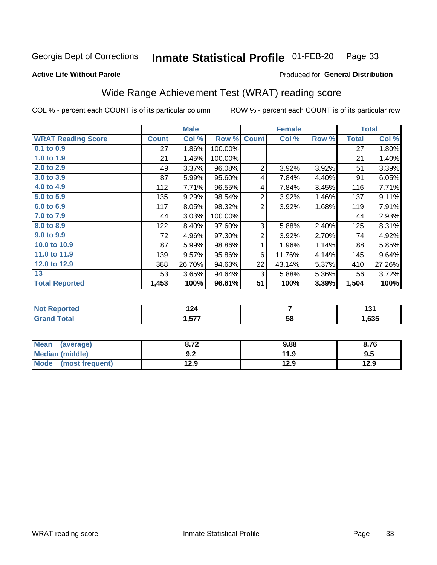#### Inmate Statistical Profile 01-FEB-20 Page 33

#### **Active Life Without Parole**

### Produced for General Distribution

## Wide Range Achievement Test (WRAT) reading score

COL % - percent each COUNT is of its particular column

|                           |              | <b>Male</b> |         |                | <b>Female</b> |       |              | <b>Total</b> |
|---------------------------|--------------|-------------|---------|----------------|---------------|-------|--------------|--------------|
| <b>WRAT Reading Score</b> | <b>Count</b> | Col %       | Row %   | <b>Count</b>   | Col %         | Row % | <b>Total</b> | Col %        |
| $0.1$ to $0.9$            | 27           | 1.86%       | 100.00% |                |               |       | 27           | 1.80%        |
| 1.0 to 1.9                | 21           | 1.45%       | 100.00% |                |               |       | 21           | 1.40%        |
| 2.0 to 2.9                | 49           | 3.37%       | 96.08%  | $\overline{2}$ | 3.92%         | 3.92% | 51           | 3.39%        |
| 3.0 to 3.9                | 87           | 5.99%       | 95.60%  | 4              | 7.84%         | 4.40% | 91           | 6.05%        |
| 4.0 to 4.9                | 112          | 7.71%       | 96.55%  | 4              | 7.84%         | 3.45% | 116          | 7.71%        |
| 5.0 to 5.9                | 135          | 9.29%       | 98.54%  | $\overline{2}$ | 3.92%         | 1.46% | 137          | 9.11%        |
| 6.0 to 6.9                | 117          | 8.05%       | 98.32%  | $\overline{2}$ | 3.92%         | 1.68% | 119          | 7.91%        |
| 7.0 to 7.9                | 44           | 3.03%       | 100.00% |                |               |       | 44           | 2.93%        |
| 8.0 to 8.9                | 122          | 8.40%       | 97.60%  | 3              | 5.88%         | 2.40% | 125          | 8.31%        |
| 9.0 to 9.9                | 72           | 4.96%       | 97.30%  | $\overline{2}$ | 3.92%         | 2.70% | 74           | 4.92%        |
| 10.0 to 10.9              | 87           | 5.99%       | 98.86%  | 1              | 1.96%         | 1.14% | 88           | 5.85%        |
| 11.0 to 11.9              | 139          | 9.57%       | 95.86%  | 6              | 11.76%        | 4.14% | 145          | 9.64%        |
| 12.0 to 12.9              | 388          | 26.70%      | 94.63%  | 22             | 43.14%        | 5.37% | 410          | 27.26%       |
| 13                        | 53           | 3.65%       | 94.64%  | 3              | 5.88%         | 5.36% | 56           | 3.72%        |
| <b>Total Reported</b>     | 1,453        | 100%        | 96.61%  | 51             | 100%          | 3.39% | 1,504        | 100%         |
|                           |              |             |         |                |               |       |              |              |

| <b>Not Reported</b>    | 10/<br>1 Z 4 |    | ın.<br>י טו |
|------------------------|--------------|----|-------------|
| <b>Total</b><br>'Grand | 1,577        | 58 | .535،       |

| <b>Mean</b><br>(average)       | o 70<br>0. I Z | 9.88 | 8.76 |
|--------------------------------|----------------|------|------|
| <b>Median (middle)</b>         | י ה<br>้ ⊎.∠   | 11.9 | 9.5  |
| <b>Mode</b><br>(most frequent) | 12.9           | 12.9 | 12.9 |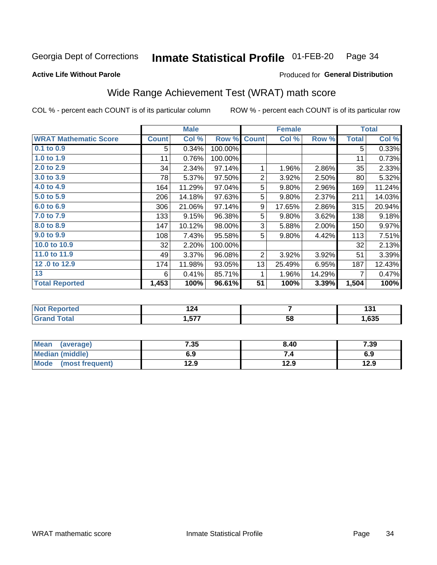#### Inmate Statistical Profile 01-FEB-20 Page 34

### **Active Life Without Parole**

### Produced for General Distribution

## Wide Range Achievement Test (WRAT) math score

COL % - percent each COUNT is of its particular column

|                              |              | <b>Male</b>               |         |                | <b>Female</b> |        |              | <b>Total</b> |
|------------------------------|--------------|---------------------------|---------|----------------|---------------|--------|--------------|--------------|
| <b>WRAT Mathematic Score</b> | <b>Count</b> | $\overline{\text{Col}}$ % | Row %   | <b>Count</b>   | Col %         | Row %  | <b>Total</b> | Col %        |
| $0.1$ to $0.9$               | 5            | 0.34%                     | 100.00% |                |               |        | 5            | 0.33%        |
| 1.0 to 1.9                   | 11           | 0.76%                     | 100.00% |                |               |        | 11           | 0.73%        |
| 2.0 to 2.9                   | 34           | 2.34%                     | 97.14%  | 1              | 1.96%         | 2.86%  | 35           | 2.33%        |
| 3.0 to 3.9                   | 78           | 5.37%                     | 97.50%  | $\overline{2}$ | 3.92%         | 2.50%  | 80           | 5.32%        |
| 4.0 to 4.9                   | 164          | 11.29%                    | 97.04%  | 5              | 9.80%         | 2.96%  | 169          | 11.24%       |
| 5.0 to 5.9                   | 206          | 14.18%                    | 97.63%  | 5              | 9.80%         | 2.37%  | 211          | 14.03%       |
| 6.0 to 6.9                   | 306          | 21.06%                    | 97.14%  | 9              | 17.65%        | 2.86%  | 315          | 20.94%       |
| 7.0 to 7.9                   | 133          | 9.15%                     | 96.38%  | 5              | 9.80%         | 3.62%  | 138          | 9.18%        |
| 8.0 to 8.9                   | 147          | 10.12%                    | 98.00%  | 3              | 5.88%         | 2.00%  | 150          | 9.97%        |
| 9.0 to 9.9                   | 108          | 7.43%                     | 95.58%  | 5              | 9.80%         | 4.42%  | 113          | 7.51%        |
| 10.0 to 10.9                 | 32           | 2.20%                     | 100.00% |                |               |        | 32           | 2.13%        |
| 11.0 to 11.9                 | 49           | 3.37%                     | 96.08%  | $\overline{2}$ | 3.92%         | 3.92%  | 51           | 3.39%        |
| 12.0 to 12.9                 | 174          | 11.98%                    | 93.05%  | 13             | 25.49%        | 6.95%  | 187          | 12.43%       |
| 13                           | 6            | 0.41%                     | 85.71%  | 1              | 1.96%         | 14.29% | 7            | 0.47%        |
| <b>Total Reported</b>        | 1,453        | 100%                      | 96.61%  | 51             | 100%          | 3.39%  | 1,504        | 100%         |
|                              |              |                           |         |                |               |        |              |              |

| <b>Reported</b><br><b>NO</b> | $\sim$<br>. |    | $\overline{\phantom{a}}$<br>1 J I |
|------------------------------|-------------|----|-----------------------------------|
| <b>otal</b>                  | . 577       | 58 | ,635                              |

| Mean (average)         | 7.35 | 8.40 | 7.39 |
|------------------------|------|------|------|
| <b>Median (middle)</b> | 6.9  | 74   | 6.9  |
| Mode (most frequent)   | 12.9 | 12.9 | 12.9 |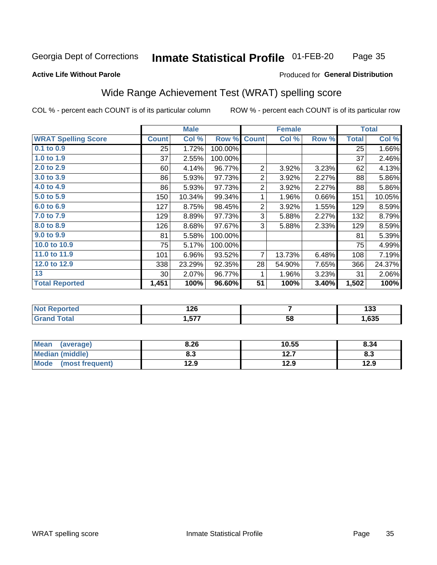#### Inmate Statistical Profile 01-FEB-20 Page 35

#### **Active Life Without Parole**

#### Produced for General Distribution

## Wide Range Achievement Test (WRAT) spelling score

COL % - percent each COUNT is of its particular column

|                            |                 | <b>Male</b> |         |                | <b>Female</b> |       |              | <b>Total</b> |
|----------------------------|-----------------|-------------|---------|----------------|---------------|-------|--------------|--------------|
| <b>WRAT Spelling Score</b> | <b>Count</b>    | Col %       | Row %   | <b>Count</b>   | Col %         | Row % | <b>Total</b> | Col %        |
| $0.1$ to $0.9$             | 25              | 1.72%       | 100.00% |                |               |       | 25           | 1.66%        |
| 1.0 to 1.9                 | 37              | 2.55%       | 100.00% |                |               |       | 37           | 2.46%        |
| 2.0 to 2.9                 | 60              | 4.14%       | 96.77%  | $\overline{2}$ | 3.92%         | 3.23% | 62           | 4.13%        |
| 3.0 to 3.9                 | 86              | 5.93%       | 97.73%  | $\overline{2}$ | 3.92%         | 2.27% | 88           | 5.86%        |
| 4.0 to 4.9                 | 86              | 5.93%       | 97.73%  | $\overline{2}$ | 3.92%         | 2.27% | 88           | 5.86%        |
| 5.0 to 5.9                 | 150             | 10.34%      | 99.34%  | 1              | 1.96%         | 0.66% | 151          | 10.05%       |
| 6.0 to 6.9                 | 127             | 8.75%       | 98.45%  | $\overline{2}$ | 3.92%         | 1.55% | 129          | 8.59%        |
| 7.0 to 7.9                 | 129             | 8.89%       | 97.73%  | 3              | 5.88%         | 2.27% | 132          | 8.79%        |
| 8.0 to 8.9                 | 126             | 8.68%       | 97.67%  | 3              | 5.88%         | 2.33% | 129          | 8.59%        |
| 9.0 to 9.9                 | 81              | 5.58%       | 100.00% |                |               |       | 81           | 5.39%        |
| 10.0 to 10.9               | 75              | 5.17%       | 100.00% |                |               |       | 75           | 4.99%        |
| 11.0 to 11.9               | 101             | 6.96%       | 93.52%  | $\overline{7}$ | 13.73%        | 6.48% | 108          | 7.19%        |
| 12.0 to 12.9               | 338             | 23.29%      | 92.35%  | 28             | 54.90%        | 7.65% | 366          | 24.37%       |
| 13                         | 30 <sup>2</sup> | 2.07%       | 96.77%  | 1              | 1.96%         | 3.23% | 31           | 2.06%        |
| <b>Total Reported</b>      | 1,451           | 100%        | 96.60%  | 51             | 100%          | 3.40% | 1,502        | 100%         |
|                            |                 |             |         |                |               |       |              |              |

| <b>Not Reported</b>          | 126  |    | ,<br>נטו |
|------------------------------|------|----|----------|
| <b>Total</b><br><b>Grand</b> | ,577 | 58 | 635, ا   |

| <b>Mean</b><br>(average)       | 8.26 | 10.55        | 8.34 |
|--------------------------------|------|--------------|------|
| Median (middle)                | 8.3  | 127<br>I 4.I | ი.ა  |
| <b>Mode</b><br>(most frequent) | 12.9 | 12.9         | 12.9 |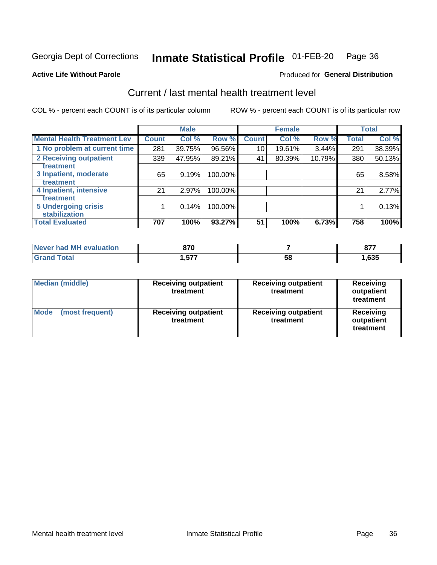#### Inmate Statistical Profile 01-FEB-20 Page 36

**Active Life Without Parole** 

### **Produced for General Distribution**

## Current / last mental health treatment level

COL % - percent each COUNT is of its particular column

|                                    |              | <b>Male</b> |         |              | <b>Female</b> |        |              | <b>Total</b> |
|------------------------------------|--------------|-------------|---------|--------------|---------------|--------|--------------|--------------|
| <b>Mental Health Treatment Lev</b> | <b>Count</b> | Col %       | Row %   | <b>Count</b> | Col %         | Row %  | <b>Total</b> | Col %        |
| 1 No problem at current time       | 281          | 39.75%      | 96.56%  | 10           | 19.61%        | 3.44%  | 291          | 38.39%       |
| 2 Receiving outpatient             | 339          | 47.95%      | 89.21%  | 41           | 80.39%        | 10.79% | 380          | 50.13%       |
| <b>Treatment</b>                   |              |             |         |              |               |        |              |              |
| 3 Inpatient, moderate              | 65           | 9.19%       | 100.00% |              |               |        | 65           | 8.58%        |
| <b>Treatment</b>                   |              |             |         |              |               |        |              |              |
| 4 Inpatient, intensive             | 21           | 2.97%       | 100.00% |              |               |        | 21           | 2.77%        |
| <b>Treatment</b>                   |              |             |         |              |               |        |              |              |
| <b>5 Undergoing crisis</b>         |              | 0.14%       | 100.00% |              |               |        |              | 0.13%        |
| <b>Stabilization</b>               |              |             |         |              |               |        |              |              |
| <b>Total Evaluated</b>             | 707          | 100%        | 93.27%  | 51           | 100%          | 6.73%  | 758          | 100%         |

| had MH<br>evaluation<br>Never I | 070<br>. v             |    | ~~~<br><u>vn</u> |
|---------------------------------|------------------------|----|------------------|
|                                 | <b>E77</b><br>I .J / 1 | ჯგ | ,635             |

| Median (middle)                | <b>Receiving outpatient</b><br>treatment | <b>Receiving outpatient</b><br>treatment | <b>Receiving</b><br>outpatient<br>treatment |  |
|--------------------------------|------------------------------------------|------------------------------------------|---------------------------------------------|--|
| <b>Mode</b><br>(most frequent) | <b>Receiving outpatient</b><br>treatment | <b>Receiving outpatient</b><br>treatment | Receiving<br>outpatient<br>treatment        |  |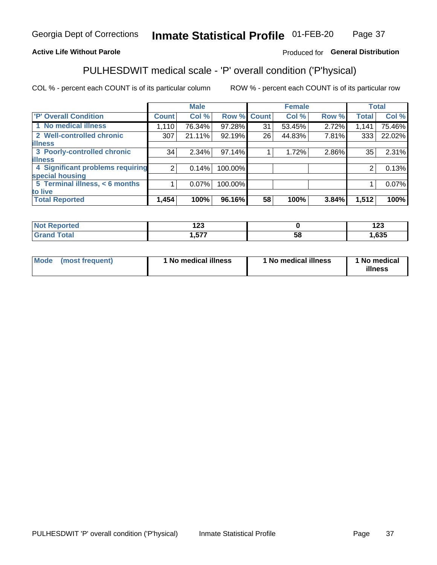#### Inmate Statistical Profile 01-FEB-20 Page 37

### **Active Life Without Parole**

### Produced for General Distribution

## PULHESDWIT medical scale - 'P' overall condition ('P'hysical)

COL % - percent each COUNT is of its particular column

|                                  |                | <b>Male</b> |             |    | <b>Female</b> |       |              | <b>Total</b> |
|----------------------------------|----------------|-------------|-------------|----|---------------|-------|--------------|--------------|
| 'P' Overall Condition            | Count l        | Col %       | Row % Count |    | Col %         | Row % | <b>Total</b> | Col %        |
| 1 No medical illness             | 1,110          | 76.34%      | 97.28%      | 31 | 53.45%        | 2.72% | 1,141        | 75.46%       |
| 2 Well-controlled chronic        | 307            | 21.11%      | 92.19%      | 26 | 44.83%        | 7.81% | 333          | 22.02%       |
| <b>illness</b>                   |                |             |             |    |               |       |              |              |
| 3 Poorly-controlled chronic      | 34             | $2.34\%$    | 97.14%      |    | 1.72%         | 2.86% | 35           | 2.31%        |
| <b>illness</b>                   |                |             |             |    |               |       |              |              |
| 4 Significant problems requiring | 2 <sub>1</sub> | 0.14%       | 100.00%     |    |               |       | 2            | 0.13%        |
| special housing                  |                |             |             |    |               |       |              |              |
| 5 Terminal illness, < 6 months   |                | 0.07%       | 100.00%     |    |               |       |              | 0.07%        |
| to live                          |                |             |             |    |               |       |              |              |
| <b>Total Reported</b>            | 1,454          | 100%        | 96.16%      | 58 | 100%          | 3.84% | 1,512        | 100%         |

| rteo  | ៱៱៱          |    | ៱៱៱  |
|-------|--------------|----|------|
|       | 14J          |    | 16J  |
| _____ | ヒフフ<br>1,JT. | ၁၀ | ,635 |

| Mode (most frequent) | 1 No medical illness | 1 No medical illness | 1 No medical<br>illness |
|----------------------|----------------------|----------------------|-------------------------|
|                      |                      |                      |                         |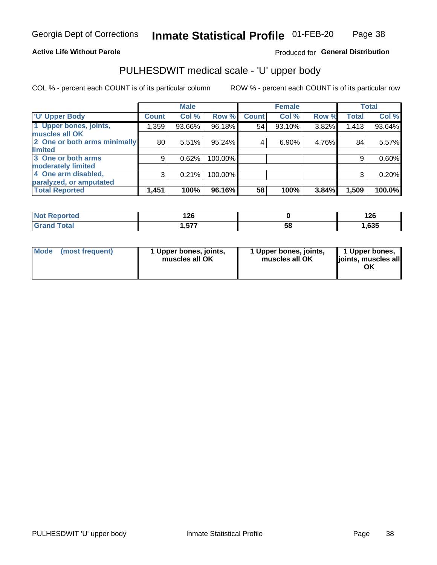### **Active Life Without Parole**

Produced for General Distribution

## PULHESDWIT medical scale - 'U' upper body

COL % - percent each COUNT is of its particular column

|                              |                    | <b>Male</b> |           |              | <b>Female</b> |       |              | <b>Total</b> |
|------------------------------|--------------------|-------------|-----------|--------------|---------------|-------|--------------|--------------|
| <b>'U' Upper Body</b>        | Count <sup>!</sup> | Col %       | Row %     | <b>Count</b> | Col %         | Row % | <b>Total</b> | Col %        |
| 1 Upper bones, joints,       | 1,359              | 93.66%      | 96.18%    | 54           | 93.10%        | 3.82% | 1,413        | 93.64%       |
| muscles all OK               |                    |             |           |              |               |       |              |              |
| 2 One or both arms minimally | 80                 | 5.51%       | $95.24\%$ | 4            | 6.90%         | 4.76% | 84           | 5.57%        |
| limited                      |                    |             |           |              |               |       |              |              |
| 3 One or both arms           | 9                  | 0.62%       | 100.00%   |              |               |       | 9            | 0.60%        |
| moderately limited           |                    |             |           |              |               |       |              |              |
| 4 One arm disabled,          | 3                  | 0.21%       | 100.00%   |              |               |       | 3            | 0.20%        |
| paralyzed, or amputated      |                    |             |           |              |               |       |              |              |
| <b>Total Reported</b>        | 1,451              | 100%        | 96.16%    | 58           | 100%          | 3.84% | 1,509        | 100.0%       |

| <b>Not Reported</b> | ィクビ<br>I ŁU   |    | 1 ጎድ<br>14 U |
|---------------------|---------------|----|--------------|
| <b>Total</b>        | . E77<br>ו שו | 58 | ,635         |

| Mode | (most frequent) | l Upper bones, joints,<br>muscles all OK | 1 Upper bones, joints,<br>muscles all OK | 1 Upper bones,<br>ljoints, muscles all<br>ОK |
|------|-----------------|------------------------------------------|------------------------------------------|----------------------------------------------|
|------|-----------------|------------------------------------------|------------------------------------------|----------------------------------------------|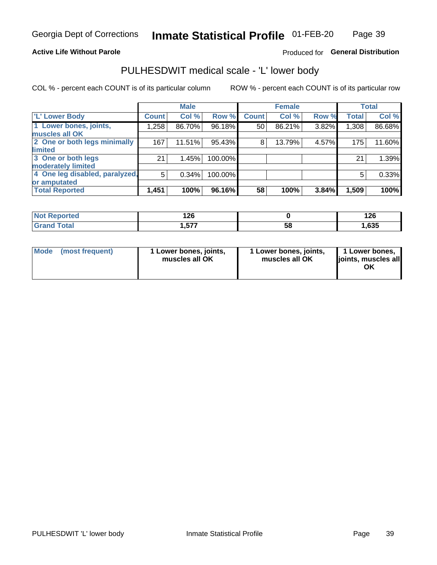### **Active Life Without Parole**

### Produced for General Distribution

## PULHESDWIT medical scale - 'L' lower body

COL % - percent each COUNT is of its particular column

|                                     | <b>Male</b> |                 | <b>Female</b>                                             |       |              | <b>Total</b> |
|-------------------------------------|-------------|-----------------|-----------------------------------------------------------|-------|--------------|--------------|
| <b>Count!</b>                       | Col %       | <b>Count</b>    | Col %                                                     | Row % | <b>Total</b> | Col %        |
| 1,258                               | 86.70%      | 50 <sup>1</sup> | 86.21%                                                    | 3.82% | 1,308        | 86.68%       |
|                                     |             |                 |                                                           |       |              |              |
| 2 One or both legs minimally<br>167 | 11.51%      | 8               | 13.79%                                                    |       | 175          | 11.60%       |
|                                     |             |                 |                                                           |       |              |              |
| 21                                  | 1.45%       |                 |                                                           |       | 21           | 1.39%        |
|                                     |             |                 |                                                           |       |              |              |
| 4 One leg disabled, paralyzed,<br>5 | 0.34%       |                 |                                                           |       | 5            | 0.33%        |
|                                     |             |                 |                                                           |       |              |              |
| 1,451                               | 100%        | 58              | 100%                                                      | 3.84% | 1,509        | 100%         |
|                                     |             |                 | Row %<br>96.18%<br>95.43%<br>100.00%<br>100.00%<br>96.16% |       |              | 4.57%        |

| <b>Not Reported</b> | ィクピ<br>ט⊾ו |    | 10C<br>14 U |
|---------------------|------------|----|-------------|
| <b>Grand Total</b>  | . E77<br>  | აშ | ,635        |

| Mode | (most frequent) | 1 Lower bones, joints,<br>muscles all OK | 1 Lower bones, joints,<br>muscles all OK | 1 Lower bones,<br>ljoints, muscles all<br>ΟK |
|------|-----------------|------------------------------------------|------------------------------------------|----------------------------------------------|
|------|-----------------|------------------------------------------|------------------------------------------|----------------------------------------------|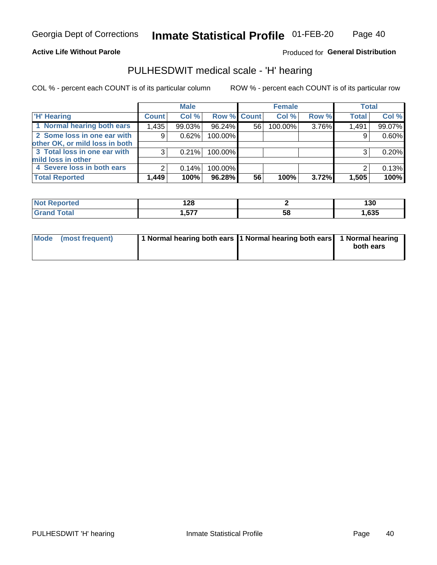### **Active Life Without Parole**

Produced for General Distribution

### PULHESDWIT medical scale - 'H' hearing

COL % - percent each COUNT is of its particular column

|                                |              | <b>Male</b> |                    |    | <b>Female</b> |       | <b>Total</b> |        |
|--------------------------------|--------------|-------------|--------------------|----|---------------|-------|--------------|--------|
| <b>H' Hearing</b>              | <b>Count</b> | Col%        | <b>Row % Count</b> |    | Col %         | Row % | <b>Total</b> | Col %  |
| 1 Normal hearing both ears     | 1,435        | 99.03%      | 96.24%             | 56 | 100.00%       | 3.76% | 1,491        | 99.07% |
| 2 Some loss in one ear with    | 9            | 0.62%       | 100.00%            |    |               |       | 9            | 0.60%  |
| other OK, or mild loss in both |              |             |                    |    |               |       |              |        |
| 3 Total loss in one ear with   | 3            | 0.21%       | 100.00%            |    |               |       | ◠            | 0.20%  |
| mild loss in other             |              |             |                    |    |               |       |              |        |
| 4 Severe loss in both ears     | 2            | 0.14%       | 100.00%            |    |               |       | ົ            | 0.13%  |
| <b>Total Reported</b>          | 1,449        | 100%        | 96.28%             | 56 | 100%          | 3.72% | 1,505        | 100%   |

| 'N    | $\sim$     |    | .    |
|-------|------------|----|------|
| Teo   | 140        |    | 13U  |
| _____ | ---<br>. . | სა | ,635 |

| Mode (most frequent) | 1 Normal hearing both ears 1 Normal hearing both ears 1 Normal hearing | both ears |
|----------------------|------------------------------------------------------------------------|-----------|
|                      |                                                                        |           |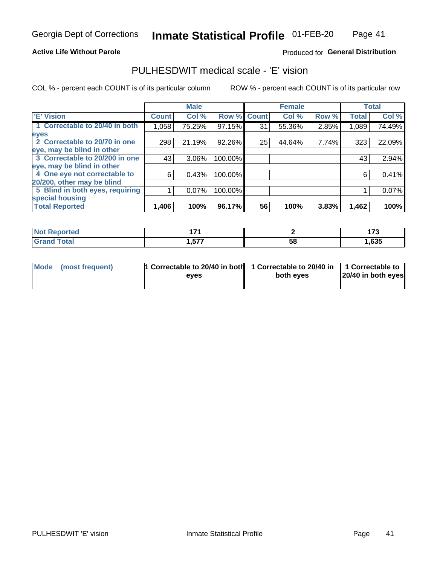### **Active Life Without Parole**

### Produced for General Distribution

## PULHESDWIT medical scale - 'E' vision

COL % - percent each COUNT is of its particular column

|                                 |              | <b>Male</b> |         |             | <b>Female</b> |       |              | <b>Total</b> |
|---------------------------------|--------------|-------------|---------|-------------|---------------|-------|--------------|--------------|
| 'E' Vision                      | <b>Count</b> | Col %       |         | Row % Count | Col %         | Row % | <b>Total</b> | Col %        |
| 1 Correctable to 20/40 in both  | 1,058        | 75.25%      | 97.15%  | 31          | 55.36%        | 2.85% | 1,089        | 74.49%       |
| eyes                            |              |             |         |             |               |       |              |              |
| 2 Correctable to 20/70 in one   | 298          | 21.19%      | 92.26%  | 25          | 44.64%        | 7.74% | 323          | 22.09%       |
| eye, may be blind in other      |              |             |         |             |               |       |              |              |
| 3 Correctable to 20/200 in one  | 43           | 3.06%       | 100.00% |             |               |       | 43           | 2.94%        |
| eye, may be blind in other      |              |             |         |             |               |       |              |              |
| 4 One eye not correctable to    | 6            | 0.43%       | 100.00% |             |               |       | 6            | 0.41%        |
| 20/200, other may be blind      |              |             |         |             |               |       |              |              |
| 5 Blind in both eyes, requiring |              | 0.07%       | 100.00% |             |               |       |              | $0.07\%$     |
| special housing                 |              |             |         |             |               |       |              |              |
| <b>Total Reported</b>           | 1,406        | 100%        | 96.17%  | 56          | 100%          | 3.83% | 1,462        | 100%         |

| тео | 4 7 4       |          | .    |
|-----|-------------|----------|------|
|     | ドップ<br>ו טו | EС<br>၁၀ | ,635 |

| Mode (most frequent) | 1 Correctable to 20/40 in both<br>eves | 1 Correctable to 20/40 in   1 Correctable to  <br>both eves | 20/40 in both eyes |  |
|----------------------|----------------------------------------|-------------------------------------------------------------|--------------------|--|
|                      |                                        |                                                             |                    |  |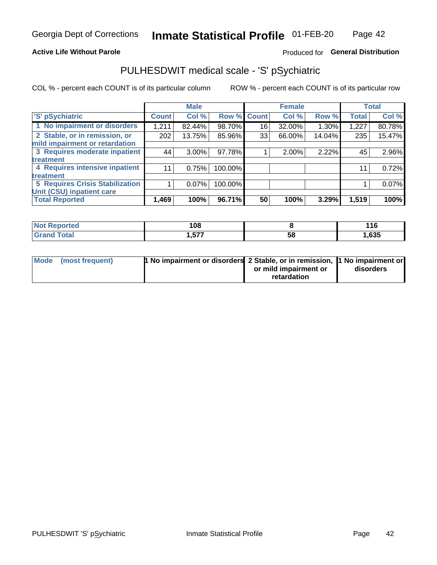### **Active Life Without Parole**

### Produced for General Distribution

## PULHESDWIT medical scale - 'S' pSychiatric

COL % - percent each COUNT is of its particular column

|                                        |              | <b>Male</b> |         |                    | <b>Female</b> |        |              | <b>Total</b> |
|----------------------------------------|--------------|-------------|---------|--------------------|---------------|--------|--------------|--------------|
| 'S' pSychiatric                        | <b>Count</b> | Col %       |         | <b>Row % Count</b> | Col %         | Row %  | <b>Total</b> | Col %        |
| 1 No impairment or disorders           | 1,211        | 82.44%      | 98.70%  | 16                 | 32.00%        | 1.30%  | 1,227        | 80.78%       |
| 2 Stable, or in remission, or          | 202          | 13.75%      | 85.96%  | 33                 | 66.00%        | 14.04% | 235          | 15.47%       |
| mild impairment or retardation         |              |             |         |                    |               |        |              |              |
| 3 Requires moderate inpatient          | 44           | $3.00\%$    | 97.78%  |                    | 2.00%         | 2.22%  | 45           | 2.96%        |
| treatment                              |              |             |         |                    |               |        |              |              |
| 4 Requires intensive inpatient         | 11           | 0.75%       | 100.00% |                    |               |        | 11           | 0.72%        |
| treatment                              |              |             |         |                    |               |        |              |              |
| <b>5 Requires Crisis Stabilization</b> |              | $0.07\%$    | 100.00% |                    |               |        |              | 0.07%        |
| Unit (CSU) inpatient care              |              |             |         |                    |               |        |              |              |
| <b>Total Reported</b>                  | 1,469        | 100%        | 96.71%  | 50                 | 100%          | 3.29%  | 1,519        | 100%         |

| <b>Not Reported</b> | 108             |    | 116   |
|---------------------|-----------------|----|-------|
| <b>Grand Total</b>  | ---<br>I .V I I | 58 | 1,635 |

| Mode (most frequent) | <b>1 No impairment or disorders</b> 2 Stable, or in remission, 11 No impairment or |                       |           |
|----------------------|------------------------------------------------------------------------------------|-----------------------|-----------|
|                      |                                                                                    | or mild impairment or | disorders |
|                      |                                                                                    | retardation           |           |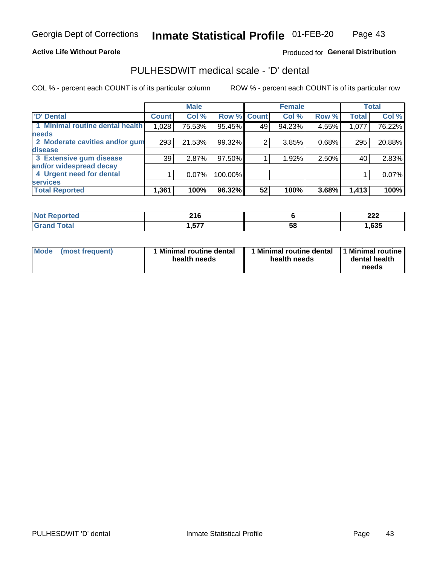### **Active Life Without Parole**

### Produced for General Distribution

## PULHESDWIT medical scale - 'D' dental

COL % - percent each COUNT is of its particular column

|                                 |              | <b>Male</b> |         |              | <b>Female</b> |       |              | <b>Total</b> |
|---------------------------------|--------------|-------------|---------|--------------|---------------|-------|--------------|--------------|
| <b>D'</b> Dental                | <b>Count</b> | Col %       | Row %   | <b>Count</b> | Col %         | Row % | <b>Total</b> | Col %        |
| 1 Minimal routine dental health | 1,028        | 75.53%      | 95.45%  | 49           | 94.23%        | 4.55% | 1,077        | 76.22%       |
| <b>needs</b>                    |              |             |         |              |               |       |              |              |
| 2 Moderate cavities and/or gum  | 293          | 21.53%      | 99.32%  | 2            | 3.85%         | 0.68% | 295          | 20.88%       |
| disease                         |              |             |         |              |               |       |              |              |
| 3 Extensive gum disease         | 39           | 2.87%       | 97.50%  |              | 1.92%         | 2.50% | 40           | 2.83%        |
| and/or widespread decay         |              |             |         |              |               |       |              |              |
| 4 Urgent need for dental        |              | $0.07\%$    | 100.00% |              |               |       |              | 0.07%        |
| <b>services</b>                 |              |             |         |              |               |       |              |              |
| <b>Total Reported</b>           | 1,361        | 100%        | 96.32%  | 52           | 100%          | 3.68% | 1,413        | 100%         |

| <b>Not Reported</b>   | 216          |    | nne<br>LLL   |
|-----------------------|--------------|----|--------------|
| <b>Total</b><br>Grand | ヒフフ<br>ו וטו | 58 | <b>1,635</b> |

| <b>Mode</b> | (most frequent) | <b>Minimal routine dental</b><br>health needs | 1 Minimal routine dental<br>health needs | <b>11 Minimal routine I</b><br>dental health<br>needs |
|-------------|-----------------|-----------------------------------------------|------------------------------------------|-------------------------------------------------------|
|-------------|-----------------|-----------------------------------------------|------------------------------------------|-------------------------------------------------------|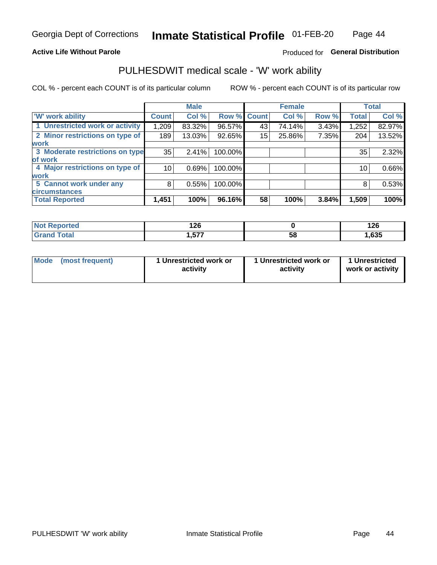### **Active Life Without Parole**

### Produced for General Distribution

## PULHESDWIT medical scale - 'W' work ability

COL % - percent each COUNT is of its particular column

|                                 |                    | <b>Male</b> |         |             | <b>Female</b> |       |              | <b>Total</b> |
|---------------------------------|--------------------|-------------|---------|-------------|---------------|-------|--------------|--------------|
| <b>W' work ability</b>          | Count <sup>'</sup> | Col %       |         | Row % Count | Col %         | Row % | <b>Total</b> | Col %        |
| 1 Unrestricted work or activity | 1,209              | 83.32%      | 96.57%  | 43          | 74.14%        | 3.43% | 1,252        | 82.97%       |
| 2 Minor restrictions on type of | 189                | 13.03%      | 92.65%  | 15          | 25.86%        | 7.35% | 204          | 13.52%       |
| <b>work</b>                     |                    |             |         |             |               |       |              |              |
| 3 Moderate restrictions on type | 35                 | 2.41%       | 100.00% |             |               |       | 35           | 2.32%        |
| lof work                        |                    |             |         |             |               |       |              |              |
| 4 Major restrictions on type of | 10                 | 0.69%       | 100.00% |             |               |       | 10           | 0.66%        |
| <b>work</b>                     |                    |             |         |             |               |       |              |              |
| 5 Cannot work under any         | 8                  | 0.55%       | 100.00% |             |               |       | 8            | 0.53%        |
| <b>circumstances</b>            |                    |             |         |             |               |       |              |              |
| <b>Total Reported</b>           | 1,451              | 100%        | 96.16%  | 58          | 100%          | 3.84% | 1,509        | 100%         |

| <b>Not Reported</b> | ィクピ<br>14 Y |    | . מי<br>ט∡ו |
|---------------------|-------------|----|-------------|
| <b>Grand Total</b>  | ---<br>     | 58 | 635, ا      |

| Mode            | 1 Unrestricted work or | 1 Unrestricted work or | 1 Unrestricted   |
|-----------------|------------------------|------------------------|------------------|
| (most frequent) | activity               | activity               | work or activity |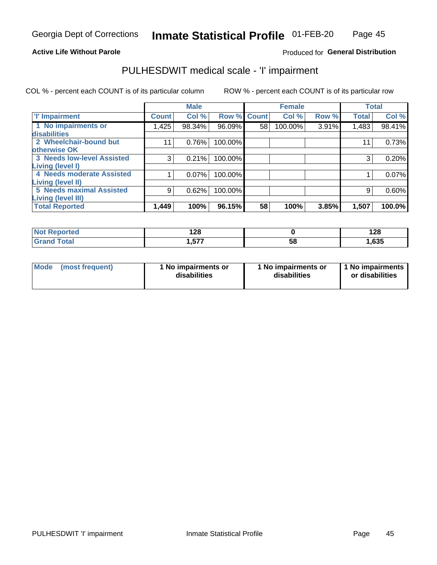### **Active Life Without Parole**

Produced for General Distribution

## PULHESDWIT medical scale - 'I' impairment

COL % - percent each COUNT is of its particular column ROW % - percent each COUNT is of its particular row

|                                   |              | <b>Male</b> |             |    | <b>Female</b> |       |              | <b>Total</b> |
|-----------------------------------|--------------|-------------|-------------|----|---------------|-------|--------------|--------------|
| <b>T' Impairment</b>              | <b>Count</b> | Col %       | Row % Count |    | Col %         | Row % | <b>Total</b> | Col %        |
| 1 No impairments or               | 1,425        | 98.34%      | 96.09%      | 58 | 100.00%       | 3.91% | 1,483        | 98.41%       |
| disabilities                      |              |             |             |    |               |       |              |              |
| 2 Wheelchair-bound but            |              | 0.76%       | 100.00%     |    |               |       | $1^{\circ}$  | 0.73%        |
| otherwise OK                      |              |             |             |    |               |       |              |              |
| <b>3 Needs low-level Assisted</b> | 3            | 0.21%       | 100.00%     |    |               |       | 3            | 0.20%        |
| Living (level I)                  |              |             |             |    |               |       |              |              |
| 4 Needs moderate Assisted         |              | 0.07%       | 100.00%     |    |               |       |              | 0.07%        |
| Living (level II)                 |              |             |             |    |               |       |              |              |
| <b>5 Needs maximal Assisted</b>   | 9            | 0.62%       | 100.00%     |    |               |       | 9            | 0.60%        |
| <b>Living (level III)</b>         |              |             |             |    |               |       |              |              |
| <b>Total Reported</b>             | 1,449        | 100%        | 96.15%      | 58 | 100%          | 3.85% | 1,507        | 100.0%       |

| orted       | ס רו<br>140 |    | 128   |
|-------------|-------------|----|-------|
| <b>otal</b> | .577        | 58 | 1,635 |

| Mode | (most frequent) | 1 No impairments or<br>disabilities | 1 No impairments or<br>disabilities | 1 No impairments<br>or disabilities |
|------|-----------------|-------------------------------------|-------------------------------------|-------------------------------------|
|------|-----------------|-------------------------------------|-------------------------------------|-------------------------------------|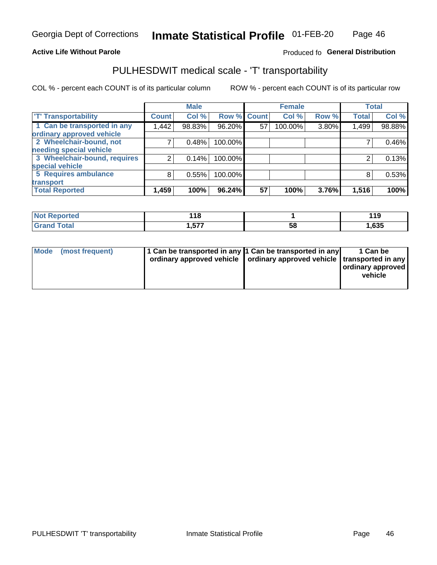### **Active Life Without Parole**

### Produced fo General Distribution

## PULHESDWIT medical scale - 'T' transportability

COL % - percent each COUNT is of its particular column

|                              |              | <b>Male</b> |             |    | <b>Female</b> |       |              | <b>Total</b> |
|------------------------------|--------------|-------------|-------------|----|---------------|-------|--------------|--------------|
| <b>T' Transportability</b>   | <b>Count</b> | Col %       | Row % Count |    | Col %         | Row % | <b>Total</b> | Col %        |
| 1 Can be transported in any  | 1,442        | 98.83%      | 96.20%      | 57 | 100.00%       | 3.80% | 1,499        | 98.88%       |
| ordinary approved vehicle    |              |             |             |    |               |       |              |              |
| 2 Wheelchair-bound, not      |              | 0.48%       | 100.00%     |    |               |       |              | 0.46%        |
| needing special vehicle      |              |             |             |    |               |       |              |              |
| 3 Wheelchair-bound, requires |              | 0.14%       | 100.00%     |    |               |       |              | 0.13%        |
| special vehicle              |              |             |             |    |               |       |              |              |
| 5 Requires ambulance         | 8            | 0.55%       | 100.00%     |    |               |       |              | 0.53%        |
| transport                    |              |             |             |    |               |       |              |              |
| <b>Total Reported</b>        | 1,459        | 100%        | 96.24%      | 57 | 100%          | 3.76% | 1,516        | 100%         |

| orted       | 440<br>. . |    | 1 4 N<br>$\cdots$ |
|-------------|------------|----|-------------------|
| <b>otal</b> | .,577      | วด | ,635              |

| <b>Mode</b> | (most frequent) | 1 Can be transported in any 1 Can be transported in any | ordinary approved vehicle   ordinary approved vehicle   transported in any | 1 Can be<br>  ordinary approved  <br>vehicle |
|-------------|-----------------|---------------------------------------------------------|----------------------------------------------------------------------------|----------------------------------------------|
|-------------|-----------------|---------------------------------------------------------|----------------------------------------------------------------------------|----------------------------------------------|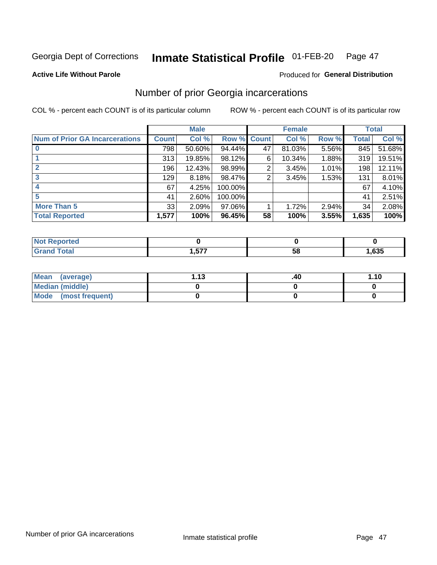#### Inmate Statistical Profile 01-FEB-20 Page 47

**Produced for General Distribution** 

### **Active Life Without Parole**

### Number of prior Georgia incarcerations

COL % - percent each COUNT is of its particular column

|                                       |              | <b>Male</b> |                    |    | <b>Female</b> |       |       | <b>Total</b> |
|---------------------------------------|--------------|-------------|--------------------|----|---------------|-------|-------|--------------|
| <b>Num of Prior GA Incarcerations</b> | <b>Count</b> | Col %       | <b>Row % Count</b> |    | Col %         | Row % | Total | Col %        |
|                                       | 798          | 50.60%      | 94.44%             | 47 | 81.03%        | 5.56% | 845   | 51.68%       |
|                                       | 313          | 19.85%      | 98.12%             | 6  | 10.34%        | 1.88% | 319   | 19.51%       |
|                                       | 196          | 12.43%      | 98.99%             | 2  | 3.45%         | 1.01% | 198   | 12.11%       |
| 3                                     | 129          | 8.18%       | 98.47%             | 2  | 3.45%         | 1.53% | 131   | 8.01%        |
|                                       | 67           | 4.25%       | 100.00%            |    |               |       | 67    | 4.10%        |
| 5                                     | 41           | 2.60%       | 100.00%            |    |               |       | 41    | 2.51%        |
| <b>More Than 5</b>                    | 33           | 2.09%       | 97.06%             |    | 1.72%         | 2.94% | 34    | 2.08%        |
| <b>Total Reported</b>                 | 1,577        | 100%        | 96.45%             | 58 | 100%          | 3.55% | 1,635 | 100%         |

| orted                     |      |            |      |
|---------------------------|------|------------|------|
| 'otal<br>$\mathbf{v}$ and | ---- | - 12<br>JL | ,635 |

| Mean (average)       | - 12<br>I. I J | .40 | 1.10 |
|----------------------|----------------|-----|------|
| Median (middle)      |                |     |      |
| Mode (most frequent) |                |     |      |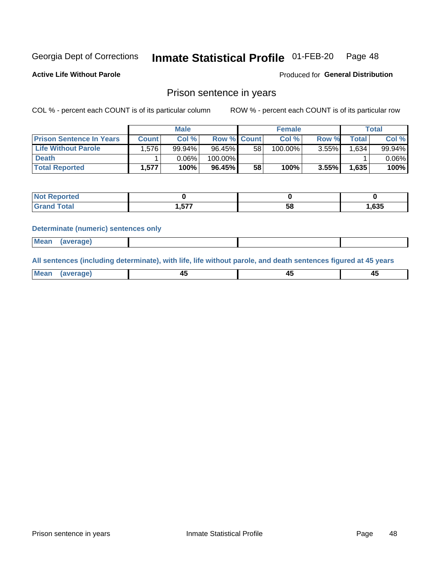#### **Inmate Statistical Profile 01-FEB-20** Page 48

**Active Life Without Parole** 

Produced for General Distribution

### Prison sentence in years

COL % - percent each COUNT is of its particular column

ROW % - percent each COUNT is of its particular row

|                                 |              | <b>Male</b> |                    |    | <b>Female</b> |          |             | Total    |
|---------------------------------|--------------|-------------|--------------------|----|---------------|----------|-------------|----------|
| <b>Prison Sentence In Years</b> | <b>Count</b> | Col %       | <b>Row % Count</b> |    | Col %         | Row %    | $\tau$ otal | Col %    |
| <b>Life Without Parole</b>      | .576         | 99.94%      | 96.45%             | 58 | 100.00%       | $3.55\%$ | 1,634       | 99.94%   |
| <b>Death</b>                    |              | 0.06%       | 100.00%            |    |               |          |             | $0.06\%$ |
| <b>Total Reported</b>           | 1,577        | 100%        | 96.45%             | 58 | 100%          | $3.55\%$ | 1,635       | 100%     |

| τeα |                      |    |      |
|-----|----------------------|----|------|
|     | <b>577</b><br>1.JI . | ວດ | ,635 |

#### **Determinate (numeric) sentences only**

| ' Mea<br><b>Service</b> A<br>ЯМА. |  |  |  |
|-----------------------------------|--|--|--|
|                                   |  |  |  |

All sentences (including determinate), with life, life without parole, and death sentences figured at 45 years

| Me:<br>апе<br>᠇<br> | $\sim$<br>$\sim$ |  |
|---------------------|------------------|--|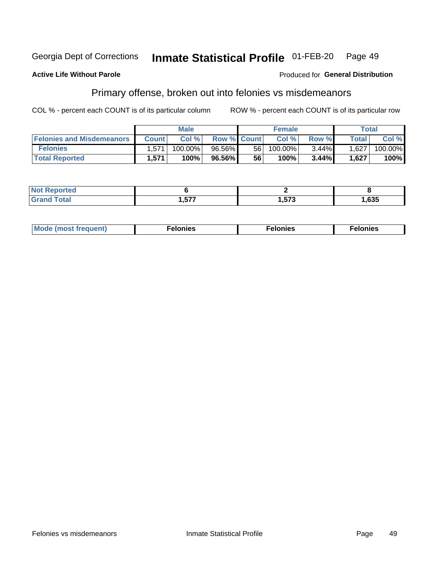#### Inmate Statistical Profile 01-FEB-20 Georgia Dept of Corrections Page 49

#### **Active Life Without Parole**

#### Produced for General Distribution

## Primary offense, broken out into felonies vs misdemeanors

COL % - percent each COUNT is of its particular column

|                                  |              | <b>Male</b> |                    |    | <b>Female</b> |       |              | Total   |
|----------------------------------|--------------|-------------|--------------------|----|---------------|-------|--------------|---------|
| <b>Felonies and Misdemeanors</b> | <b>Count</b> | Col%        | <b>Row % Count</b> |    | Col%          | Row % | <b>Total</b> | Col %   |
| <b>Felonies</b>                  | 1,571        | 100.00%     | 96.56%             | 56 | 100.00%       | 3.44% | 1,627        | 100.00% |
| <b>Total Reported</b>            | .571         | 100%        | 96.56%             | 56 | 100%          | 3.44% | 1,627        | 100%    |

| <b>Not Reported</b>          |                        |                  |      |
|------------------------------|------------------------|------------------|------|
| <b>Total</b><br>Grano<br>uuu | <b>E77</b><br>I .V / 1 | ドラク<br>. . J I J | ,635 |

| $Mc$<br>equent)<br>нез<br>$\sim$<br>. | onies<br>. | <b>onies</b><br>. |
|---------------------------------------|------------|-------------------|
|---------------------------------------|------------|-------------------|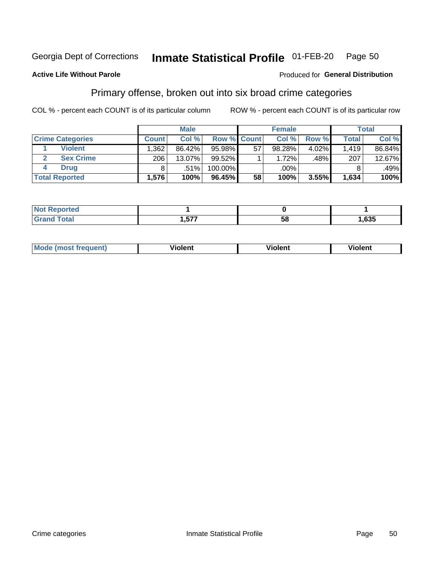#### Inmate Statistical Profile 01-FEB-20 Page 50

### **Active Life Without Parole**

#### Produced for General Distribution

## Primary offense, broken out into six broad crime categories

COL % - percent each COUNT is of its particular column

|                         |              | <b>Male</b> |                    |    | <b>Female</b> |          |              | Total  |
|-------------------------|--------------|-------------|--------------------|----|---------------|----------|--------------|--------|
| <b>Crime Categories</b> | <b>Count</b> | Col %       | <b>Row % Count</b> |    | Col %         | Row %    | <b>Total</b> | Col %  |
| <b>Violent</b>          | .362         | 86.42%      | 95.98%             | 57 | 98.28%        | $4.02\%$ | 1.419        | 86.84% |
| <b>Sex Crime</b>        | 206          | 13.07%      | $99.52\%$          |    | 1.72%         | .48%     | 207          | 12.67% |
| <b>Drug</b>             |              | .51%        | 100.00%            |    | .00%          |          |              | .49%   |
| <b>Total Reported</b>   | 1,576        | 100%        | 96.45%             | 58 | 100%          | 3.55%    | 1,634        | 100%   |

| ______ | ---<br>___ | 58 | .635 |
|--------|------------|----|------|

| <b>Mode</b><br>วนent)<br>mos | .<br>/iolent | olent | <br>วlent |
|------------------------------|--------------|-------|-----------|
|                              |              |       |           |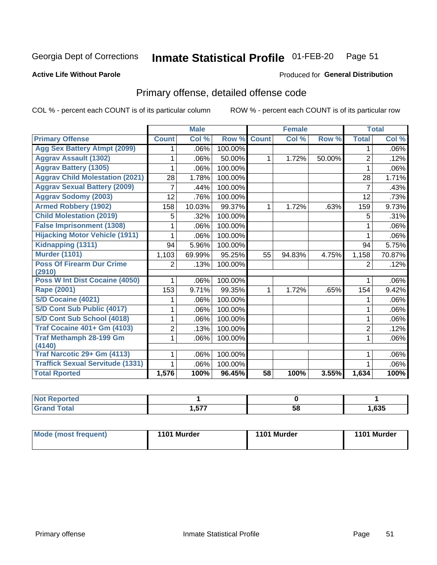#### Inmate Statistical Profile 01-FEB-20 Page 51

#### **Active Life Without Parole**

### **Produced for General Distribution**

## Primary offense, detailed offense code

COL % - percent each COUNT is of its particular column

|                                            |              | <b>Male</b> |         |                 | <b>Female</b> |        |                | <b>Total</b> |
|--------------------------------------------|--------------|-------------|---------|-----------------|---------------|--------|----------------|--------------|
| <b>Primary Offense</b>                     | <b>Count</b> | Col %       | Row %   | <b>Count</b>    | Col %         | Row %  | <b>Total</b>   | Col %        |
| <b>Agg Sex Battery Atmpt (2099)</b>        |              | .06%        | 100.00% |                 |               |        | 1              | .06%         |
| <b>Aggrav Assault (1302)</b>               | 1            | .06%        | 50.00%  | 1               | 1.72%         | 50.00% | $\overline{2}$ | .12%         |
| <b>Aggrav Battery (1305)</b>               |              | .06%        | 100.00% |                 |               |        | 1              | $.06\%$      |
| <b>Aggrav Child Molestation (2021)</b>     | 28           | 1.78%       | 100.00% |                 |               |        | 28             | 1.71%        |
| <b>Aggrav Sexual Battery (2009)</b>        | 7            | .44%        | 100.00% |                 |               |        | $\overline{7}$ | .43%         |
| <b>Aggrav Sodomy (2003)</b>                | 12           | .76%        | 100.00% |                 |               |        | 12             | .73%         |
| <b>Armed Robbery (1902)</b>                | 158          | 10.03%      | 99.37%  | 1.              | 1.72%         | .63%   | 159            | 9.73%        |
| <b>Child Molestation (2019)</b>            | 5            | .32%        | 100.00% |                 |               |        | 5              | .31%         |
| <b>False Imprisonment (1308)</b>           | 1            | .06%        | 100.00% |                 |               |        | 1              | .06%         |
| <b>Hijacking Motor Vehicle (1911)</b>      | 1            | .06%        | 100.00% |                 |               |        | 1              | .06%         |
| Kidnapping (1311)                          | 94           | 5.96%       | 100.00% |                 |               |        | 94             | 5.75%        |
| <b>Murder (1101)</b>                       | 1,103        | 69.99%      | 95.25%  | 55              | 94.83%        | 4.75%  | 1,158          | 70.87%       |
| <b>Poss Of Firearm Dur Crime</b><br>(2910) | 2            | .13%        | 100.00% |                 |               |        | $\overline{2}$ | .12%         |
| Poss W Int Dist Cocaine (4050)             |              | .06%        | 100.00% |                 |               |        |                | .06%         |
| Rape (2001)                                | 153          | 9.71%       | 99.35%  | $\mathbf 1$     | 1.72%         | .65%   | 154            | 9.42%        |
| S/D Cocaine (4021)                         | 1            | .06%        | 100.00% |                 |               |        |                | $.06\%$      |
| S/D Cont Sub Public (4017)                 |              | .06%        | 100.00% |                 |               |        | 1              | .06%         |
| S/D Cont Sub School (4018)                 | 1            | .06%        | 100.00% |                 |               |        | 1              | $.06\%$      |
| <b>Traf Cocaine 401+ Gm (4103)</b>         | 2            | .13%        | 100.00% |                 |               |        | $\overline{2}$ | .12%         |
| <b>Traf Methamph 28-199 Gm</b><br>(4140)   | 1            | .06%        | 100.00% |                 |               |        | 1              | $.06\%$      |
| Traf Narcotic 29+ Gm (4113)                | 1            | .06%        | 100.00% |                 |               |        | 1              | $.06\%$      |
| <b>Traffick Sexual Servitude (1331)</b>    |              | .06%        | 100.00% |                 |               |        |                | $.06\%$      |
| <b>Total Rported</b>                       | 1,576        | 100%        | 96.45%  | $\overline{58}$ | 100%          | 3.55%  | 1,634          | 100%         |

| Reported<br><b>NOT</b> |              |    |      |
|------------------------|--------------|----|------|
| ™ota⊾                  | ヒママ<br>ו וטו | 58 | ,635 |

| Mode (most frequent) | 1101 Murder | 1101 Murder | 1101 Murder |
|----------------------|-------------|-------------|-------------|
|----------------------|-------------|-------------|-------------|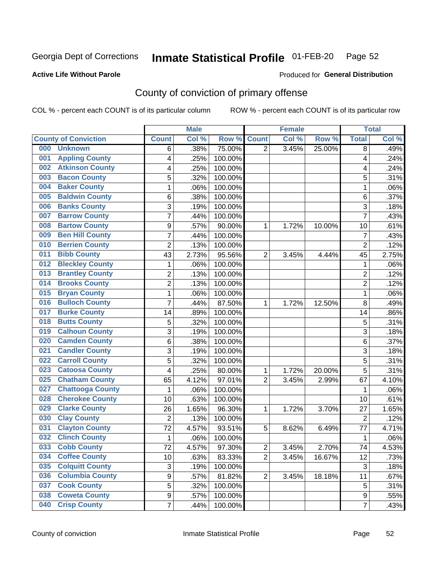#### Inmate Statistical Profile 01-FEB-20 Page 52

### **Active Life Without Parole**

#### Produced for General Distribution

## County of conviction of primary offense

COL % - percent each COUNT is of its particular column

|                                |                | <b>Male</b> |         |                | <b>Female</b> |        |                | <b>Total</b> |
|--------------------------------|----------------|-------------|---------|----------------|---------------|--------|----------------|--------------|
| <b>County of Conviction</b>    | <b>Count</b>   | Col %       | Row %   | <b>Count</b>   | Col %         | Row %  | <b>Total</b>   | Col %        |
| 000<br><b>Unknown</b>          | 6              | .38%        | 75.00%  | $\overline{2}$ | 3.45%         | 25.00% | 8              | .49%         |
| <b>Appling County</b><br>001   | 4              | .25%        | 100.00% |                |               |        | 4              | .24%         |
| <b>Atkinson County</b><br>002  | 4              | .25%        | 100.00% |                |               |        | 4              | .24%         |
| <b>Bacon County</b><br>003     | 5              | .32%        | 100.00% |                |               |        | 5              | .31%         |
| <b>Baker County</b><br>004     | 1              | .06%        | 100.00% |                |               |        | 1              | .06%         |
| <b>Baldwin County</b><br>005   | 6              | .38%        | 100.00% |                |               |        | 6              | .37%         |
| <b>Banks County</b><br>006     | 3              | .19%        | 100.00% |                |               |        | 3              | .18%         |
| <b>Barrow County</b><br>007    | 7              | .44%        | 100.00% |                |               |        | $\overline{7}$ | .43%         |
| <b>Bartow County</b><br>008    | 9              | .57%        | 90.00%  | 1              | 1.72%         | 10.00% | 10             | .61%         |
| <b>Ben Hill County</b><br>009  | $\overline{7}$ | .44%        | 100.00% |                |               |        | $\overline{7}$ | .43%         |
| <b>Berrien County</b><br>010   | $\overline{2}$ | .13%        | 100.00% |                |               |        | $\overline{2}$ | .12%         |
| <b>Bibb County</b><br>011      | 43             | 2.73%       | 95.56%  | $\overline{2}$ | 3.45%         | 4.44%  | 45             | 2.75%        |
| <b>Bleckley County</b><br>012  | 1              | .06%        | 100.00% |                |               |        | 1              | .06%         |
| <b>Brantley County</b><br>013  | $\overline{c}$ | .13%        | 100.00% |                |               |        | $\overline{2}$ | .12%         |
| <b>Brooks County</b><br>014    | $\overline{c}$ | .13%        | 100.00% |                |               |        | $\overline{2}$ | .12%         |
| <b>Bryan County</b><br>015     | 1              | .06%        | 100.00% |                |               |        | 1              | .06%         |
| <b>Bulloch County</b><br>016   | $\overline{7}$ | .44%        | 87.50%  | 1              | 1.72%         | 12.50% | 8              | .49%         |
| <b>Burke County</b><br>017     | 14             | .89%        | 100.00% |                |               |        | 14             | .86%         |
| <b>Butts County</b><br>018     | 5              | .32%        | 100.00% |                |               |        | 5              | .31%         |
| <b>Calhoun County</b><br>019   | 3              | .19%        | 100.00% |                |               |        | 3              | .18%         |
| <b>Camden County</b><br>020    | 6              | .38%        | 100.00% |                |               |        | 6              | .37%         |
| <b>Candler County</b><br>021   | 3              | .19%        | 100.00% |                |               |        | 3              | .18%         |
| <b>Carroll County</b><br>022   | 5              | .32%        | 100.00% |                |               |        | 5              | .31%         |
| <b>Catoosa County</b><br>023   | 4              | .25%        | 80.00%  | 1              | 1.72%         | 20.00% | 5              | .31%         |
| <b>Chatham County</b><br>025   | 65             | 4.12%       | 97.01%  | $\overline{2}$ | 3.45%         | 2.99%  | 67             | 4.10%        |
| <b>Chattooga County</b><br>027 | 1              | .06%        | 100.00% |                |               |        | 1              | .06%         |
| <b>Cherokee County</b><br>028  | 10             | .63%        | 100.00% |                |               |        | 10             | .61%         |
| <b>Clarke County</b><br>029    | 26             | 1.65%       | 96.30%  | 1              | 1.72%         | 3.70%  | 27             | 1.65%        |
| <b>Clay County</b><br>030      | $\overline{2}$ | .13%        | 100.00% |                |               |        | $\overline{2}$ | .12%         |
| <b>Clayton County</b><br>031   | 72             | 4.57%       | 93.51%  | 5              | 8.62%         | 6.49%  | 77             | 4.71%        |
| <b>Clinch County</b><br>032    | 1              | .06%        | 100.00% |                |               |        | 1              | .06%         |
| 033<br><b>Cobb County</b>      | 72             | 4.57%       | 97.30%  | $\overline{c}$ | 3.45%         | 2.70%  | 74             | 4.53%        |
| <b>Coffee County</b><br>034    | 10             | .63%        | 83.33%  | $\overline{2}$ | 3.45%         | 16.67% | 12             | .73%         |
| <b>Colquitt County</b><br>035  | 3              | .19%        | 100.00% |                |               |        | 3              | .18%         |
| <b>Columbia County</b><br>036  | 9              | .57%        | 81.82%  | $\overline{2}$ | 3.45%         | 18.18% | 11             | .67%         |
| <b>Cook County</b><br>037      | 5              | .32%        | 100.00% |                |               |        | 5              | .31%         |
| <b>Coweta County</b><br>038    | 9              | .57%        | 100.00% |                |               |        | 9              | .55%         |
| <b>Crisp County</b><br>040     | $\overline{7}$ | .44%        | 100.00% |                |               |        | $\overline{7}$ | .43%         |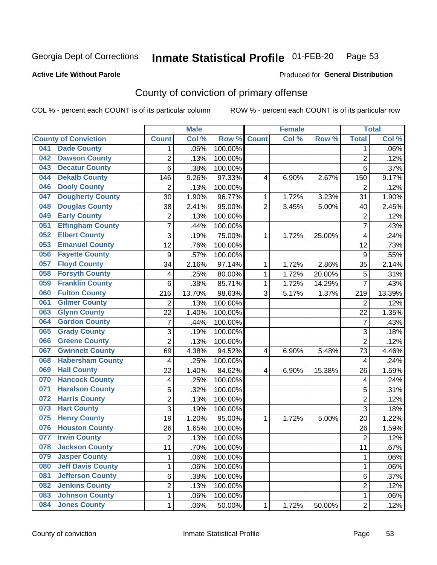#### Inmate Statistical Profile 01-FEB-20 Page 53

### **Active Life Without Parole**

#### Produced for General Distribution

## County of conviction of primary offense

COL % - percent each COUNT is of its particular column

|     |                             |                  | <b>Male</b> |         |                | <b>Female</b> |        |                | <b>Total</b> |
|-----|-----------------------------|------------------|-------------|---------|----------------|---------------|--------|----------------|--------------|
|     | <b>County of Conviction</b> | <b>Count</b>     | Col %       | Row %   | <b>Count</b>   | Col %         | Row %  | <b>Total</b>   | Col %        |
| 041 | <b>Dade County</b>          | 1                | .06%        | 100.00% |                |               |        | $\mathbf 1$    | .06%         |
| 042 | <b>Dawson County</b>        | $\overline{2}$   | .13%        | 100.00% |                |               |        | $\overline{2}$ | .12%         |
| 043 | <b>Decatur County</b>       | $\overline{6}$   | .38%        | 100.00% |                |               |        | 6              | .37%         |
| 044 | <b>Dekalb County</b>        | 146              | 9.26%       | 97.33%  | 4              | 6.90%         | 2.67%  | 150            | 9.17%        |
| 046 | <b>Dooly County</b>         | $\overline{2}$   | .13%        | 100.00% |                |               |        | $\overline{2}$ | .12%         |
| 047 | <b>Dougherty County</b>     | 30               | 1.90%       | 96.77%  | 1              | 1.72%         | 3.23%  | 31             | 1.90%        |
| 048 | <b>Douglas County</b>       | 38               | 2.41%       | 95.00%  | $\overline{2}$ | 3.45%         | 5.00%  | 40             | 2.45%        |
| 049 | <b>Early County</b>         | $\overline{c}$   | .13%        | 100.00% |                |               |        | $\overline{2}$ | .12%         |
| 051 | <b>Effingham County</b>     | $\overline{7}$   | .44%        | 100.00% |                |               |        | $\overline{7}$ | .43%         |
| 052 | <b>Elbert County</b>        | 3                | .19%        | 75.00%  | 1              | 1.72%         | 25.00% | 4              | .24%         |
| 053 | <b>Emanuel County</b>       | $\overline{12}$  | .76%        | 100.00% |                |               |        | 12             | .73%         |
| 056 | <b>Fayette County</b>       | $\boldsymbol{9}$ | .57%        | 100.00% |                |               |        | 9              | .55%         |
| 057 | <b>Floyd County</b>         | 34               | 2.16%       | 97.14%  | 1              | 1.72%         | 2.86%  | 35             | 2.14%        |
| 058 | <b>Forsyth County</b>       | 4                | .25%        | 80.00%  | $\mathbf{1}$   | 1.72%         | 20.00% | 5              | .31%         |
| 059 | <b>Franklin County</b>      | 6                | .38%        | 85.71%  | 1              | 1.72%         | 14.29% | $\overline{7}$ | .43%         |
| 060 | <b>Fulton County</b>        | 216              | 13.70%      | 98.63%  | 3              | 5.17%         | 1.37%  | 219            | 13.39%       |
| 061 | <b>Gilmer County</b>        | 2                | .13%        | 100.00% |                |               |        | $\overline{2}$ | .12%         |
| 063 | <b>Glynn County</b>         | 22               | 1.40%       | 100.00% |                |               |        | 22             | 1.35%        |
| 064 | <b>Gordon County</b>        | $\overline{7}$   | .44%        | 100.00% |                |               |        | $\overline{7}$ | .43%         |
| 065 | <b>Grady County</b>         | 3                | .19%        | 100.00% |                |               |        | 3              | .18%         |
| 066 | <b>Greene County</b>        | $\overline{2}$   | .13%        | 100.00% |                |               |        | $\overline{2}$ | .12%         |
| 067 | <b>Gwinnett County</b>      | 69               | 4.38%       | 94.52%  | 4              | 6.90%         | 5.48%  | 73             | 4.46%        |
| 068 | <b>Habersham County</b>     | 4                | .25%        | 100.00% |                |               |        | 4              | .24%         |
| 069 | <b>Hall County</b>          | 22               | 1.40%       | 84.62%  | 4              | 6.90%         | 15.38% | 26             | 1.59%        |
| 070 | <b>Hancock County</b>       | 4                | .25%        | 100.00% |                |               |        | 4              | .24%         |
| 071 | <b>Haralson County</b>      | 5                | .32%        | 100.00% |                |               |        | 5              | .31%         |
| 072 | <b>Harris County</b>        | $\overline{2}$   | .13%        | 100.00% |                |               |        | $\overline{2}$ | .12%         |
| 073 | <b>Hart County</b>          | 3                | .19%        | 100.00% |                |               |        | 3              | .18%         |
| 075 | <b>Henry County</b>         | 19               | 1.20%       | 95.00%  | 1              | 1.72%         | 5.00%  | 20             | 1.22%        |
| 076 | <b>Houston County</b>       | 26               | 1.65%       | 100.00% |                |               |        | 26             | 1.59%        |
| 077 | <b>Irwin County</b>         | $\overline{2}$   | .13%        | 100.00% |                |               |        | $\overline{2}$ | .12%         |
| 078 | <b>Jackson County</b>       | 11               | .70%        | 100.00% |                |               |        | 11             | .67%         |
| 079 | <b>Jasper County</b>        | 1                | .06%        | 100.00% |                |               |        | $\mathbf{1}$   | .06%         |
| 080 | <b>Jeff Davis County</b>    | 1                | .06%        | 100.00% |                |               |        | 1              | .06%         |
| 081 | <b>Jefferson County</b>     | 6                | .38%        | 100.00% |                |               |        | 6              | .37%         |
| 082 | <b>Jenkins County</b>       | 2                | .13%        | 100.00% |                |               |        | $\overline{2}$ | .12%         |
| 083 | <b>Johnson County</b>       | 1                | .06%        | 100.00% |                |               |        | $\mathbf 1$    | .06%         |
| 084 | <b>Jones County</b>         | 1                | .06%        | 50.00%  | 1              | 1.72%         | 50.00% | $\overline{2}$ | .12%         |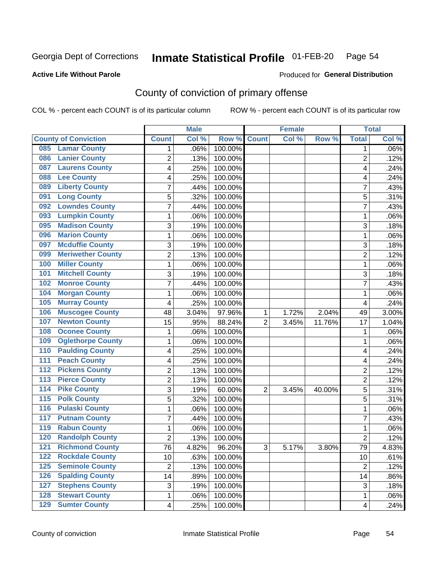#### Inmate Statistical Profile 01-FEB-20 Page 54

**Active Life Without Parole** 

Produced for General Distribution

## County of conviction of primary offense

COL % - percent each COUNT is of its particular column

|                  |                             |                 | <b>Male</b> |         |                | <b>Female</b> |          |                | <b>Total</b> |
|------------------|-----------------------------|-----------------|-------------|---------|----------------|---------------|----------|----------------|--------------|
|                  | <b>County of Conviction</b> | <b>Count</b>    | Col %       | Row %   | <b>Count</b>   | Col %         | Row %    | <b>Total</b>   | Col %        |
| 085              | <b>Lamar County</b>         | 1               | .06%        | 100.00% |                |               |          | 1              | $.06\%$      |
| 086              | <b>Lanier County</b>        | $\overline{2}$  | .13%        | 100.00% |                |               |          | $\overline{2}$ | .12%         |
| 087              | <b>Laurens County</b>       | 4               | .25%        | 100.00% |                |               |          | 4              | .24%         |
| 088              | <b>Lee County</b>           | 4               | .25%        | 100.00% |                |               |          | 4              | .24%         |
| 089              | <b>Liberty County</b>       | 7               | .44%        | 100.00% |                |               |          | 7              | .43%         |
| 091              | <b>Long County</b>          | 5               | .32%        | 100.00% |                |               |          | 5              | .31%         |
| 092              | <b>Lowndes County</b>       | 7               | .44%        | 100.00% |                |               |          | 7              | .43%         |
| 093              | <b>Lumpkin County</b>       | 1               | .06%        | 100.00% |                |               |          | 1              | .06%         |
| 095              | <b>Madison County</b>       | 3               | .19%        | 100.00% |                |               |          | 3              | .18%         |
| 096              | <b>Marion County</b>        | 1               | .06%        | 100.00% |                |               |          | 1              | .06%         |
| 097              | <b>Mcduffie County</b>      | 3               | .19%        | 100.00% |                |               |          | 3              | .18%         |
| 099              | <b>Meriwether County</b>    | $\overline{2}$  | .13%        | 100.00% |                |               |          | $\overline{c}$ | .12%         |
| 100              | <b>Miller County</b>        | 1               | .06%        | 100.00% |                |               |          | 1              | .06%         |
| 101              | <b>Mitchell County</b>      | 3               | .19%        | 100.00% |                |               |          | 3              | .18%         |
| 102              | <b>Monroe County</b>        | 7               | .44%        | 100.00% |                |               |          | $\overline{7}$ | .43%         |
| 104              | <b>Morgan County</b>        | 1               | .06%        | 100.00% |                |               |          | 1              | .06%         |
| 105              | <b>Murray County</b>        | 4               | .25%        | 100.00% |                |               |          | 4              | .24%         |
| 106              | <b>Muscogee County</b>      | 48              | 3.04%       | 97.96%  | 1              | 1.72%         | 2.04%    | 49             | 3.00%        |
| 107              | <b>Newton County</b>        | 15              | .95%        | 88.24%  | $\overline{2}$ | 3.45%         | 11.76%   | 17             | 1.04%        |
| 108              | <b>Oconee County</b>        | 1               | .06%        | 100.00% |                |               |          | 1              | .06%         |
| 109              | <b>Oglethorpe County</b>    | 1               | .06%        | 100.00% |                |               |          | 1              | .06%         |
| 110              | <b>Paulding County</b>      | 4               | .25%        | 100.00% |                |               |          | 4              | .24%         |
| 111              | <b>Peach County</b>         | 4               | .25%        | 100.00% |                |               |          | 4              | .24%         |
| 112              | <b>Pickens County</b>       | $\overline{2}$  | .13%        | 100.00% |                |               |          | $\overline{2}$ | .12%         |
| 113              | <b>Pierce County</b>        | 2               | .13%        | 100.00% |                |               |          | 2              | .12%         |
| $\overline{114}$ | <b>Pike County</b>          | 3               | .19%        | 60.00%  | $\overline{2}$ | 3.45%         | 40.00%   | 5              | .31%         |
| $\overline{115}$ | <b>Polk County</b>          | 5               | .32%        | 100.00% |                |               |          | 5              | .31%         |
| 116              | <b>Pulaski County</b>       | 1               | .06%        | 100.00% |                |               |          | $\mathbf{1}$   | .06%         |
| 117              | <b>Putnam County</b>        | 7               | .44%        | 100.00% |                |               |          | 7              | .43%         |
| 119              | <b>Rabun County</b>         | 1               | .06%        | 100.00% |                |               |          | 1              | .06%         |
| 120              | <b>Randolph County</b>      | 2               | .13%        | 100.00% |                |               |          | $\overline{2}$ | .12%         |
|                  | <b>121 Richmond County</b>  | $\overline{76}$ | 4.82%       | 96.20%  | 3              | 5.17%         | $3.80\%$ | 79             | 4.83%        |
| 122              | <b>Rockdale County</b>      | 10              | .63%        | 100.00% |                |               |          | 10             | .61%         |
| $125$            | <b>Seminole County</b>      | $\overline{2}$  | .13%        | 100.00% |                |               |          | $\overline{2}$ | .12%         |
| 126              | <b>Spalding County</b>      | 14              | .89%        | 100.00% |                |               |          | 14             | .86%         |
| 127              | <b>Stephens County</b>      | 3               | .19%        | 100.00% |                |               |          | 3              | .18%         |
| 128              | <b>Stewart County</b>       | 1               | .06%        | 100.00% |                |               |          | 1              | .06%         |
| 129              | <b>Sumter County</b>        | 4               | .25%        | 100.00% |                |               |          | 4              | .24%         |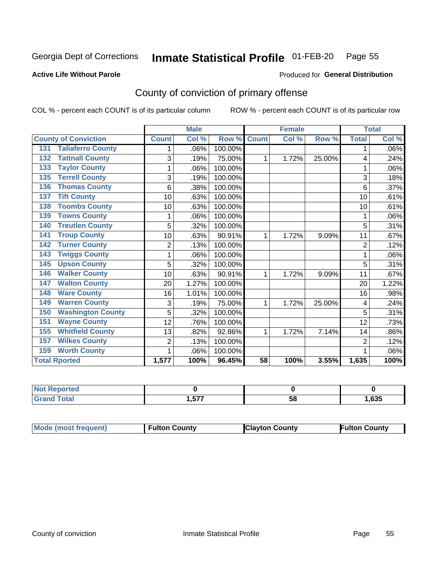#### Inmate Statistical Profile 01-FEB-20 Page 55

#### **Active Life Without Parole**

## **Produced for General Distribution**

## County of conviction of primary offense

COL % - percent each COUNT is of its particular column

|                                 |                | <b>Male</b> |         |                 | <b>Female</b> |        | <b>Total</b>   |       |
|---------------------------------|----------------|-------------|---------|-----------------|---------------|--------|----------------|-------|
| <b>County of Conviction</b>     | <b>Count</b>   | Col %       | Row %   | <b>Count</b>    | Col %         | Row %  | <b>Total</b>   | Col % |
| <b>Taliaferro County</b><br>131 |                | .06%        | 100.00% |                 |               |        | 1              | .06%  |
| <b>Tattnall County</b><br>132   | 3              | .19%        | 75.00%  | 1               | 1.72%         | 25.00% | 4              | .24%  |
| <b>Taylor County</b><br>133     |                | .06%        | 100.00% |                 |               |        |                | .06%  |
| <b>Terrell County</b><br>135    | 3              | .19%        | 100.00% |                 |               |        | 3              | .18%  |
| <b>Thomas County</b><br>136     | 6              | .38%        | 100.00% |                 |               |        | 6              | .37%  |
| <b>Tift County</b><br>137       | 10             | .63%        | 100.00% |                 |               |        | 10             | .61%  |
| <b>Toombs County</b><br>138     | 10             | .63%        | 100.00% |                 |               |        | 10             | .61%  |
| <b>Towns County</b><br>139      |                | .06%        | 100.00% |                 |               |        | 1              | .06%  |
| <b>Treutlen County</b><br>140   | 5              | .32%        | 100.00% |                 |               |        | 5              | .31%  |
| <b>Troup County</b><br>141      | 10             | .63%        | 90.91%  | 1               | 1.72%         | 9.09%  | 11             | .67%  |
| <b>Turner County</b><br>142     | 2              | .13%        | 100.00% |                 |               |        | $\overline{2}$ | .12%  |
| <b>Twiggs County</b><br>143     |                | .06%        | 100.00% |                 |               |        | 1              | .06%  |
| <b>Upson County</b><br>145      | 5              | .32%        | 100.00% |                 |               |        | 5              | .31%  |
| <b>Walker County</b><br>146     | 10             | .63%        | 90.91%  | 1               | 1.72%         | 9.09%  | 11             | .67%  |
| <b>Walton County</b><br>147     | 20             | 1.27%       | 100.00% |                 |               |        | 20             | 1.22% |
| <b>Ware County</b><br>148       | 16             | 1.01%       | 100.00% |                 |               |        | 16             | .98%  |
| <b>Warren County</b><br>149     | 3              | .19%        | 75.00%  | 1               | 1.72%         | 25.00% | 4              | .24%  |
| <b>Washington County</b><br>150 | 5              | .32%        | 100.00% |                 |               |        | 5              | .31%  |
| <b>Wayne County</b><br>151      | 12             | .76%        | 100.00% |                 |               |        | 12             | .73%  |
| <b>Whitfield County</b><br>155  | 13             | .82%        | 92.86%  | 1               | 1.72%         | 7.14%  | 14             | .86%  |
| <b>Wilkes County</b><br>157     | $\overline{c}$ | .13%        | 100.00% |                 |               |        | $\overline{2}$ | .12%  |
| <b>Worth County</b><br>159      | 1              | .06%        | 100.00% |                 |               |        |                | .06%  |
| <b>Total Rported</b>            | 1,577          | 100%        | 96.45%  | $\overline{58}$ | 100%          | 3.55%  | 1,635          | 100%  |

| <b>Not Reported</b> |               |    |      |
|---------------------|---------------|----|------|
| $T \cap f \cap f$   | ドフフ<br>I .J / | ວດ | ,635 |

| <b>Mode (most frequent)</b> | <b>Fulton County</b> | <b>IClayton County</b> | Fulton Countv |
|-----------------------------|----------------------|------------------------|---------------|
|-----------------------------|----------------------|------------------------|---------------|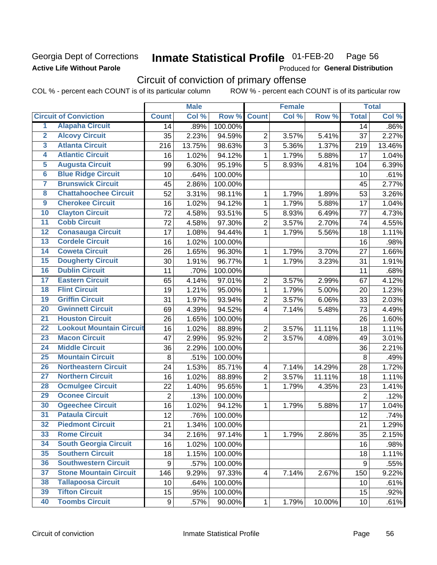### Georgia Dept of Corrections **Active Life Without Parole**

#### Inmate Statistical Profile 01-FEB-20 Page 56

Produced for General Distribution

## Circuit of conviction of primary offense

COL % - percent each COUNT is of its particular column ROW % - percent each COUNT is of its particular row

|                         |                                 |                | <b>Male</b> |         |                         | <b>Female</b> |        |                | <b>Total</b> |
|-------------------------|---------------------------------|----------------|-------------|---------|-------------------------|---------------|--------|----------------|--------------|
|                         | <b>Circuit of Conviction</b>    | <b>Count</b>   | Col %       | Row %   | <b>Count</b>            | Col %         | Row %  | <b>Total</b>   | Col %        |
| 1                       | <b>Alapaha Circuit</b>          | 14             | .89%        | 100.00% |                         |               |        | 14             | .86%         |
| $\overline{2}$          | <b>Alcovy Circuit</b>           | 35             | 2.23%       | 94.59%  | $\overline{2}$          | 3.57%         | 5.41%  | 37             | 2.27%        |
| $\overline{\mathbf{3}}$ | <b>Atlanta Circuit</b>          | 216            | 13.75%      | 98.63%  | 3                       | 5.36%         | 1.37%  | 219            | 13.46%       |
| 4                       | <b>Atlantic Circuit</b>         | 16             | 1.02%       | 94.12%  | $\mathbf{1}$            | 1.79%         | 5.88%  | 17             | 1.04%        |
| 5                       | <b>Augusta Circuit</b>          | 99             | 6.30%       | 95.19%  | 5                       | 8.93%         | 4.81%  | 104            | 6.39%        |
| $\overline{6}$          | <b>Blue Ridge Circuit</b>       | 10             | .64%        | 100.00% |                         |               |        | 10             | .61%         |
| 7                       | <b>Brunswick Circuit</b>        | 45             | 2.86%       | 100.00% |                         |               |        | 45             | 2.77%        |
| $\overline{\mathbf{8}}$ | <b>Chattahoochee Circuit</b>    | 52             | 3.31%       | 98.11%  | $\mathbf 1$             | 1.79%         | 1.89%  | 53             | 3.26%        |
| $\overline{9}$          | <b>Cherokee Circuit</b>         | 16             | 1.02%       | 94.12%  | $\mathbf{1}$            | 1.79%         | 5.88%  | 17             | 1.04%        |
| 10                      | <b>Clayton Circuit</b>          | 72             | 4.58%       | 93.51%  | 5                       | 8.93%         | 6.49%  | 77             | 4.73%        |
| $\overline{11}$         | <b>Cobb Circuit</b>             | 72             | 4.58%       | 97.30%  | $\overline{2}$          | 3.57%         | 2.70%  | 74             | 4.55%        |
| $\overline{12}$         | <b>Conasauga Circuit</b>        | 17             | 1.08%       | 94.44%  | 1                       | 1.79%         | 5.56%  | 18             | 1.11%        |
| 13                      | <b>Cordele Circuit</b>          | 16             | 1.02%       | 100.00% |                         |               |        | 16             | .98%         |
| $\overline{14}$         | <b>Coweta Circuit</b>           | 26             | 1.65%       | 96.30%  | $\mathbf{1}$            | 1.79%         | 3.70%  | 27             | 1.66%        |
| 15                      | <b>Dougherty Circuit</b>        | 30             | 1.91%       | 96.77%  | $\mathbf 1$             | 1.79%         | 3.23%  | 31             | 1.91%        |
| 16                      | <b>Dublin Circuit</b>           | 11             | .70%        | 100.00% |                         |               |        | 11             | .68%         |
| 17                      | <b>Eastern Circuit</b>          | 65             | 4.14%       | 97.01%  | $\overline{2}$          | 3.57%         | 2.99%  | 67             | 4.12%        |
| 18                      | <b>Flint Circuit</b>            | 19             | 1.21%       | 95.00%  | $\mathbf{1}$            | 1.79%         | 5.00%  | 20             | 1.23%        |
| 19                      | <b>Griffin Circuit</b>          | 31             | 1.97%       | 93.94%  | $\overline{2}$          | 3.57%         | 6.06%  | 33             | 2.03%        |
| 20                      | <b>Gwinnett Circuit</b>         | 69             | 4.39%       | 94.52%  | $\overline{4}$          | 7.14%         | 5.48%  | 73             | 4.49%        |
| $\overline{21}$         | <b>Houston Circuit</b>          | 26             | 1.65%       | 100.00% |                         |               |        | 26             | 1.60%        |
| $\overline{22}$         | <b>Lookout Mountain Circuit</b> | 16             | 1.02%       | 88.89%  | $\overline{2}$          | 3.57%         | 11.11% | 18             | 1.11%        |
| 23                      | <b>Macon Circuit</b>            | 47             | 2.99%       | 95.92%  | $\overline{2}$          | 3.57%         | 4.08%  | 49             | 3.01%        |
| $\overline{24}$         | <b>Middle Circuit</b>           | 36             | 2.29%       | 100.00% |                         |               |        | 36             | 2.21%        |
| 25                      | <b>Mountain Circuit</b>         | 8              | .51%        | 100.00% |                         |               |        | $\,8\,$        | .49%         |
| 26                      | <b>Northeastern Circuit</b>     | 24             | 1.53%       | 85.71%  | $\overline{\mathbf{4}}$ | 7.14%         | 14.29% | 28             | 1.72%        |
| $\overline{27}$         | <b>Northern Circuit</b>         | 16             | 1.02%       | 88.89%  | $\overline{2}$          | 3.57%         | 11.11% | 18             | 1.11%        |
| 28                      | <b>Ocmulgee Circuit</b>         | 22             | 1.40%       | 95.65%  | 1                       | 1.79%         | 4.35%  | 23             | 1.41%        |
| 29                      | <b>Oconee Circuit</b>           | $\overline{2}$ | .13%        | 100.00% |                         |               |        | $\overline{2}$ | .12%         |
| 30                      | <b>Ogeechee Circuit</b>         | 16             | 1.02%       | 94.12%  | 1                       | 1.79%         | 5.88%  | 17             | 1.04%        |
| $\overline{31}$         | <b>Pataula Circuit</b>          | 12             | .76%        | 100.00% |                         |               |        | 12             | .74%         |
| 32                      | <b>Piedmont Circuit</b>         | 21             | 1.34%       | 100.00% |                         |               |        | 21             | 1.29%        |
| 33                      | <b>Rome Circuit</b>             | 34             | 2.16%       | 97.14%  | $\mathbf{1}$            | 1.79%         | 2.86%  | 35             | 2.15%        |
| 34                      | <b>South Georgia Circuit</b>    | 16             | 1.02%       | 100.00% |                         |               |        | 16             | .98%         |
| 35                      | <b>Southern Circuit</b>         | 18             | 1.15%       | 100.00% |                         |               |        | 18             | 1.11%        |
| 36                      | <b>Southwestern Circuit</b>     | 9              | .57%        | 100.00% |                         |               |        | 9              | .55%         |
| 37                      | <b>Stone Mountain Circuit</b>   | 146            | 9.29%       | 97.33%  | $\overline{4}$          | 7.14%         | 2.67%  | 150            | 9.22%        |
| 38                      | <b>Tallapoosa Circuit</b>       | 10             | .64%        | 100.00% |                         |               |        | 10             | .61%         |
| 39                      | <b>Tifton Circuit</b>           | 15             | .95%        | 100.00% |                         |               |        | 15             | .92%         |
| 40                      | <b>Toombs Circuit</b>           | 9              | .57%        | 90.00%  | $\mathbf{1}$            | 1.79%         | 10.00% | 10             | .61%         |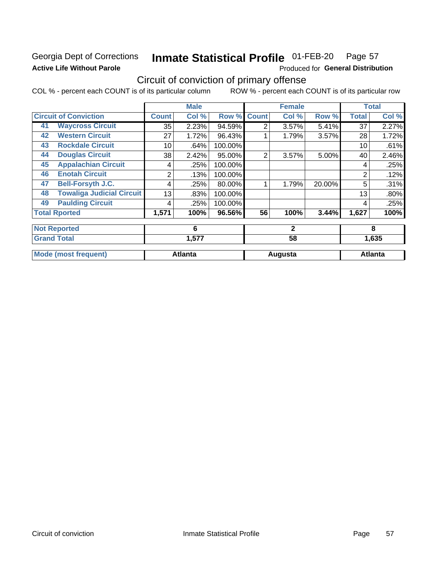### Georgia Dept of Corrections **Active Life Without Parole**

#### Inmate Statistical Profile 01-FEB-20 Page 57

Produced for General Distribution

## Circuit of conviction of primary offense

COL % - percent each COUNT is of its particular column ROW % - percent each COUNT is of its particular row

|    |                                  |              | <b>Male</b>    |         |              | <b>Female</b> |        |              | <b>Total</b>   |
|----|----------------------------------|--------------|----------------|---------|--------------|---------------|--------|--------------|----------------|
|    | <b>Circuit of Conviction</b>     | <b>Count</b> | Col %          | Row %   | <b>Count</b> | Col %         | Row %  | <b>Total</b> | Col %          |
| 41 | <b>Waycross Circuit</b>          | 35           | 2.23%          | 94.59%  | 2            | 3.57%         | 5.41%  | 37           | 2.27%          |
| 42 | <b>Western Circuit</b>           | 27           | 1.72%          | 96.43%  |              | 1.79%         | 3.57%  | 28           | 1.72%          |
| 43 | <b>Rockdale Circuit</b>          | 10           | .64%           | 100.00% |              |               |        | 10           | .61%           |
| 44 | <b>Douglas Circuit</b>           | 38           | 2.42%          | 95.00%  | 2            | 3.57%         | 5.00%  | 40           | 2.46%          |
| 45 | <b>Appalachian Circuit</b>       | 4            | .25%           | 100.00% |              |               |        | 4            | .25%           |
| 46 | <b>Enotah Circuit</b>            | 2            | .13%           | 100.00% |              |               |        | 2            | .12%           |
| 47 | <b>Bell-Forsyth J.C.</b>         | 4            | .25%           | 80.00%  |              | 1.79%         | 20.00% | 5            | .31%           |
| 48 | <b>Towaliga Judicial Circuit</b> | 13           | .83%           | 100.00% |              |               |        | 13           | .80%           |
| 49 | <b>Paulding Circuit</b>          | 4            | .25%           | 100.00% |              |               |        | 4            | .25%           |
|    | <b>Total Rported</b>             | 1,571        | 100%           | 96.56%  | 56           | 100%          | 3.44%  | 1,627        | 100%           |
|    | <b>Not Reported</b>              |              | 6              |         |              | $\mathbf{2}$  |        |              | 8              |
|    | <b>Grand Total</b>               |              | 1,577          |         |              | 58            |        | 1,635        |                |
|    | <b>Mode (most frequent)</b>      |              | <b>Atlanta</b> |         |              | Augusta       |        |              | <b>Atlanta</b> |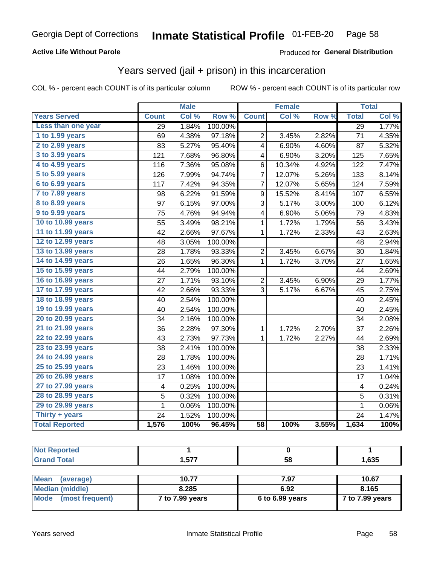### **Active Life Without Parole**

### Produced for General Distribution

## Years served (jail + prison) in this incarceration

COL % - percent each COUNT is of its particular column

|                       |              | <b>Male</b> |         |                         | <b>Female</b> |       |                 | <b>Total</b> |
|-----------------------|--------------|-------------|---------|-------------------------|---------------|-------|-----------------|--------------|
| <b>Years Served</b>   | <b>Count</b> | Col %       | Row %   | <b>Count</b>            | Col %         | Row % | <b>Total</b>    | Col %        |
| Less than one year    | 29           | 1.84%       | 100.00% |                         |               |       | $\overline{29}$ | 1.77%        |
| 1 to 1.99 years       | 69           | 4.38%       | 97.18%  | 2                       | 3.45%         | 2.82% | 71              | 4.35%        |
| 2 to 2.99 years       | 83           | 5.27%       | 95.40%  | 4                       | 6.90%         | 4.60% | 87              | 5.32%        |
| 3 to 3.99 years       | 121          | 7.68%       | 96.80%  | 4                       | 6.90%         | 3.20% | 125             | 7.65%        |
| 4 to 4.99 years       | 116          | 7.36%       | 95.08%  | 6                       | 10.34%        | 4.92% | 122             | 7.47%        |
| 5 to 5.99 years       | 126          | 7.99%       | 94.74%  | 7                       | 12.07%        | 5.26% | 133             | 8.14%        |
| 6 to 6.99 years       | 117          | 7.42%       | 94.35%  | 7                       | 12.07%        | 5.65% | 124             | 7.59%        |
| 7 to 7.99 years       | 98           | 6.22%       | 91.59%  | $\boldsymbol{9}$        | 15.52%        | 8.41% | 107             | 6.55%        |
| 8 to 8.99 years       | 97           | 6.15%       | 97.00%  | $\sqrt{3}$              | 5.17%         | 3.00% | 100             | 6.12%        |
| 9 to 9.99 years       | 75           | 4.76%       | 94.94%  | $\overline{\mathbf{4}}$ | 6.90%         | 5.06% | 79              | 4.83%        |
| 10 to 10.99 years     | 55           | 3.49%       | 98.21%  | $\mathbf{1}$            | 1.72%         | 1.79% | 56              | 3.43%        |
| 11 to 11.99 years     | 42           | 2.66%       | 97.67%  | 1                       | 1.72%         | 2.33% | 43              | 2.63%        |
| 12 to 12.99 years     | 48           | 3.05%       | 100.00% |                         |               |       | 48              | 2.94%        |
| 13 to 13.99 years     | 28           | 1.78%       | 93.33%  | 2                       | 3.45%         | 6.67% | 30              | 1.84%        |
| 14 to 14.99 years     | 26           | 1.65%       | 96.30%  | $\mathbf{1}$            | 1.72%         | 3.70% | 27              | 1.65%        |
| 15 to 15.99 years     | 44           | 2.79%       | 100.00% |                         |               |       | 44              | 2.69%        |
| 16 to 16.99 years     | 27           | 1.71%       | 93.10%  | $\overline{c}$          | 3.45%         | 6.90% | 29              | 1.77%        |
| 17 to 17.99 years     | 42           | 2.66%       | 93.33%  | $\overline{3}$          | 5.17%         | 6.67% | 45              | 2.75%        |
| 18 to 18.99 years     | 40           | 2.54%       | 100.00% |                         |               |       | 40              | 2.45%        |
| 19 to 19.99 years     | 40           | 2.54%       | 100.00% |                         |               |       | 40              | 2.45%        |
| 20 to 20.99 years     | 34           | 2.16%       | 100.00% |                         |               |       | 34              | 2.08%        |
| 21 to 21.99 years     | 36           | 2.28%       | 97.30%  | 1                       | 1.72%         | 2.70% | 37              | 2.26%        |
| 22 to 22.99 years     | 43           | 2.73%       | 97.73%  | $\mathbf{1}$            | 1.72%         | 2.27% | 44              | 2.69%        |
| 23 to 23.99 years     | 38           | 2.41%       | 100.00% |                         |               |       | 38              | 2.33%        |
| 24 to 24.99 years     | 28           | 1.78%       | 100.00% |                         |               |       | 28              | 1.71%        |
| 25 to 25.99 years     | 23           | 1.46%       | 100.00% |                         |               |       | 23              | 1.41%        |
| 26 to 26.99 years     | 17           | 1.08%       | 100.00% |                         |               |       | 17              | 1.04%        |
| 27 to 27.99 years     | 4            | 0.25%       | 100.00% |                         |               |       | 4               | 0.24%        |
| 28 to 28.99 years     | 5            | 0.32%       | 100.00% |                         |               |       | $\overline{5}$  | 0.31%        |
| 29 to 29.99 years     | $\mathbf 1$  | 0.06%       | 100.00% |                         |               |       | $\mathbf 1$     | 0.06%        |
| Thirty + years        | 24           | 1.52%       | 100.00% |                         |               |       | 24              | 1.47%        |
| <b>Total Reported</b> | 1,576        | 100%        | 96.45%  | $\overline{58}$         | 100%          | 3.55% | 1,634           | 100%         |

| <b>Not Reported</b>    |                 |                 |                 |  |  |
|------------------------|-----------------|-----------------|-----------------|--|--|
| <b>Grand Total</b>     | 1.577           | 58              | 1,635           |  |  |
|                        |                 |                 |                 |  |  |
| Mean<br>(average)      | 10.77           | 7.97            | 10.67           |  |  |
| <b>Median (middle)</b> | 8.285           | 6.92            | 8.165           |  |  |
| Mode (most frequent)   | 7 to 7.99 years | 6 to 6.99 years | 7 to 7.99 years |  |  |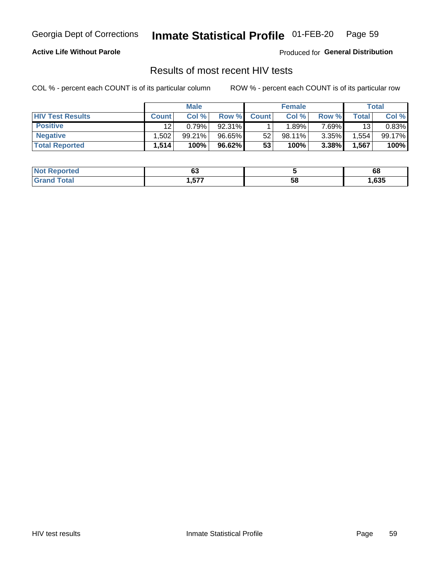#### Inmate Statistical Profile 01-FEB-20 Page 59

### **Active Life Without Parole**

Produced for General Distribution

### Results of most recent HIV tests

COL % - percent each COUNT is of its particular column

|                         | <b>Male</b>  |        |        | <b>Female</b> |        |       | Total |        |
|-------------------------|--------------|--------|--------|---------------|--------|-------|-------|--------|
| <b>HIV Test Results</b> | <b>Count</b> | Col %  | Row %I | <b>Count</b>  | Col %  | Row % | Total | Col %  |
| <b>Positive</b>         | 12           | 0.79%  | 92.31% |               | .89%   | 7.69% | 13    | 0.83%  |
| <b>Negative</b>         | .502         | 99.21% | 96.65% | 52            | 98.11% | 3.35% | .554  | 99.17% |
| <b>Total Reported</b>   | ⊹514.،       | 100%   | 96.62% | 53            | 100%   | 3.38% | 1,567 | 100%   |

| <b>Not</b><br><b>Reported</b> | ~∙<br>ບປ  |    | 68   |
|-------------------------------|-----------|----|------|
| $\lambda$<br>CT2              | ---<br>57 | 58 | ,635 |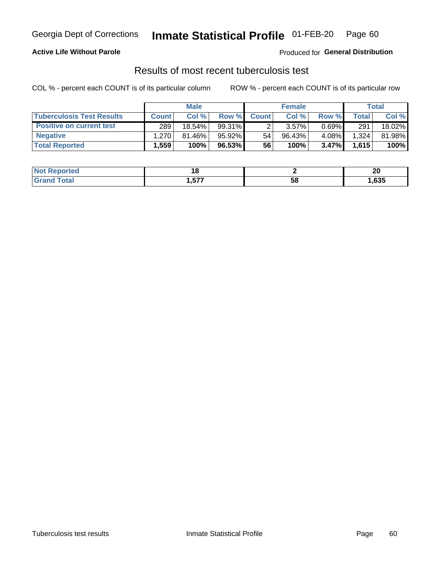## Georgia Dept of Corrections **Inmate Statistical Profile** 01-FEB-20 Page 60

### **Active Life Without Parole**

Produced for **General Distribution**

## Results of most recent tuberculosis test

COL % - percent each COUNT is of its particular column ROW % - percent each COUNT is of its particular row

|                                  | <b>Male</b>  |           |          | <b>Female</b> |           |          | Total |        |
|----------------------------------|--------------|-----------|----------|---------------|-----------|----------|-------|--------|
| <b>Tuberculosis Test Results</b> | <b>Count</b> | Col%      | Row %I   | <b>Count</b>  | Col %     | Row %    | Total | Col %  |
| <b>Positive on current test</b>  | 289          | $18.54\%$ | 99.31%   |               | 3.57%     | $0.69\%$ | 291   | 18.02% |
| <b>Negative</b>                  | $1.270 +$    | $81.46\%$ | 95.92%   | 54            | $96.43\%$ | 4.08%    | 1,324 | 81.98% |
| <b>Total Reported</b>            | .559         | 100%      | 96.53% l | 56            | 100%      | $3.47\%$ | 1,615 | 100%   |

| <b>Not Reported</b> |               |    | ״<br>ZV |
|---------------------|---------------|----|---------|
| <b>Total</b>        | ----<br>וכ. י | วซ | ,635    |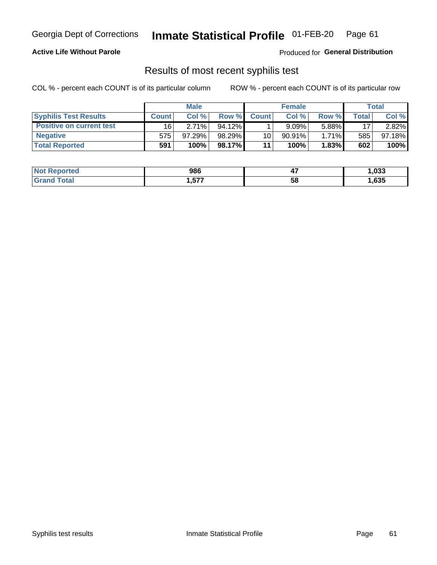## Georgia Dept of Corrections **Inmate Statistical Profile** 01-FEB-20 Page 61

### **Active Life Without Parole**

Produced for **General Distribution**

### Results of most recent syphilis test

COL % - percent each COUNT is of its particular column ROW % - percent each COUNT is of its particular row

|                                 | <b>Male</b>  |           |           | <b>Female</b> |           |          | Total |        |
|---------------------------------|--------------|-----------|-----------|---------------|-----------|----------|-------|--------|
| <b>Syphilis Test Results</b>    | <b>Count</b> | Col%      | Row %     | <b>Count</b>  | Col%      | Row %    | Total | Col %  |
| <b>Positive on current test</b> | 16           | 2.71%     | $94.12\%$ |               | 9.09%     | 5.88%    | 17    | 2.82%  |
| <b>Negative</b>                 | 575          | $97.29\%$ | 98.29%    | 10            | $90.91\%$ | $1.71\%$ | 585   | 97.18% |
| <b>Total Reported</b>           | 591          | 100%      | 98.17%I   | 11            | 100%      | 1.83%    | 602   | 100%   |

| <b>Not Reported</b>          | 986          | <br>TI. | 1,033 |
|------------------------------|--------------|---------|-------|
| <b>Total</b><br><b>Grand</b> | ---<br>1,51. | 58      | ,635  |